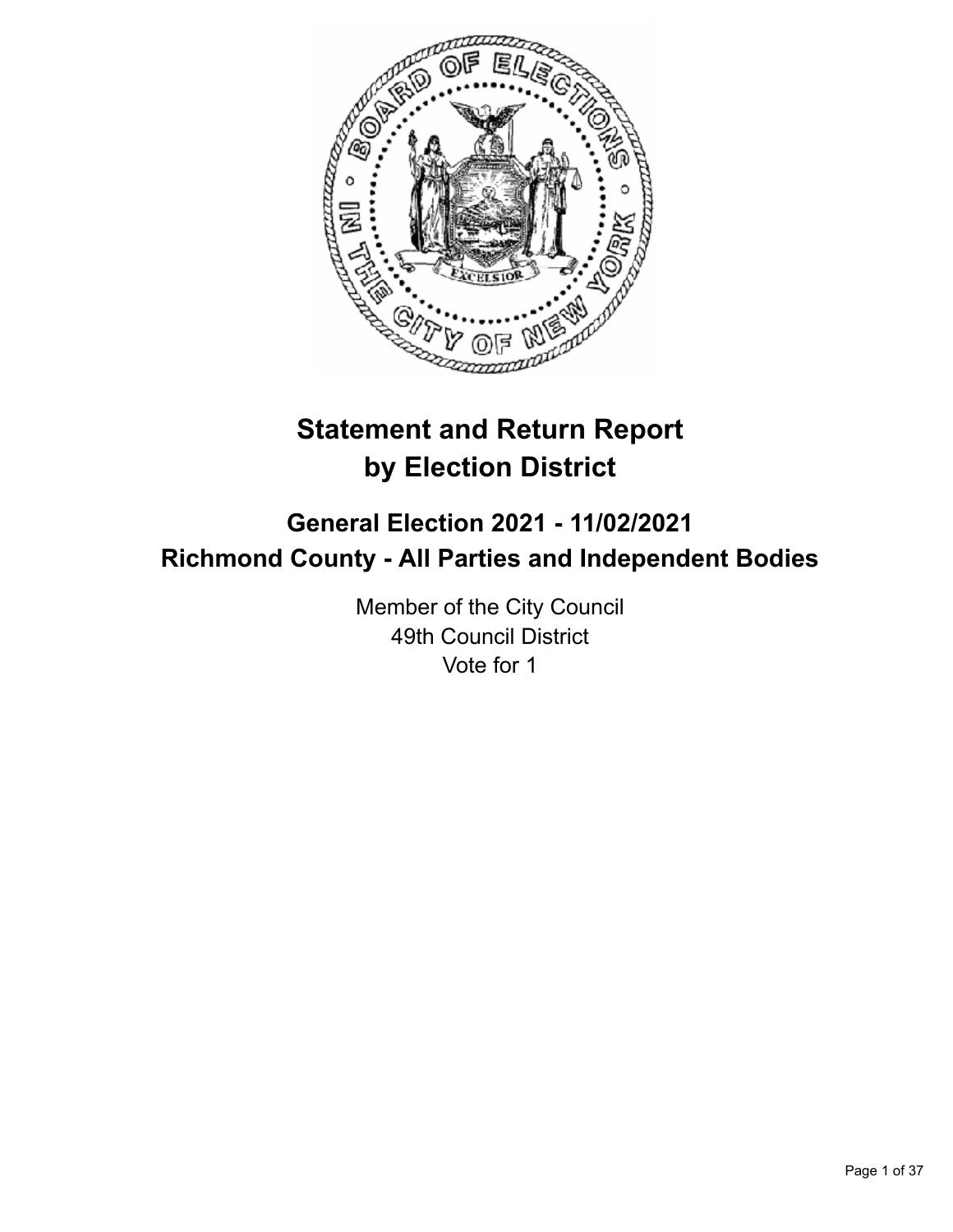

# **Statement and Return Report by Election District**

# **General Election 2021 - 11/02/2021 Richmond County - All Parties and Independent Bodies**

Member of the City Council 49th Council District Vote for 1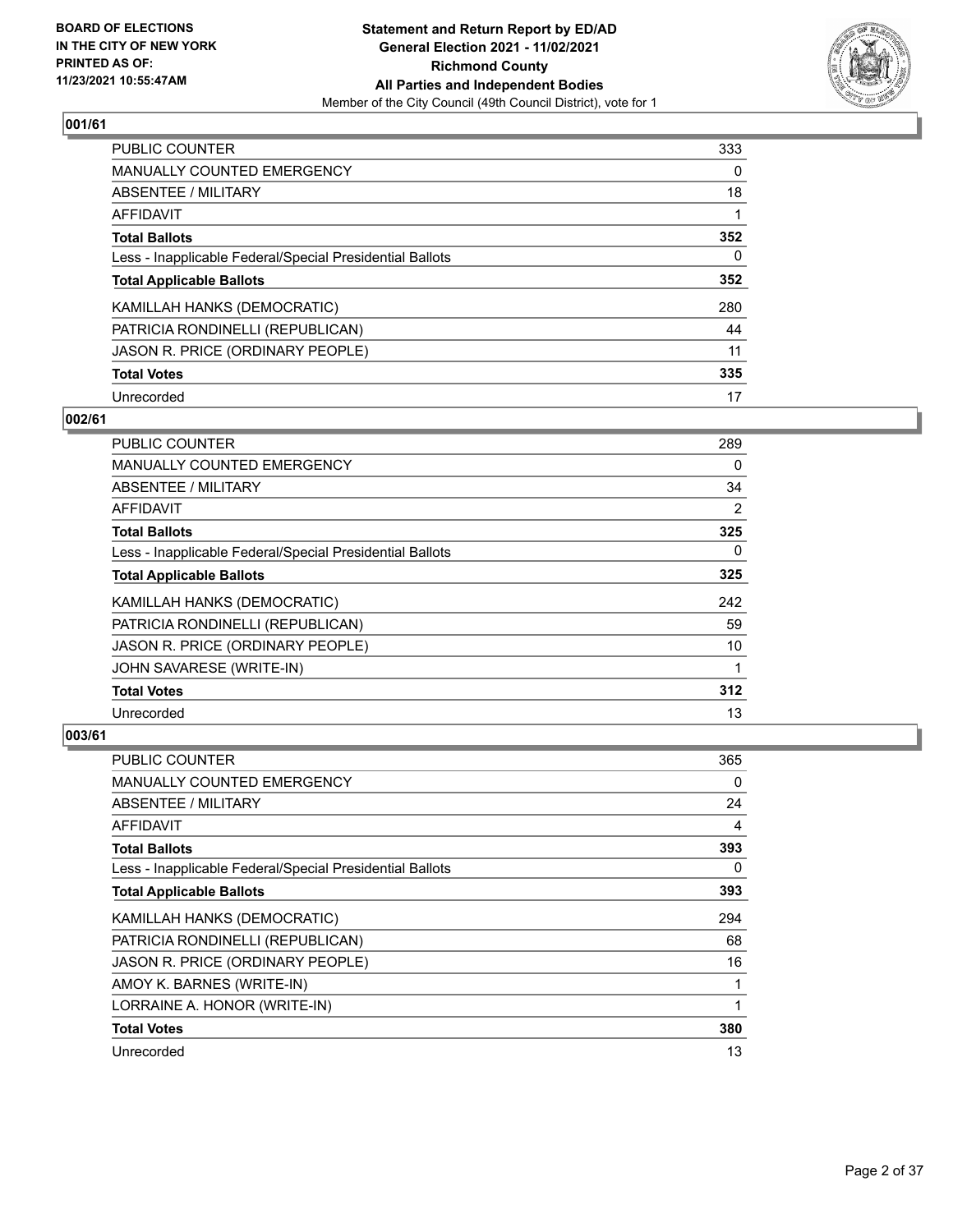

| PUBLIC COUNTER                                           | 333      |
|----------------------------------------------------------|----------|
| <b>MANUALLY COUNTED EMERGENCY</b>                        | $\Omega$ |
| ABSENTEE / MILITARY                                      | 18       |
| AFFIDAVIT                                                |          |
| <b>Total Ballots</b>                                     | 352      |
| Less - Inapplicable Federal/Special Presidential Ballots | 0        |
| <b>Total Applicable Ballots</b>                          | 352      |
| KAMILLAH HANKS (DEMOCRATIC)                              | 280      |
| PATRICIA RONDINELLI (REPUBLICAN)                         | 44       |
| JASON R. PRICE (ORDINARY PEOPLE)                         | 11       |
| <b>Total Votes</b>                                       | 335      |
| Unrecorded                                               | 17       |

## **002/61**

| PUBLIC COUNTER                                           | 289 |
|----------------------------------------------------------|-----|
| MANUALLY COUNTED EMERGENCY                               | 0   |
| ABSENTEE / MILITARY                                      | 34  |
| AFFIDAVIT                                                | 2   |
| <b>Total Ballots</b>                                     | 325 |
| Less - Inapplicable Federal/Special Presidential Ballots | 0   |
| <b>Total Applicable Ballots</b>                          | 325 |
| KAMILLAH HANKS (DEMOCRATIC)                              | 242 |
| PATRICIA RONDINELLI (REPUBLICAN)                         | 59  |
| JASON R. PRICE (ORDINARY PEOPLE)                         | 10  |
| JOHN SAVARESE (WRITE-IN)                                 | 1   |
| <b>Total Votes</b>                                       | 312 |
| Unrecorded                                               | 13  |

| PUBLIC COUNTER                                           | 365 |
|----------------------------------------------------------|-----|
| <b>MANUALLY COUNTED EMERGENCY</b>                        | 0   |
| ABSENTEE / MILITARY                                      | 24  |
| AFFIDAVIT                                                | 4   |
| <b>Total Ballots</b>                                     | 393 |
| Less - Inapplicable Federal/Special Presidential Ballots | 0   |
| <b>Total Applicable Ballots</b>                          | 393 |
| KAMILLAH HANKS (DEMOCRATIC)                              | 294 |
| PATRICIA RONDINELLI (REPUBLICAN)                         | 68  |
| JASON R. PRICE (ORDINARY PEOPLE)                         | 16  |
| AMOY K. BARNES (WRITE-IN)                                | 1   |
| LORRAINE A. HONOR (WRITE-IN)                             | 1   |
| <b>Total Votes</b>                                       | 380 |
| Unrecorded                                               | 13  |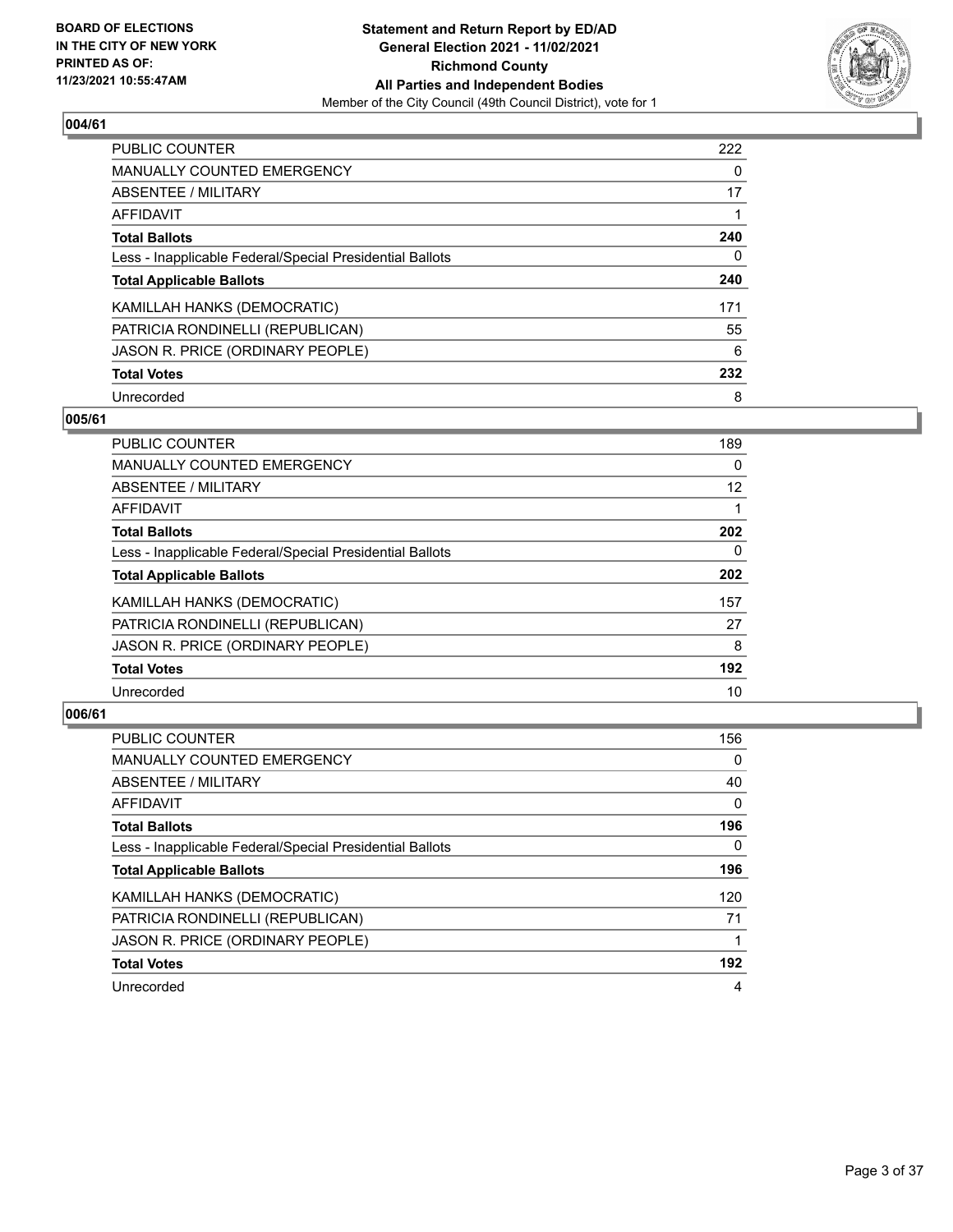

| <b>PUBLIC COUNTER</b>                                    | 222 |
|----------------------------------------------------------|-----|
| <b>MANUALLY COUNTED EMERGENCY</b>                        | 0   |
| ABSENTEE / MILITARY                                      | 17  |
| AFFIDAVIT                                                |     |
| <b>Total Ballots</b>                                     | 240 |
| Less - Inapplicable Federal/Special Presidential Ballots | 0   |
| <b>Total Applicable Ballots</b>                          | 240 |
| KAMILLAH HANKS (DEMOCRATIC)                              | 171 |
| PATRICIA RONDINELLI (REPUBLICAN)                         | 55  |
| JASON R. PRICE (ORDINARY PEOPLE)                         | 6   |
| <b>Total Votes</b>                                       | 232 |
| Unrecorded                                               | 8   |

#### **005/61**

| <b>PUBLIC COUNTER</b>                                    | 189      |
|----------------------------------------------------------|----------|
| <b>MANUALLY COUNTED EMERGENCY</b>                        | 0        |
| ABSENTEE / MILITARY                                      | 12       |
| <b>AFFIDAVIT</b>                                         |          |
| <b>Total Ballots</b>                                     | 202      |
| Less - Inapplicable Federal/Special Presidential Ballots | $\Omega$ |
| <b>Total Applicable Ballots</b>                          | 202      |
| KAMILLAH HANKS (DEMOCRATIC)                              | 157      |
| PATRICIA RONDINELLI (REPUBLICAN)                         | 27       |
| JASON R. PRICE (ORDINARY PEOPLE)                         | 8        |
| <b>Total Votes</b>                                       | 192      |
| Unrecorded                                               | 10       |

| <b>PUBLIC COUNTER</b>                                    | 156      |
|----------------------------------------------------------|----------|
| <b>MANUALLY COUNTED EMERGENCY</b>                        | $\Omega$ |
| ABSENTEE / MILITARY                                      | 40       |
| AFFIDAVIT                                                | $\Omega$ |
| <b>Total Ballots</b>                                     | 196      |
| Less - Inapplicable Federal/Special Presidential Ballots | $\Omega$ |
| <b>Total Applicable Ballots</b>                          | 196      |
| KAMILLAH HANKS (DEMOCRATIC)                              | 120      |
| PATRICIA RONDINELLI (REPUBLICAN)                         | 71       |
| JASON R. PRICE (ORDINARY PEOPLE)                         |          |
| <b>Total Votes</b>                                       | 192      |
| Unrecorded                                               | 4        |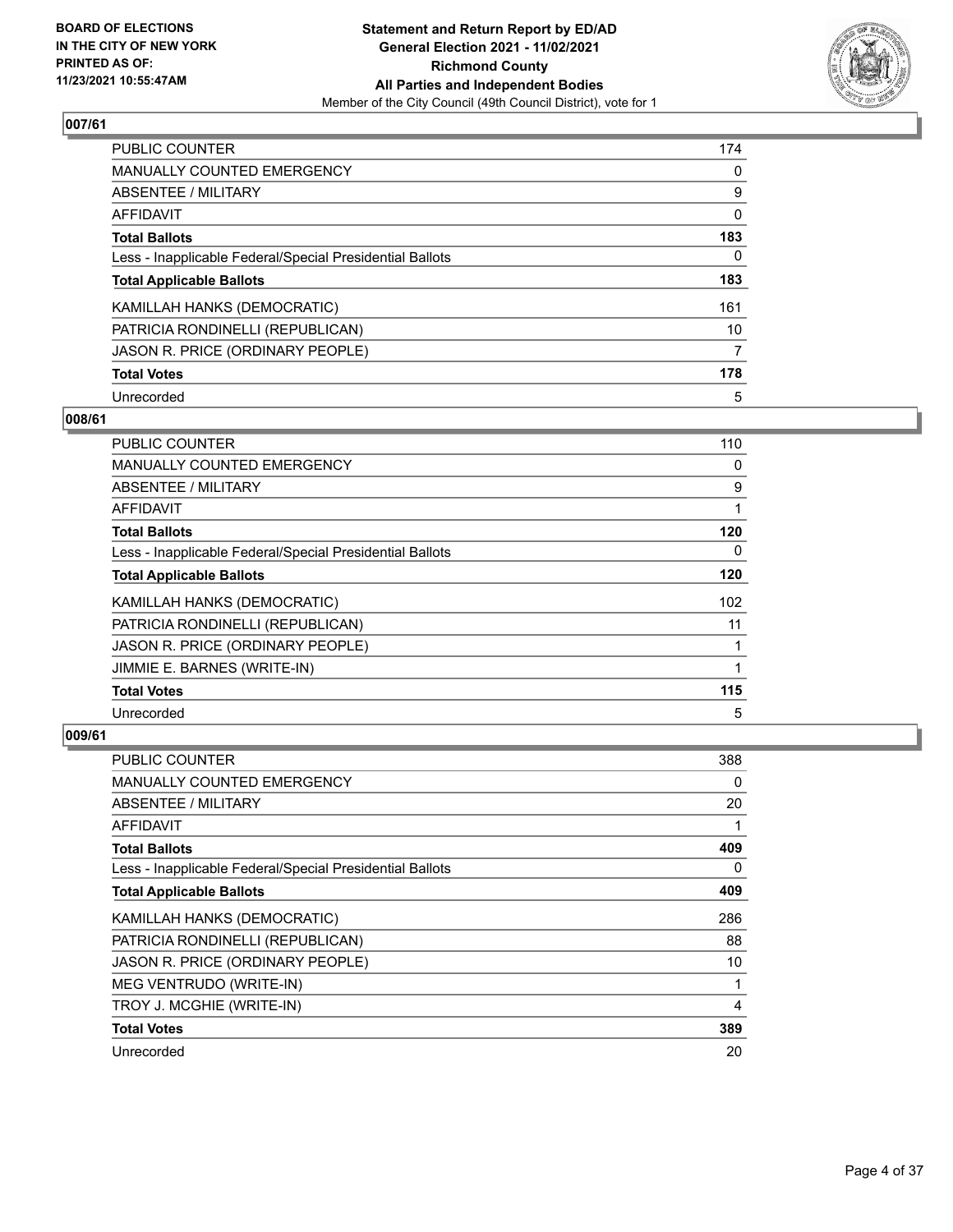

| <b>PUBLIC COUNTER</b>                                    | 174      |
|----------------------------------------------------------|----------|
| <b>MANUALLY COUNTED EMERGENCY</b>                        | $\Omega$ |
| <b>ABSENTEE / MILITARY</b>                               | 9        |
| AFFIDAVIT                                                | 0        |
| <b>Total Ballots</b>                                     | 183      |
| Less - Inapplicable Federal/Special Presidential Ballots | 0        |
| <b>Total Applicable Ballots</b>                          | 183      |
| KAMILLAH HANKS (DEMOCRATIC)                              | 161      |
| PATRICIA RONDINELLI (REPUBLICAN)                         | 10       |
| JASON R. PRICE (ORDINARY PEOPLE)                         | 7        |
| <b>Total Votes</b>                                       | 178      |
| Unrecorded                                               | 5        |

#### **008/61**

| PUBLIC COUNTER                                           | 110      |
|----------------------------------------------------------|----------|
| <b>MANUALLY COUNTED EMERGENCY</b>                        | $\Omega$ |
| ABSENTEE / MILITARY                                      | 9        |
| AFFIDAVIT                                                |          |
| <b>Total Ballots</b>                                     | 120      |
| Less - Inapplicable Federal/Special Presidential Ballots | 0        |
| <b>Total Applicable Ballots</b>                          | 120      |
| KAMILLAH HANKS (DEMOCRATIC)                              | 102      |
| PATRICIA RONDINELLI (REPUBLICAN)                         | 11       |
| JASON R. PRICE (ORDINARY PEOPLE)                         |          |
| JIMMIE E. BARNES (WRITE-IN)                              |          |
| <b>Total Votes</b>                                       | 115      |
| Unrecorded                                               | 5        |

| PUBLIC COUNTER                                           | 388 |
|----------------------------------------------------------|-----|
| MANUALLY COUNTED EMERGENCY                               | 0   |
| ABSENTEE / MILITARY                                      | 20  |
| AFFIDAVIT                                                | 1   |
| <b>Total Ballots</b>                                     | 409 |
| Less - Inapplicable Federal/Special Presidential Ballots | 0   |
| <b>Total Applicable Ballots</b>                          | 409 |
| KAMILLAH HANKS (DEMOCRATIC)                              | 286 |
| PATRICIA RONDINELLI (REPUBLICAN)                         | 88  |
| JASON R. PRICE (ORDINARY PEOPLE)                         | 10  |
| MEG VENTRUDO (WRITE-IN)                                  | 1   |
| TROY J. MCGHIE (WRITE-IN)                                | 4   |
| <b>Total Votes</b>                                       | 389 |
| Unrecorded                                               | 20  |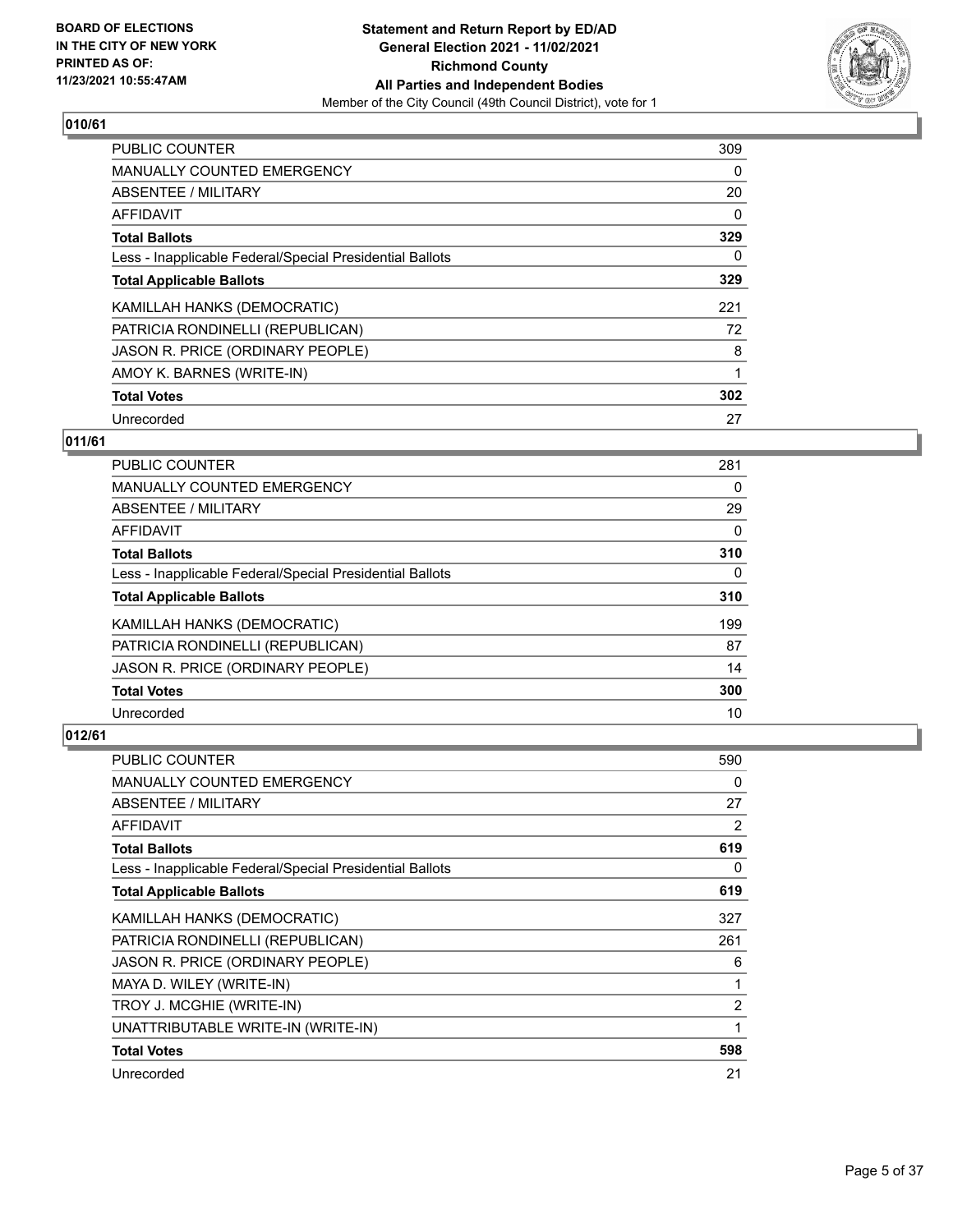

| <b>PUBLIC COUNTER</b>                                    | 309      |
|----------------------------------------------------------|----------|
| <b>MANUALLY COUNTED EMERGENCY</b>                        | 0        |
| ABSENTEE / MILITARY                                      | 20       |
| AFFIDAVIT                                                | $\Omega$ |
| <b>Total Ballots</b>                                     | 329      |
| Less - Inapplicable Federal/Special Presidential Ballots | 0        |
| <b>Total Applicable Ballots</b>                          | 329      |
| KAMILLAH HANKS (DEMOCRATIC)                              | 221      |
| PATRICIA RONDINELLI (REPUBLICAN)                         | 72       |
| JASON R. PRICE (ORDINARY PEOPLE)                         | 8        |
| AMOY K. BARNES (WRITE-IN)                                |          |
| <b>Total Votes</b>                                       | 302      |
| Unrecorded                                               | 27       |

# **011/61**

| PUBLIC COUNTER                                           | 281      |
|----------------------------------------------------------|----------|
| <b>MANUALLY COUNTED EMERGENCY</b>                        | 0        |
| ABSENTEE / MILITARY                                      | 29       |
| AFFIDAVIT                                                | $\Omega$ |
| <b>Total Ballots</b>                                     | 310      |
| Less - Inapplicable Federal/Special Presidential Ballots | $\Omega$ |
| <b>Total Applicable Ballots</b>                          | 310      |
| KAMILLAH HANKS (DEMOCRATIC)                              | 199      |
| PATRICIA RONDINELLI (REPUBLICAN)                         | 87       |
| JASON R. PRICE (ORDINARY PEOPLE)                         | 14       |
| <b>Total Votes</b>                                       | 300      |
| Unrecorded                                               | 10       |

| PUBLIC COUNTER                                           | 590 |
|----------------------------------------------------------|-----|
| <b>MANUALLY COUNTED EMERGENCY</b>                        | 0   |
| ABSENTEE / MILITARY                                      | 27  |
| AFFIDAVIT                                                | 2   |
| <b>Total Ballots</b>                                     | 619 |
| Less - Inapplicable Federal/Special Presidential Ballots | 0   |
| <b>Total Applicable Ballots</b>                          | 619 |
| KAMILLAH HANKS (DEMOCRATIC)                              | 327 |
| PATRICIA RONDINELLI (REPUBLICAN)                         | 261 |
| JASON R. PRICE (ORDINARY PEOPLE)                         | 6   |
| MAYA D. WILEY (WRITE-IN)                                 |     |
| TROY J. MCGHIE (WRITE-IN)                                | 2   |
| UNATTRIBUTABLE WRITE-IN (WRITE-IN)                       | 1   |
| <b>Total Votes</b>                                       | 598 |
| Unrecorded                                               | 21  |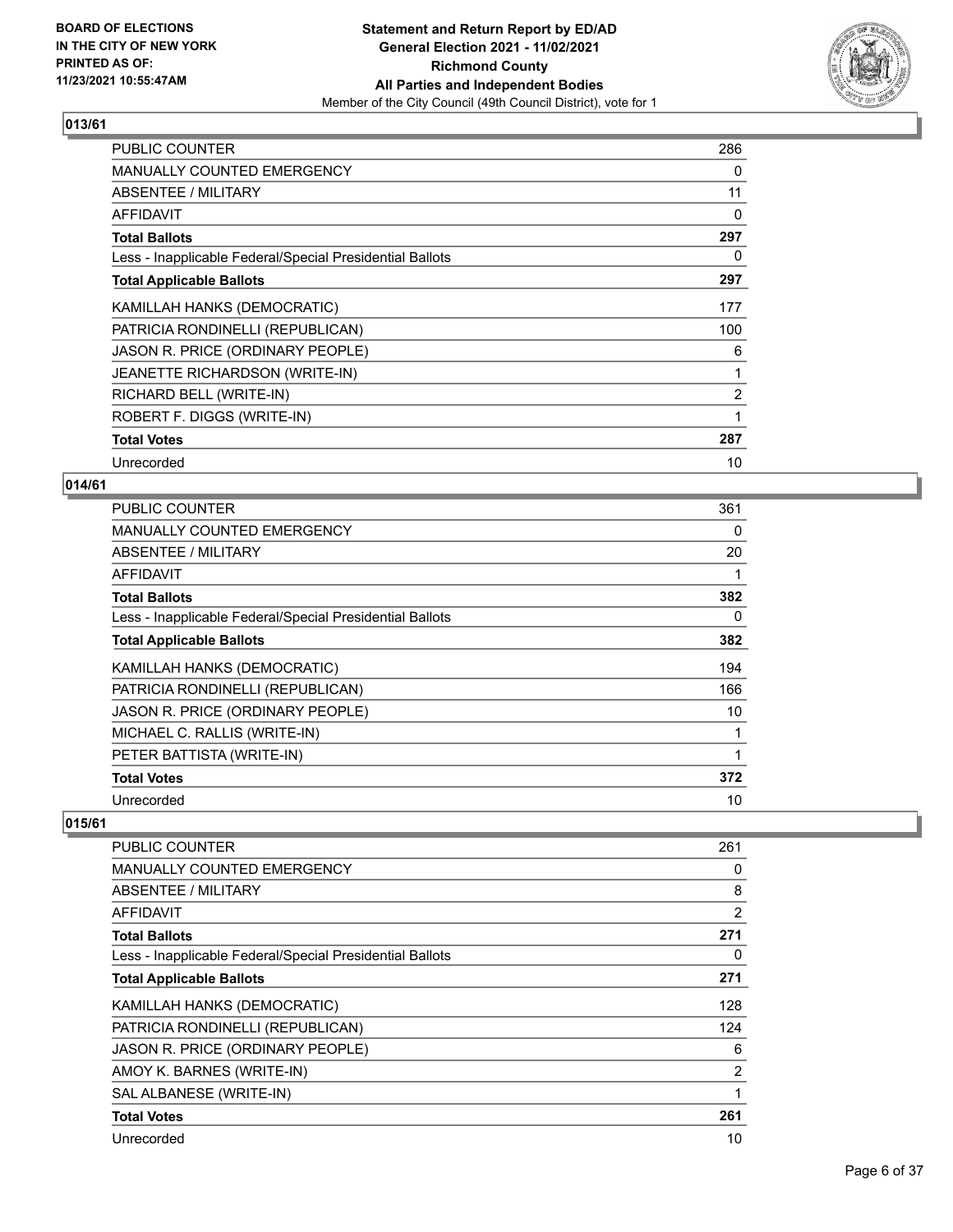

| <b>PUBLIC COUNTER</b>                                    | 286            |
|----------------------------------------------------------|----------------|
| MANUALLY COUNTED EMERGENCY                               | 0              |
| ABSENTEE / MILITARY                                      | 11             |
| <b>AFFIDAVIT</b>                                         | 0              |
| <b>Total Ballots</b>                                     | 297            |
| Less - Inapplicable Federal/Special Presidential Ballots | 0              |
| <b>Total Applicable Ballots</b>                          | 297            |
| KAMILLAH HANKS (DEMOCRATIC)                              | 177            |
| PATRICIA RONDINELLI (REPUBLICAN)                         | 100            |
| JASON R. PRICE (ORDINARY PEOPLE)                         | 6              |
| JEANETTE RICHARDSON (WRITE-IN)                           |                |
| RICHARD BELL (WRITE-IN)                                  | $\overline{2}$ |
| ROBERT F. DIGGS (WRITE-IN)                               |                |
| <b>Total Votes</b>                                       | 287            |
| Unrecorded                                               | 10             |

# **014/61**

| <b>PUBLIC COUNTER</b>                                    | 361 |
|----------------------------------------------------------|-----|
| MANUALLY COUNTED EMERGENCY                               | 0   |
| ABSENTEE / MILITARY                                      | 20  |
| AFFIDAVIT                                                |     |
| <b>Total Ballots</b>                                     | 382 |
| Less - Inapplicable Federal/Special Presidential Ballots | 0   |
| <b>Total Applicable Ballots</b>                          | 382 |
| KAMILLAH HANKS (DEMOCRATIC)                              | 194 |
| PATRICIA RONDINELLI (REPUBLICAN)                         | 166 |
| JASON R. PRICE (ORDINARY PEOPLE)                         | 10  |
| MICHAEL C. RALLIS (WRITE-IN)                             |     |
| PETER BATTISTA (WRITE-IN)                                |     |
| <b>Total Votes</b>                                       | 372 |
| Unrecorded                                               | 10  |

| PUBLIC COUNTER                                           | 261            |
|----------------------------------------------------------|----------------|
| <b>MANUALLY COUNTED EMERGENCY</b>                        | 0              |
| ABSENTEE / MILITARY                                      | 8              |
| AFFIDAVIT                                                | $\overline{2}$ |
| <b>Total Ballots</b>                                     | 271            |
| Less - Inapplicable Federal/Special Presidential Ballots | 0              |
| <b>Total Applicable Ballots</b>                          | 271            |
| KAMILLAH HANKS (DEMOCRATIC)                              | 128            |
| PATRICIA RONDINELLI (REPUBLICAN)                         | 124            |
| JASON R. PRICE (ORDINARY PEOPLE)                         | 6              |
| AMOY K. BARNES (WRITE-IN)                                | $\overline{2}$ |
| SAL ALBANESE (WRITE-IN)                                  | 1              |
| <b>Total Votes</b>                                       | 261            |
| Unrecorded                                               | 10             |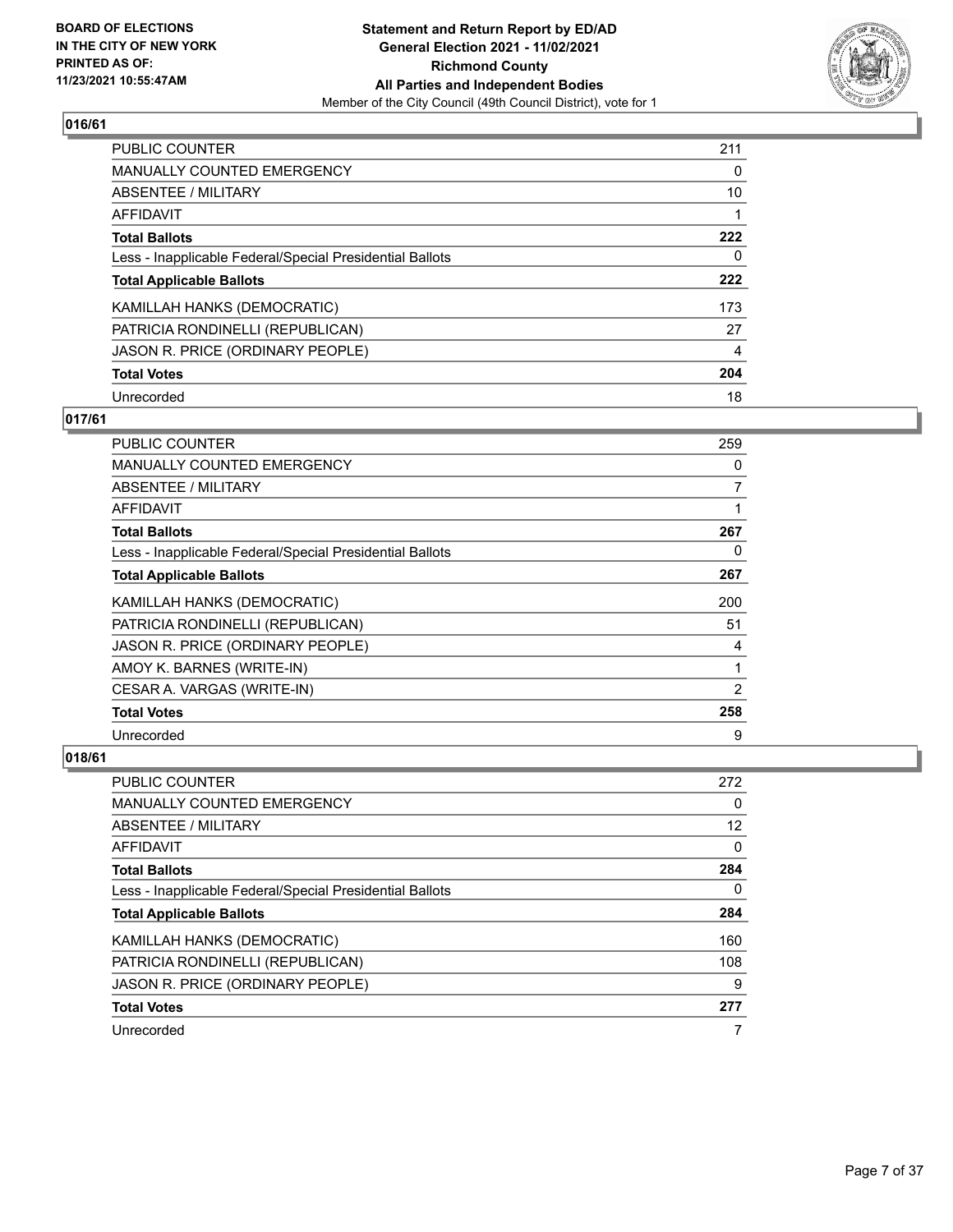

| PUBLIC COUNTER                                           | 211 |
|----------------------------------------------------------|-----|
| MANUALLY COUNTED EMERGENCY                               | 0   |
| ABSENTEE / MILITARY                                      | 10  |
| AFFIDAVIT                                                |     |
| <b>Total Ballots</b>                                     | 222 |
| Less - Inapplicable Federal/Special Presidential Ballots | 0   |
| <b>Total Applicable Ballots</b>                          | 222 |
| KAMILLAH HANKS (DEMOCRATIC)                              | 173 |
| PATRICIA RONDINELLI (REPUBLICAN)                         | 27  |
| JASON R. PRICE (ORDINARY PEOPLE)                         | 4   |
| <b>Total Votes</b>                                       | 204 |
| Unrecorded                                               | 18  |

## **017/61**

| <b>PUBLIC COUNTER</b>                                    | 259            |
|----------------------------------------------------------|----------------|
| MANUALLY COUNTED EMERGENCY                               | 0              |
| ABSENTEE / MILITARY                                      | 7              |
| AFFIDAVIT                                                | 1              |
| <b>Total Ballots</b>                                     | 267            |
| Less - Inapplicable Federal/Special Presidential Ballots | 0              |
| <b>Total Applicable Ballots</b>                          | 267            |
| KAMILLAH HANKS (DEMOCRATIC)                              | 200            |
| PATRICIA RONDINELLI (REPUBLICAN)                         | 51             |
| JASON R. PRICE (ORDINARY PEOPLE)                         | 4              |
| AMOY K. BARNES (WRITE-IN)                                | 1              |
| CESAR A. VARGAS (WRITE-IN)                               | $\overline{2}$ |
| <b>Total Votes</b>                                       | 258            |
| Unrecorded                                               | 9              |

| PUBLIC COUNTER                                           | 272 |
|----------------------------------------------------------|-----|
| <b>MANUALLY COUNTED EMERGENCY</b>                        | 0   |
| ABSENTEE / MILITARY                                      | 12  |
| AFFIDAVIT                                                | 0   |
| <b>Total Ballots</b>                                     | 284 |
| Less - Inapplicable Federal/Special Presidential Ballots | 0   |
| <b>Total Applicable Ballots</b>                          | 284 |
| KAMILLAH HANKS (DEMOCRATIC)                              | 160 |
| PATRICIA RONDINELLI (REPUBLICAN)                         | 108 |
| JASON R. PRICE (ORDINARY PEOPLE)                         | 9   |
| <b>Total Votes</b>                                       | 277 |
| Unrecorded                                               |     |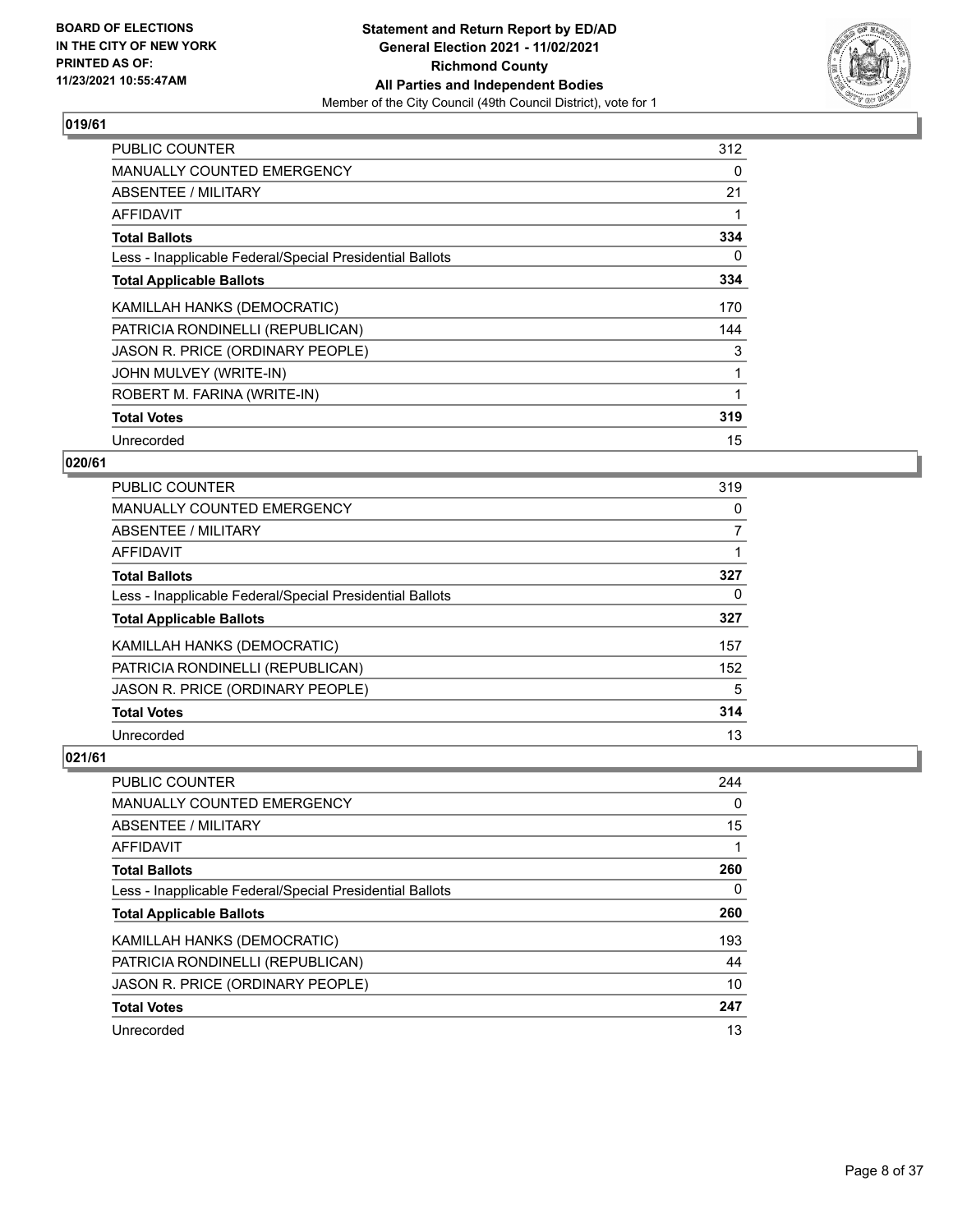

| <b>PUBLIC COUNTER</b>                                    | 312 |
|----------------------------------------------------------|-----|
| <b>MANUALLY COUNTED EMERGENCY</b>                        | 0   |
| <b>ABSENTEE / MILITARY</b>                               | 21  |
| <b>AFFIDAVIT</b>                                         |     |
| <b>Total Ballots</b>                                     | 334 |
| Less - Inapplicable Federal/Special Presidential Ballots | 0   |
| <b>Total Applicable Ballots</b>                          | 334 |
| KAMILLAH HANKS (DEMOCRATIC)                              | 170 |
| PATRICIA RONDINELLI (REPUBLICAN)                         | 144 |
| JASON R. PRICE (ORDINARY PEOPLE)                         | 3   |
| JOHN MULVEY (WRITE-IN)                                   |     |
| ROBERT M. FARINA (WRITE-IN)                              |     |
| <b>Total Votes</b>                                       | 319 |
| Unrecorded                                               | 15  |

# **020/61**

| PUBLIC COUNTER                                           | 319      |
|----------------------------------------------------------|----------|
| MANUALLY COUNTED EMERGENCY                               | $\Omega$ |
| ABSENTEE / MILITARY                                      | 7        |
| AFFIDAVIT                                                |          |
| <b>Total Ballots</b>                                     | 327      |
| Less - Inapplicable Federal/Special Presidential Ballots | 0        |
| <b>Total Applicable Ballots</b>                          | 327      |
| KAMILLAH HANKS (DEMOCRATIC)                              | 157      |
| PATRICIA RONDINELLI (REPUBLICAN)                         | 152      |
| JASON R. PRICE (ORDINARY PEOPLE)                         | 5        |
| <b>Total Votes</b>                                       | 314      |
| Unrecorded                                               | 13       |

| <b>PUBLIC COUNTER</b>                                    | 244 |
|----------------------------------------------------------|-----|
| <b>MANUALLY COUNTED EMERGENCY</b>                        | 0   |
| ABSENTEE / MILITARY                                      | 15  |
| AFFIDAVIT                                                |     |
| <b>Total Ballots</b>                                     | 260 |
| Less - Inapplicable Federal/Special Presidential Ballots | 0   |
| <b>Total Applicable Ballots</b>                          | 260 |
| KAMILLAH HANKS (DEMOCRATIC)                              | 193 |
| PATRICIA RONDINELLI (REPUBLICAN)                         | 44  |
| JASON R. PRICE (ORDINARY PEOPLE)                         | 10  |
| <b>Total Votes</b>                                       | 247 |
| Unrecorded                                               | 13  |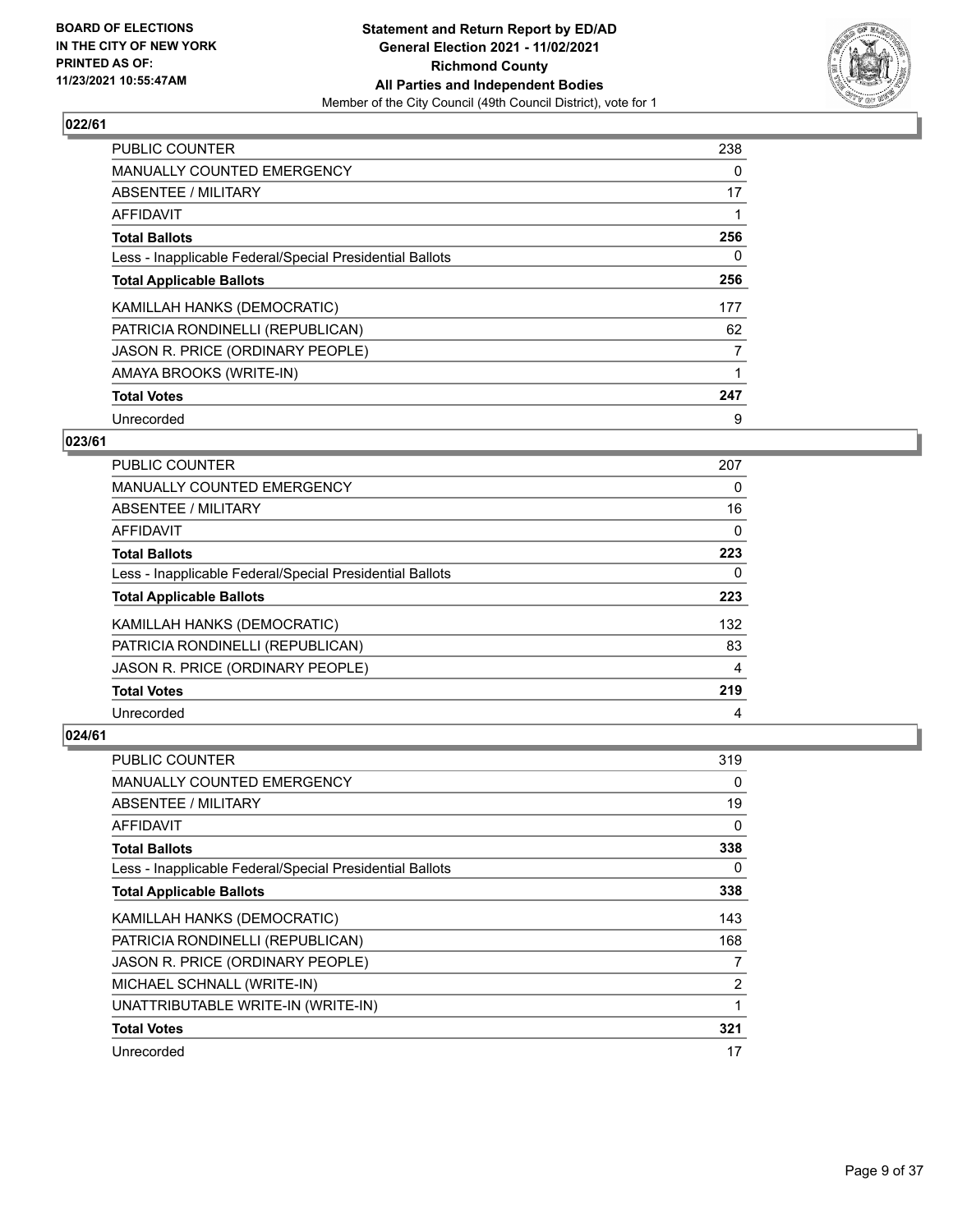

| <b>PUBLIC COUNTER</b>                                    | 238 |
|----------------------------------------------------------|-----|
| MANUALLY COUNTED EMERGENCY                               | 0   |
| ABSENTEE / MILITARY                                      | 17  |
| AFFIDAVIT                                                |     |
| <b>Total Ballots</b>                                     | 256 |
| Less - Inapplicable Federal/Special Presidential Ballots | 0   |
| <b>Total Applicable Ballots</b>                          | 256 |
| KAMILLAH HANKS (DEMOCRATIC)                              | 177 |
| PATRICIA RONDINELLI (REPUBLICAN)                         | 62  |
| JASON R. PRICE (ORDINARY PEOPLE)                         | 7   |
| AMAYA BROOKS (WRITE-IN)                                  |     |
| <b>Total Votes</b>                                       | 247 |
| Unrecorded                                               | 9   |

# **023/61**

| <b>PUBLIC COUNTER</b>                                    | 207 |
|----------------------------------------------------------|-----|
| <b>MANUALLY COUNTED EMERGENCY</b>                        | 0   |
| ABSENTEE / MILITARY                                      | 16  |
| AFFIDAVIT                                                | 0   |
| <b>Total Ballots</b>                                     | 223 |
| Less - Inapplicable Federal/Special Presidential Ballots | 0   |
| <b>Total Applicable Ballots</b>                          | 223 |
| KAMILLAH HANKS (DEMOCRATIC)                              | 132 |
| PATRICIA RONDINELLI (REPUBLICAN)                         | 83  |
| JASON R. PRICE (ORDINARY PEOPLE)                         | 4   |
| <b>Total Votes</b>                                       | 219 |
| Unrecorded                                               | 4   |

| PUBLIC COUNTER                                           | 319 |
|----------------------------------------------------------|-----|
| MANUALLY COUNTED EMERGENCY                               | 0   |
| ABSENTEE / MILITARY                                      | 19  |
| AFFIDAVIT                                                | 0   |
| <b>Total Ballots</b>                                     | 338 |
| Less - Inapplicable Federal/Special Presidential Ballots | 0   |
| <b>Total Applicable Ballots</b>                          | 338 |
| KAMILLAH HANKS (DEMOCRATIC)                              | 143 |
| PATRICIA RONDINELLI (REPUBLICAN)                         | 168 |
| JASON R. PRICE (ORDINARY PEOPLE)                         | 7   |
| MICHAEL SCHNALL (WRITE-IN)                               | 2   |
| UNATTRIBUTABLE WRITE-IN (WRITE-IN)                       | 1   |
| <b>Total Votes</b>                                       | 321 |
| Unrecorded                                               | 17  |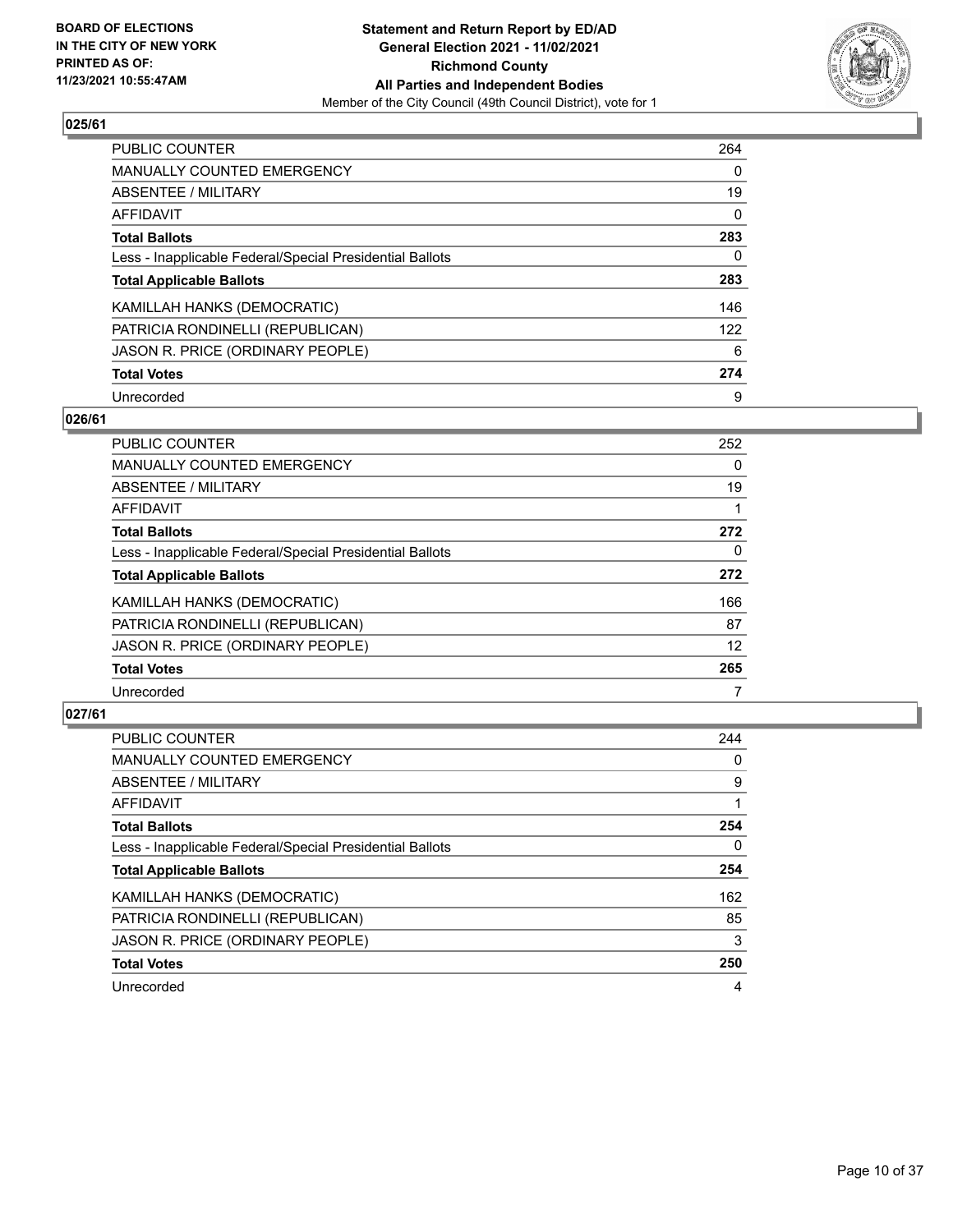

| <b>PUBLIC COUNTER</b>                                    | 264      |
|----------------------------------------------------------|----------|
| <b>MANUALLY COUNTED EMERGENCY</b>                        | 0        |
| ABSENTEE / MILITARY                                      | 19       |
| <b>AFFIDAVIT</b>                                         | $\Omega$ |
| <b>Total Ballots</b>                                     | 283      |
| Less - Inapplicable Federal/Special Presidential Ballots | 0        |
| <b>Total Applicable Ballots</b>                          | 283      |
| KAMILLAH HANKS (DEMOCRATIC)                              | 146      |
| PATRICIA RONDINELLI (REPUBLICAN)                         | 122      |
| JASON R. PRICE (ORDINARY PEOPLE)                         | 6        |
| <b>Total Votes</b>                                       | 274      |
| Unrecorded                                               | 9        |

#### **026/61**

| <b>PUBLIC COUNTER</b>                                    | 252      |
|----------------------------------------------------------|----------|
| <b>MANUALLY COUNTED EMERGENCY</b>                        | $\Omega$ |
| <b>ABSENTEE / MILITARY</b>                               | 19       |
| <b>AFFIDAVIT</b>                                         |          |
| <b>Total Ballots</b>                                     | 272      |
| Less - Inapplicable Federal/Special Presidential Ballots | $\Omega$ |
| <b>Total Applicable Ballots</b>                          | 272      |
| KAMILLAH HANKS (DEMOCRATIC)                              | 166      |
| PATRICIA RONDINELLI (REPUBLICAN)                         | 87       |
| JASON R. PRICE (ORDINARY PEOPLE)                         | 12       |
| <b>Total Votes</b>                                       | 265      |
| Unrecorded                                               |          |

| <b>PUBLIC COUNTER</b>                                    | 244 |
|----------------------------------------------------------|-----|
| <b>MANUALLY COUNTED EMERGENCY</b>                        | 0   |
| ABSENTEE / MILITARY                                      | 9   |
| <b>AFFIDAVIT</b>                                         |     |
| <b>Total Ballots</b>                                     | 254 |
| Less - Inapplicable Federal/Special Presidential Ballots | 0   |
| <b>Total Applicable Ballots</b>                          | 254 |
| KAMILLAH HANKS (DEMOCRATIC)                              | 162 |
| PATRICIA RONDINELLI (REPUBLICAN)                         | 85  |
| JASON R. PRICE (ORDINARY PEOPLE)                         | 3   |
| <b>Total Votes</b>                                       | 250 |
| Unrecorded                                               | 4   |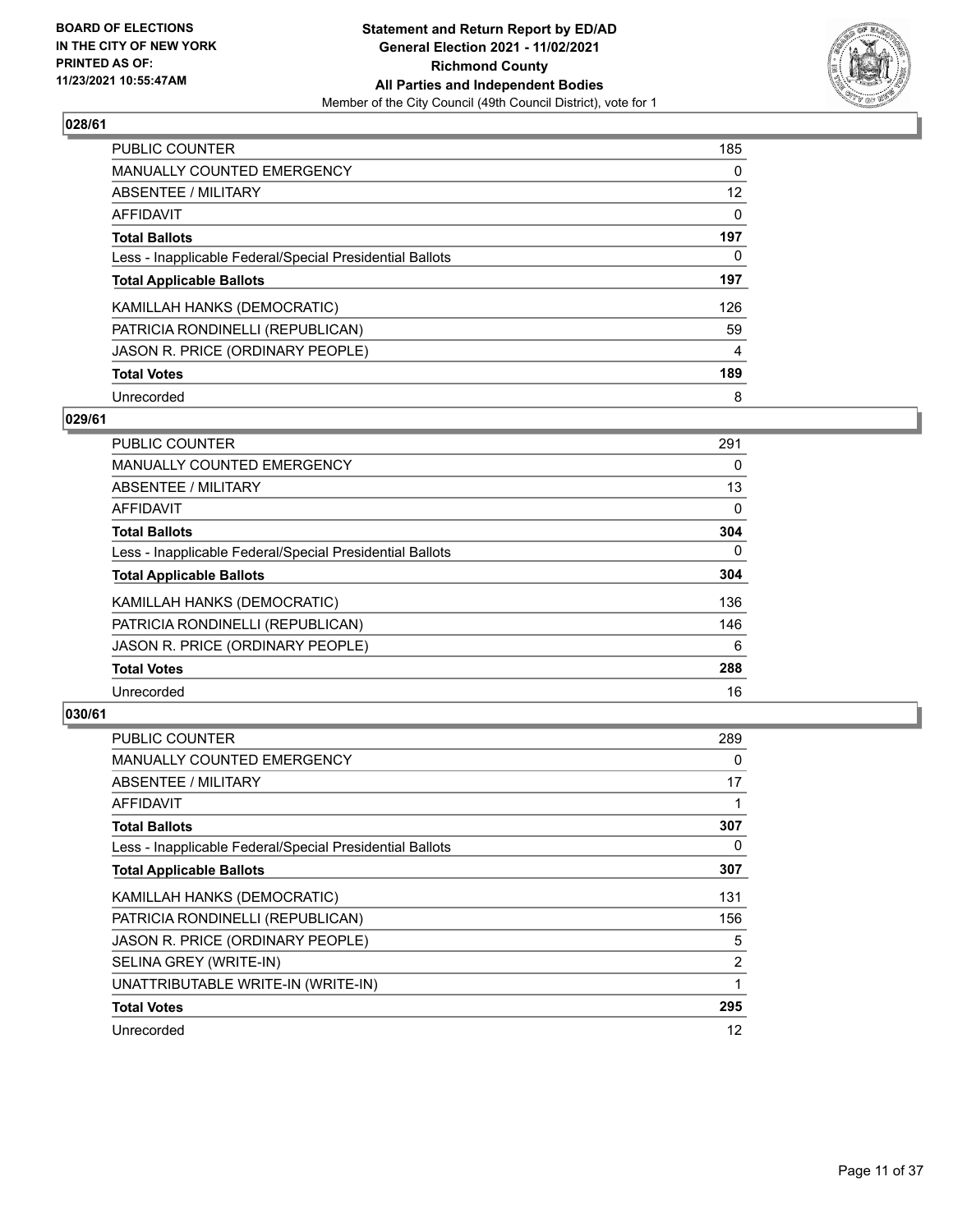

| <b>PUBLIC COUNTER</b>                                    | 185      |
|----------------------------------------------------------|----------|
| <b>MANUALLY COUNTED EMERGENCY</b>                        | $\Omega$ |
| <b>ABSENTEE / MILITARY</b>                               | 12       |
| AFFIDAVIT                                                | $\Omega$ |
| <b>Total Ballots</b>                                     | 197      |
| Less - Inapplicable Federal/Special Presidential Ballots | 0        |
| <b>Total Applicable Ballots</b>                          | 197      |
| KAMILLAH HANKS (DEMOCRATIC)                              | 126      |
| PATRICIA RONDINELLI (REPUBLICAN)                         | 59       |
| JASON R. PRICE (ORDINARY PEOPLE)                         | 4        |
| <b>Total Votes</b>                                       | 189      |
| Unrecorded                                               | 8        |

#### **029/61**

| <b>PUBLIC COUNTER</b>                                    | 291      |
|----------------------------------------------------------|----------|
| MANUALLY COUNTED EMERGENCY                               | $\Omega$ |
| <b>ABSENTEE / MILITARY</b>                               | 13       |
| <b>AFFIDAVIT</b>                                         | $\Omega$ |
| <b>Total Ballots</b>                                     | 304      |
| Less - Inapplicable Federal/Special Presidential Ballots | $\Omega$ |
| <b>Total Applicable Ballots</b>                          | 304      |
| KAMILLAH HANKS (DEMOCRATIC)                              | 136      |
| PATRICIA RONDINELLI (REPUBLICAN)                         | 146      |
| JASON R. PRICE (ORDINARY PEOPLE)                         | 6        |
| <b>Total Votes</b>                                       | 288      |
| Unrecorded                                               | 16       |

| <b>PUBLIC COUNTER</b>                                    | 289 |
|----------------------------------------------------------|-----|
| <b>MANUALLY COUNTED EMERGENCY</b>                        | 0   |
| ABSENTEE / MILITARY                                      | 17  |
| AFFIDAVIT                                                | 1   |
| <b>Total Ballots</b>                                     | 307 |
| Less - Inapplicable Federal/Special Presidential Ballots | 0   |
| <b>Total Applicable Ballots</b>                          | 307 |
| KAMILLAH HANKS (DEMOCRATIC)                              | 131 |
| PATRICIA RONDINELLI (REPUBLICAN)                         | 156 |
| JASON R. PRICE (ORDINARY PEOPLE)                         | 5   |
| SELINA GREY (WRITE-IN)                                   | 2   |
| UNATTRIBUTABLE WRITE-IN (WRITE-IN)                       | 1   |
| <b>Total Votes</b>                                       | 295 |
| Unrecorded                                               | 12  |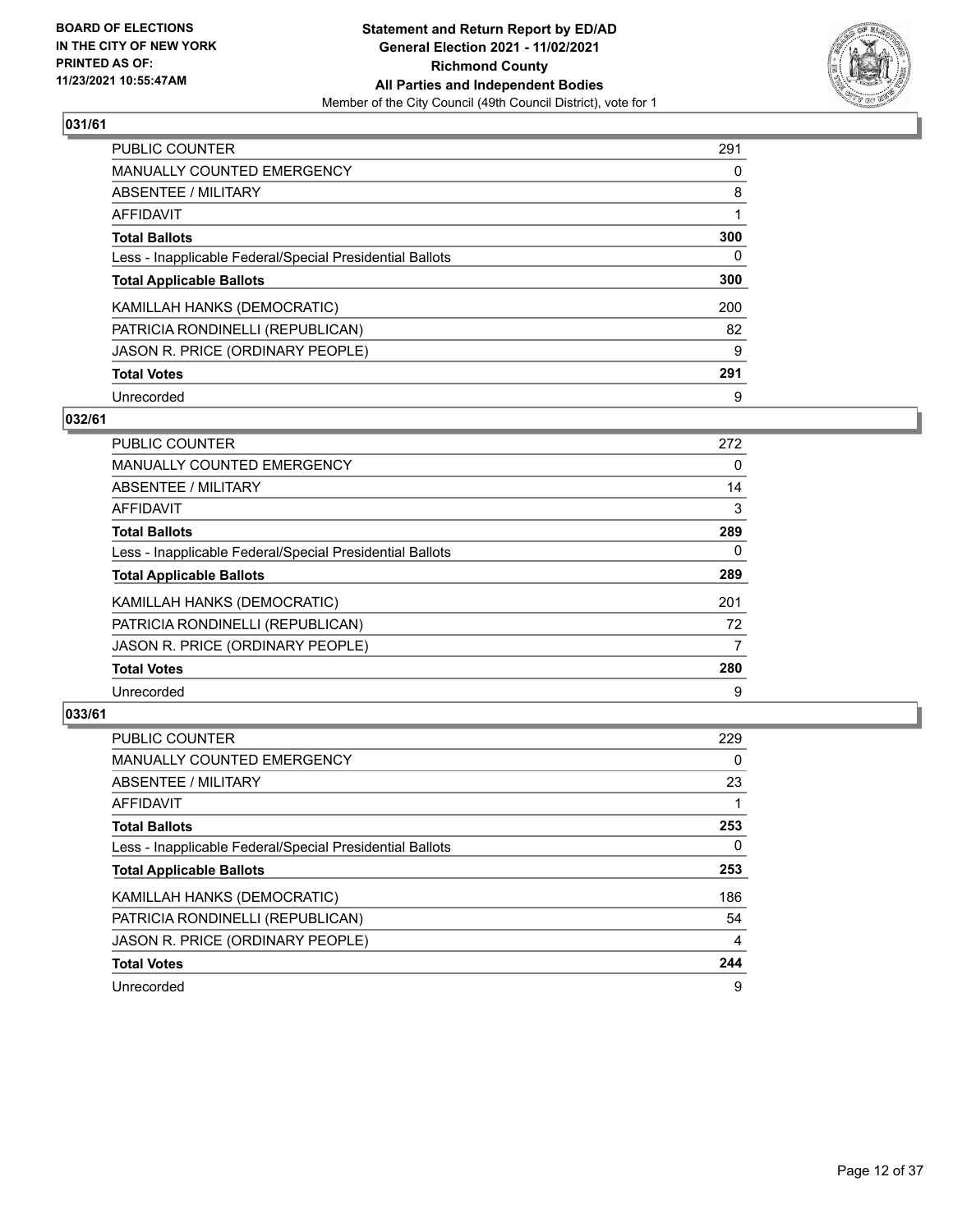

| <b>PUBLIC COUNTER</b>                                    | 291 |
|----------------------------------------------------------|-----|
| <b>MANUALLY COUNTED EMERGENCY</b>                        | 0   |
| <b>ABSENTEE / MILITARY</b>                               | 8   |
| AFFIDAVIT                                                |     |
| <b>Total Ballots</b>                                     | 300 |
| Less - Inapplicable Federal/Special Presidential Ballots | 0   |
| <b>Total Applicable Ballots</b>                          | 300 |
| KAMILLAH HANKS (DEMOCRATIC)                              | 200 |
| PATRICIA RONDINELLI (REPUBLICAN)                         | 82  |
| JASON R. PRICE (ORDINARY PEOPLE)                         | 9   |
| <b>Total Votes</b>                                       | 291 |
| Unrecorded                                               | 9   |

#### **032/61**

| <b>PUBLIC COUNTER</b>                                    | 272      |
|----------------------------------------------------------|----------|
| MANUALLY COUNTED EMERGENCY                               | 0        |
| ABSENTEE / MILITARY                                      | 14       |
| <b>AFFIDAVIT</b>                                         | 3        |
| <b>Total Ballots</b>                                     | 289      |
| Less - Inapplicable Federal/Special Presidential Ballots | $\Omega$ |
| <b>Total Applicable Ballots</b>                          | 289      |
| KAMILLAH HANKS (DEMOCRATIC)                              | 201      |
| PATRICIA RONDINELLI (REPUBLICAN)                         | 72       |
| JASON R. PRICE (ORDINARY PEOPLE)                         | 7        |
| <b>Total Votes</b>                                       | 280      |
| Unrecorded                                               | 9        |

| <b>PUBLIC COUNTER</b>                                    | 229      |
|----------------------------------------------------------|----------|
| <b>MANUALLY COUNTED EMERGENCY</b>                        | $\Omega$ |
| ABSENTEE / MILITARY                                      | 23       |
| AFFIDAVIT                                                |          |
| <b>Total Ballots</b>                                     | 253      |
| Less - Inapplicable Federal/Special Presidential Ballots | 0        |
| <b>Total Applicable Ballots</b>                          | 253      |
| KAMILLAH HANKS (DEMOCRATIC)                              | 186      |
| PATRICIA RONDINELLI (REPUBLICAN)                         | 54       |
| JASON R. PRICE (ORDINARY PEOPLE)                         | 4        |
| <b>Total Votes</b>                                       | 244      |
| Unrecorded                                               | 9        |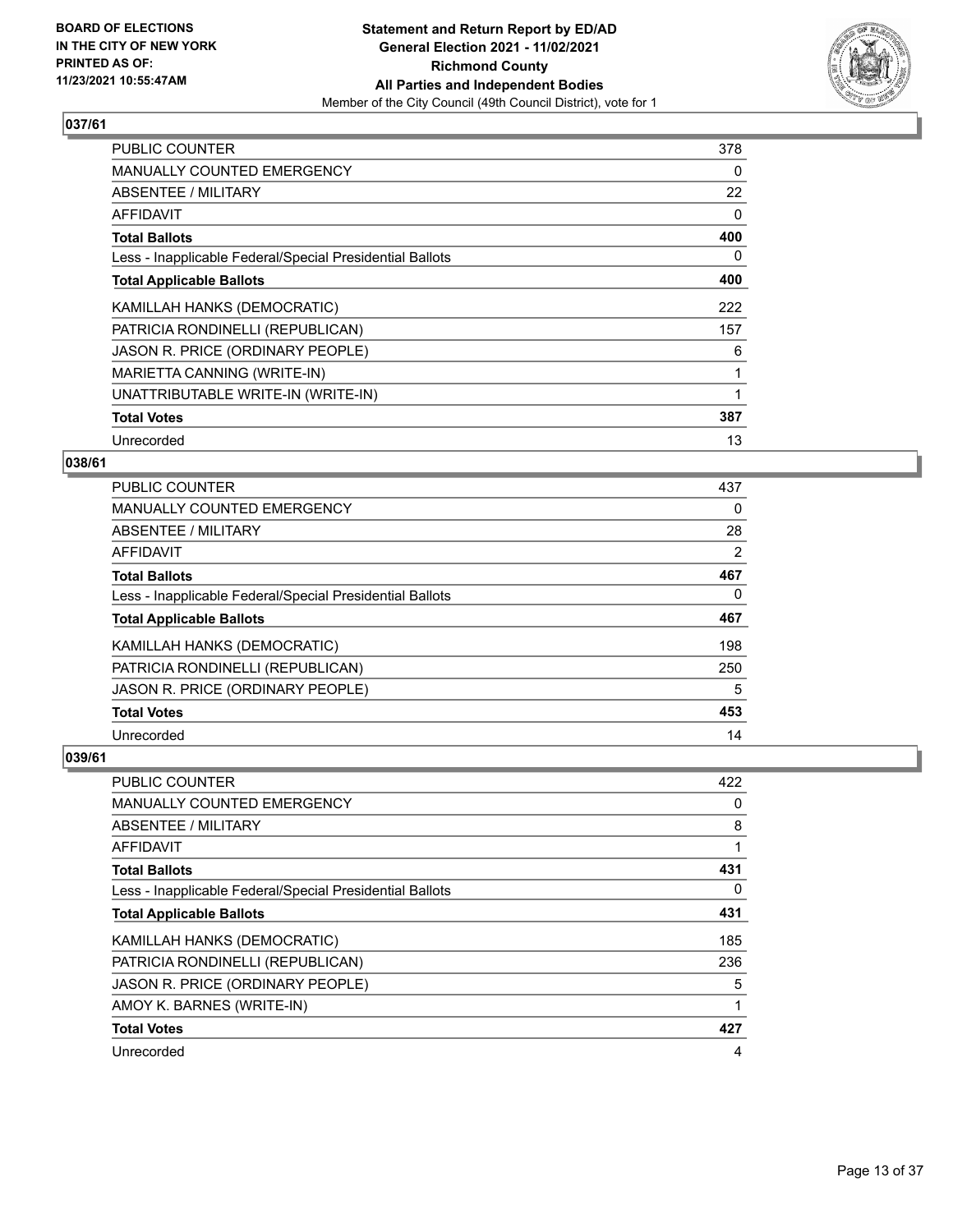

| <b>PUBLIC COUNTER</b>                                    | 378 |
|----------------------------------------------------------|-----|
| <b>MANUALLY COUNTED EMERGENCY</b>                        | 0   |
| ABSENTEE / MILITARY                                      | 22  |
| AFFIDAVIT                                                | 0   |
| <b>Total Ballots</b>                                     | 400 |
| Less - Inapplicable Federal/Special Presidential Ballots | 0   |
| <b>Total Applicable Ballots</b>                          | 400 |
| KAMILLAH HANKS (DEMOCRATIC)                              | 222 |
| PATRICIA RONDINELLI (REPUBLICAN)                         | 157 |
| JASON R. PRICE (ORDINARY PEOPLE)                         | 6   |
| MARIETTA CANNING (WRITE-IN)                              |     |
| UNATTRIBUTABLE WRITE-IN (WRITE-IN)                       |     |
| <b>Total Votes</b>                                       | 387 |
| Unrecorded                                               | 13  |

# **038/61**

| PUBLIC COUNTER                                           | 437 |
|----------------------------------------------------------|-----|
| <b>MANUALLY COUNTED EMERGENCY</b>                        | 0   |
| ABSENTEE / MILITARY                                      | 28  |
| AFFIDAVIT                                                | 2   |
| <b>Total Ballots</b>                                     | 467 |
| Less - Inapplicable Federal/Special Presidential Ballots | 0   |
| <b>Total Applicable Ballots</b>                          | 467 |
| KAMILLAH HANKS (DEMOCRATIC)                              | 198 |
| PATRICIA RONDINELLI (REPUBLICAN)                         | 250 |
| JASON R. PRICE (ORDINARY PEOPLE)                         | 5   |
| <b>Total Votes</b>                                       | 453 |
| Unrecorded                                               | 14  |

| PUBLIC COUNTER                                           | 422 |
|----------------------------------------------------------|-----|
| MANUALLY COUNTED EMERGENCY                               | 0   |
| ABSENTEE / MILITARY                                      | 8   |
| AFFIDAVIT                                                |     |
| <b>Total Ballots</b>                                     | 431 |
| Less - Inapplicable Federal/Special Presidential Ballots | 0   |
| <b>Total Applicable Ballots</b>                          | 431 |
| KAMILLAH HANKS (DEMOCRATIC)                              | 185 |
| PATRICIA RONDINELLI (REPUBLICAN)                         | 236 |
| JASON R. PRICE (ORDINARY PEOPLE)                         | 5   |
| AMOY K. BARNES (WRITE-IN)                                | 1   |
| <b>Total Votes</b>                                       | 427 |
| Unrecorded                                               | 4   |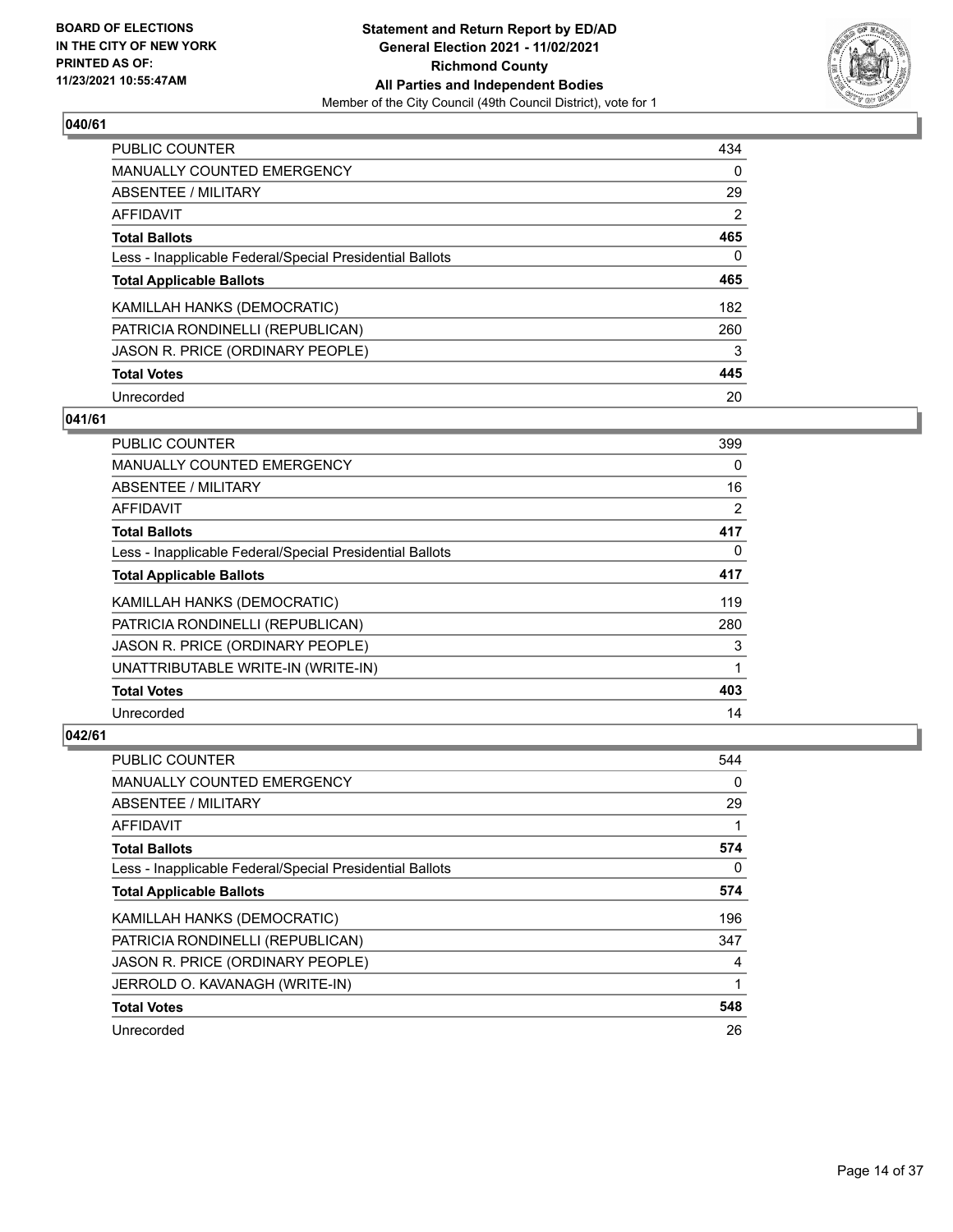

| PUBLIC COUNTER                                           | 434            |
|----------------------------------------------------------|----------------|
| MANUALLY COUNTED EMERGENCY                               | 0              |
| ABSENTEE / MILITARY                                      | 29             |
| AFFIDAVIT                                                | $\overline{2}$ |
| <b>Total Ballots</b>                                     | 465            |
| Less - Inapplicable Federal/Special Presidential Ballots | $\Omega$       |
| <b>Total Applicable Ballots</b>                          | 465            |
| KAMILLAH HANKS (DEMOCRATIC)                              | 182            |
| PATRICIA RONDINELLI (REPUBLICAN)                         | 260            |
| JASON R. PRICE (ORDINARY PEOPLE)                         | 3              |
| <b>Total Votes</b>                                       | 445            |
| Unrecorded                                               | 20             |

## **041/61**

| PUBLIC COUNTER                                           | 399      |
|----------------------------------------------------------|----------|
| <b>MANUALLY COUNTED EMERGENCY</b>                        | $\Omega$ |
| ABSENTEE / MILITARY                                      | 16       |
| AFFIDAVIT                                                | 2        |
| <b>Total Ballots</b>                                     | 417      |
| Less - Inapplicable Federal/Special Presidential Ballots | $\Omega$ |
| <b>Total Applicable Ballots</b>                          | 417      |
| KAMILLAH HANKS (DEMOCRATIC)                              | 119      |
| PATRICIA RONDINELLI (REPUBLICAN)                         | 280      |
| JASON R. PRICE (ORDINARY PEOPLE)                         | 3        |
| UNATTRIBUTABLE WRITE-IN (WRITE-IN)                       |          |
| <b>Total Votes</b>                                       | 403      |
| Unrecorded                                               | 14       |

| PUBLIC COUNTER                                           | 544 |
|----------------------------------------------------------|-----|
| MANUALLY COUNTED EMERGENCY                               | 0   |
| ABSENTEE / MILITARY                                      | 29  |
| AFFIDAVIT                                                |     |
| <b>Total Ballots</b>                                     | 574 |
| Less - Inapplicable Federal/Special Presidential Ballots | 0   |
| <b>Total Applicable Ballots</b>                          | 574 |
| KAMILLAH HANKS (DEMOCRATIC)                              | 196 |
| PATRICIA RONDINELLI (REPUBLICAN)                         | 347 |
| JASON R. PRICE (ORDINARY PEOPLE)                         | 4   |
| JERROLD O. KAVANAGH (WRITE-IN)                           | 1   |
| <b>Total Votes</b>                                       | 548 |
| Unrecorded                                               | 26  |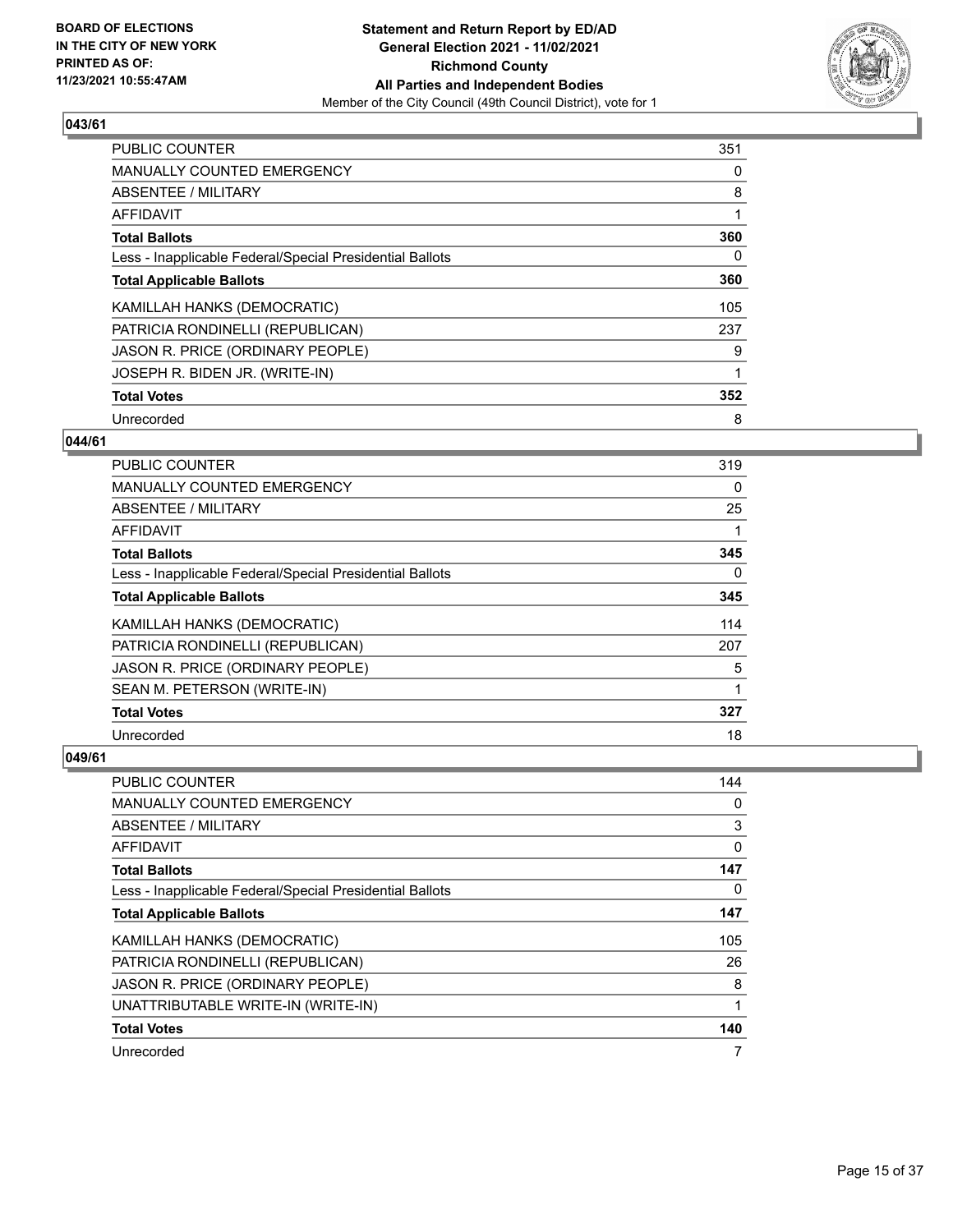

| <b>PUBLIC COUNTER</b>                                    | 351 |
|----------------------------------------------------------|-----|
| <b>MANUALLY COUNTED EMERGENCY</b>                        | 0   |
| ABSENTEE / MILITARY                                      | 8   |
| AFFIDAVIT                                                |     |
| <b>Total Ballots</b>                                     | 360 |
| Less - Inapplicable Federal/Special Presidential Ballots | 0   |
| <b>Total Applicable Ballots</b>                          | 360 |
| KAMILLAH HANKS (DEMOCRATIC)                              | 105 |
| PATRICIA RONDINELLI (REPUBLICAN)                         | 237 |
| JASON R. PRICE (ORDINARY PEOPLE)                         | 9   |
| JOSEPH R. BIDEN JR. (WRITE-IN)                           |     |
| <b>Total Votes</b>                                       | 352 |
| Unrecorded                                               | 8   |

# **044/61**

| PUBLIC COUNTER                                           | 319      |
|----------------------------------------------------------|----------|
| <b>MANUALLY COUNTED EMERGENCY</b>                        | 0        |
| ABSENTEE / MILITARY                                      | 25       |
| AFFIDAVIT                                                |          |
| <b>Total Ballots</b>                                     | 345      |
| Less - Inapplicable Federal/Special Presidential Ballots | $\Omega$ |
| <b>Total Applicable Ballots</b>                          | 345      |
| KAMILLAH HANKS (DEMOCRATIC)                              | 114      |
| PATRICIA RONDINELLI (REPUBLICAN)                         | 207      |
| JASON R. PRICE (ORDINARY PEOPLE)                         | 5        |
| SEAN M. PETERSON (WRITE-IN)                              |          |
| <b>Total Votes</b>                                       | 327      |
| Unrecorded                                               | 18       |

| PUBLIC COUNTER                                           | 144 |
|----------------------------------------------------------|-----|
| MANUALLY COUNTED EMERGENCY                               | 0   |
| ABSENTEE / MILITARY                                      | 3   |
| AFFIDAVIT                                                | 0   |
| <b>Total Ballots</b>                                     | 147 |
| Less - Inapplicable Federal/Special Presidential Ballots | 0   |
| <b>Total Applicable Ballots</b>                          | 147 |
| KAMILLAH HANKS (DEMOCRATIC)                              | 105 |
| PATRICIA RONDINELLI (REPUBLICAN)                         | 26  |
| JASON R. PRICE (ORDINARY PEOPLE)                         | 8   |
| UNATTRIBUTABLE WRITE-IN (WRITE-IN)                       | 1   |
| <b>Total Votes</b>                                       | 140 |
| Unrecorded                                               | 7   |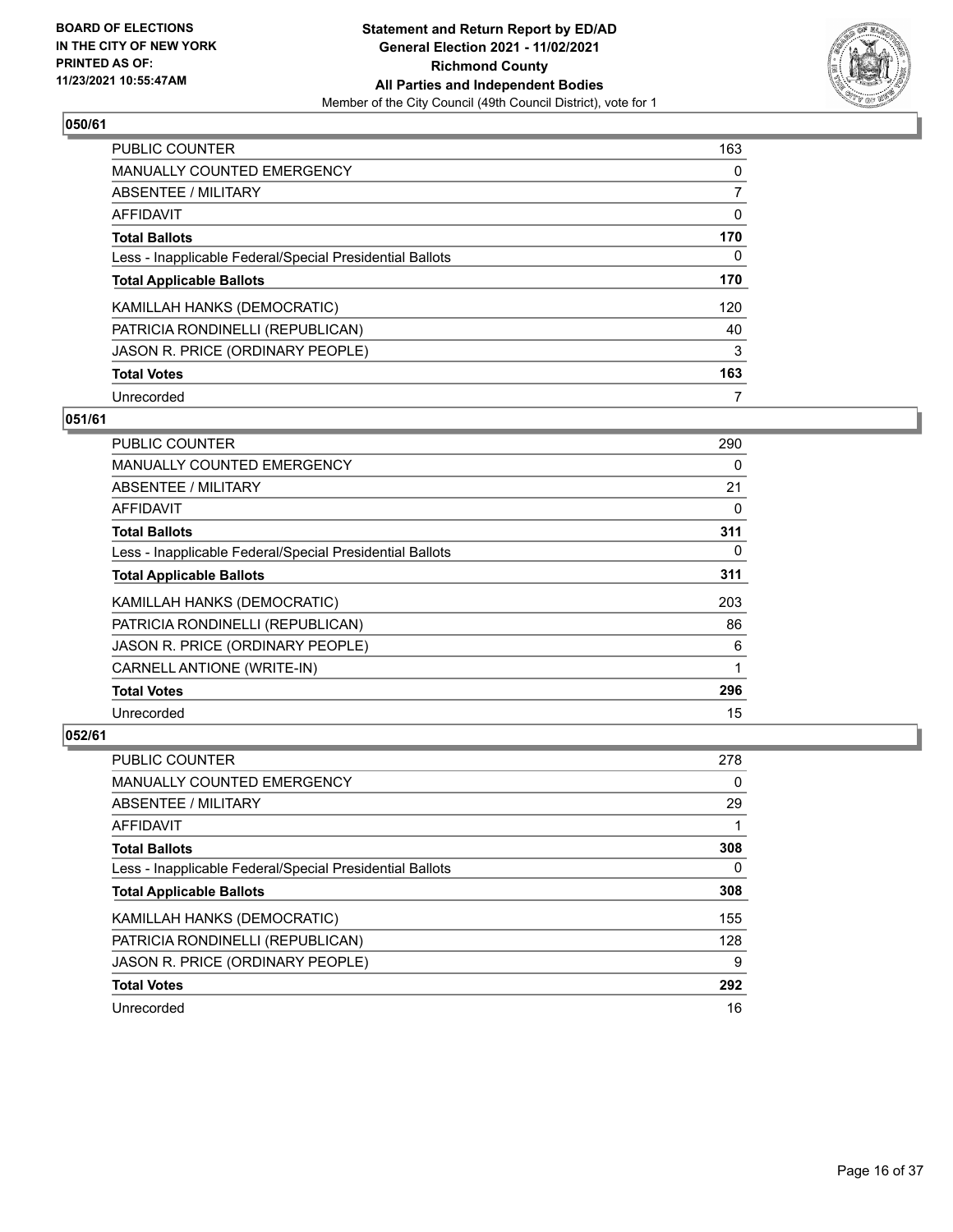

| PUBLIC COUNTER                                           | 163      |
|----------------------------------------------------------|----------|
| MANUALLY COUNTED EMERGENCY                               | $\Omega$ |
| ABSENTEE / MILITARY                                      |          |
| AFFIDAVIT                                                | 0        |
| <b>Total Ballots</b>                                     | 170      |
| Less - Inapplicable Federal/Special Presidential Ballots | 0        |
| <b>Total Applicable Ballots</b>                          | 170      |
| KAMILLAH HANKS (DEMOCRATIC)                              | 120      |
| PATRICIA RONDINELLI (REPUBLICAN)                         | 40       |
| JASON R. PRICE (ORDINARY PEOPLE)                         | 3        |
| <b>Total Votes</b>                                       | 163      |
| Unrecorded                                               | 7        |

#### **051/61**

| PUBLIC COUNTER                                           | 290      |
|----------------------------------------------------------|----------|
| MANUALLY COUNTED EMERGENCY                               | 0        |
| ABSENTEE / MILITARY                                      | 21       |
| AFFIDAVIT                                                | 0        |
| <b>Total Ballots</b>                                     | 311      |
| Less - Inapplicable Federal/Special Presidential Ballots | $\Omega$ |
| <b>Total Applicable Ballots</b>                          | 311      |
| KAMILLAH HANKS (DEMOCRATIC)                              | 203      |
| PATRICIA RONDINELLI (REPUBLICAN)                         | 86       |
| JASON R. PRICE (ORDINARY PEOPLE)                         | 6        |
| CARNELL ANTIONE (WRITE-IN)                               | 1        |
| <b>Total Votes</b>                                       | 296      |
| Unrecorded                                               | 15       |

| <b>PUBLIC COUNTER</b>                                    | 278 |
|----------------------------------------------------------|-----|
| <b>MANUALLY COUNTED EMERGENCY</b>                        | 0   |
| ABSENTEE / MILITARY                                      | 29  |
| AFFIDAVIT                                                |     |
| <b>Total Ballots</b>                                     | 308 |
| Less - Inapplicable Federal/Special Presidential Ballots | 0   |
| <b>Total Applicable Ballots</b>                          | 308 |
| KAMILLAH HANKS (DEMOCRATIC)                              | 155 |
| PATRICIA RONDINELLI (REPUBLICAN)                         | 128 |
| JASON R. PRICE (ORDINARY PEOPLE)                         | 9   |
| <b>Total Votes</b>                                       | 292 |
| Unrecorded                                               | 16  |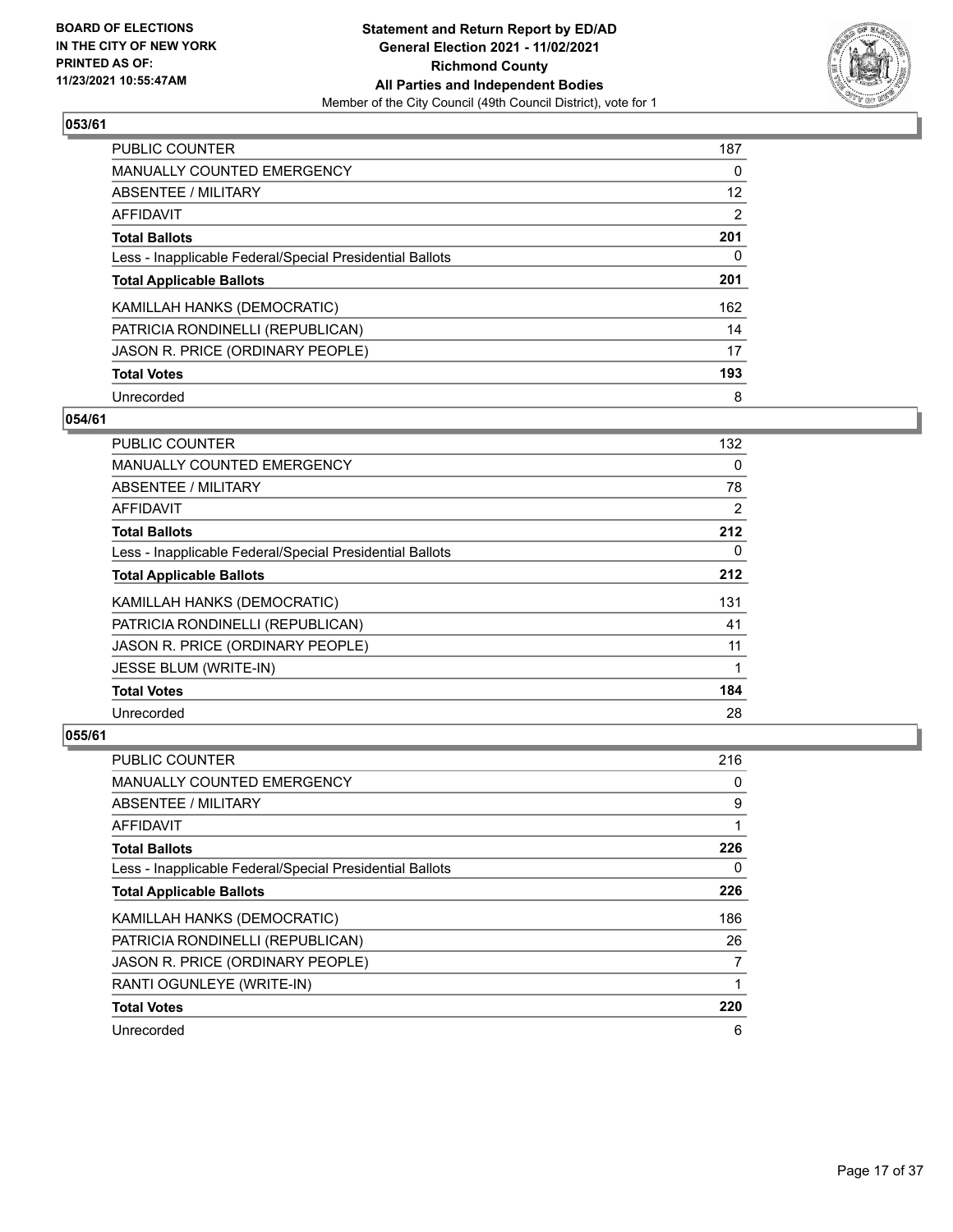

| PUBLIC COUNTER                                           | 187 |
|----------------------------------------------------------|-----|
| MANUALLY COUNTED EMERGENCY                               | 0   |
| ABSENTEE / MILITARY                                      | 12  |
| AFFIDAVIT                                                | 2   |
| <b>Total Ballots</b>                                     | 201 |
| Less - Inapplicable Federal/Special Presidential Ballots | 0   |
| <b>Total Applicable Ballots</b>                          | 201 |
| KAMILLAH HANKS (DEMOCRATIC)                              | 162 |
| PATRICIA RONDINELLI (REPUBLICAN)                         | 14  |
| JASON R. PRICE (ORDINARY PEOPLE)                         | 17  |
| <b>Total Votes</b>                                       | 193 |
| Unrecorded                                               | 8   |

## **054/61**

| PUBLIC COUNTER                                           | 132      |
|----------------------------------------------------------|----------|
| MANUALLY COUNTED EMERGENCY                               | $\Omega$ |
| ABSENTEE / MILITARY                                      | 78       |
| AFFIDAVIT                                                | 2        |
| <b>Total Ballots</b>                                     | 212      |
| Less - Inapplicable Federal/Special Presidential Ballots | 0        |
| <b>Total Applicable Ballots</b>                          | 212      |
| KAMILLAH HANKS (DEMOCRATIC)                              | 131      |
| PATRICIA RONDINELLI (REPUBLICAN)                         | 41       |
| JASON R. PRICE (ORDINARY PEOPLE)                         | 11       |
| JESSE BLUM (WRITE-IN)                                    | 1        |
| <b>Total Votes</b>                                       | 184      |
| Unrecorded                                               | 28       |

| PUBLIC COUNTER                                           | 216 |
|----------------------------------------------------------|-----|
| MANUALLY COUNTED EMERGENCY                               | 0   |
| ABSENTEE / MILITARY                                      | 9   |
| AFFIDAVIT                                                |     |
| <b>Total Ballots</b>                                     | 226 |
| Less - Inapplicable Federal/Special Presidential Ballots | 0   |
| <b>Total Applicable Ballots</b>                          | 226 |
| KAMILLAH HANKS (DEMOCRATIC)                              | 186 |
| PATRICIA RONDINELLI (REPUBLICAN)                         | 26  |
| JASON R. PRICE (ORDINARY PEOPLE)                         | 7   |
| RANTI OGUNLEYE (WRITE-IN)                                | 1   |
| <b>Total Votes</b>                                       | 220 |
| Unrecorded                                               | 6   |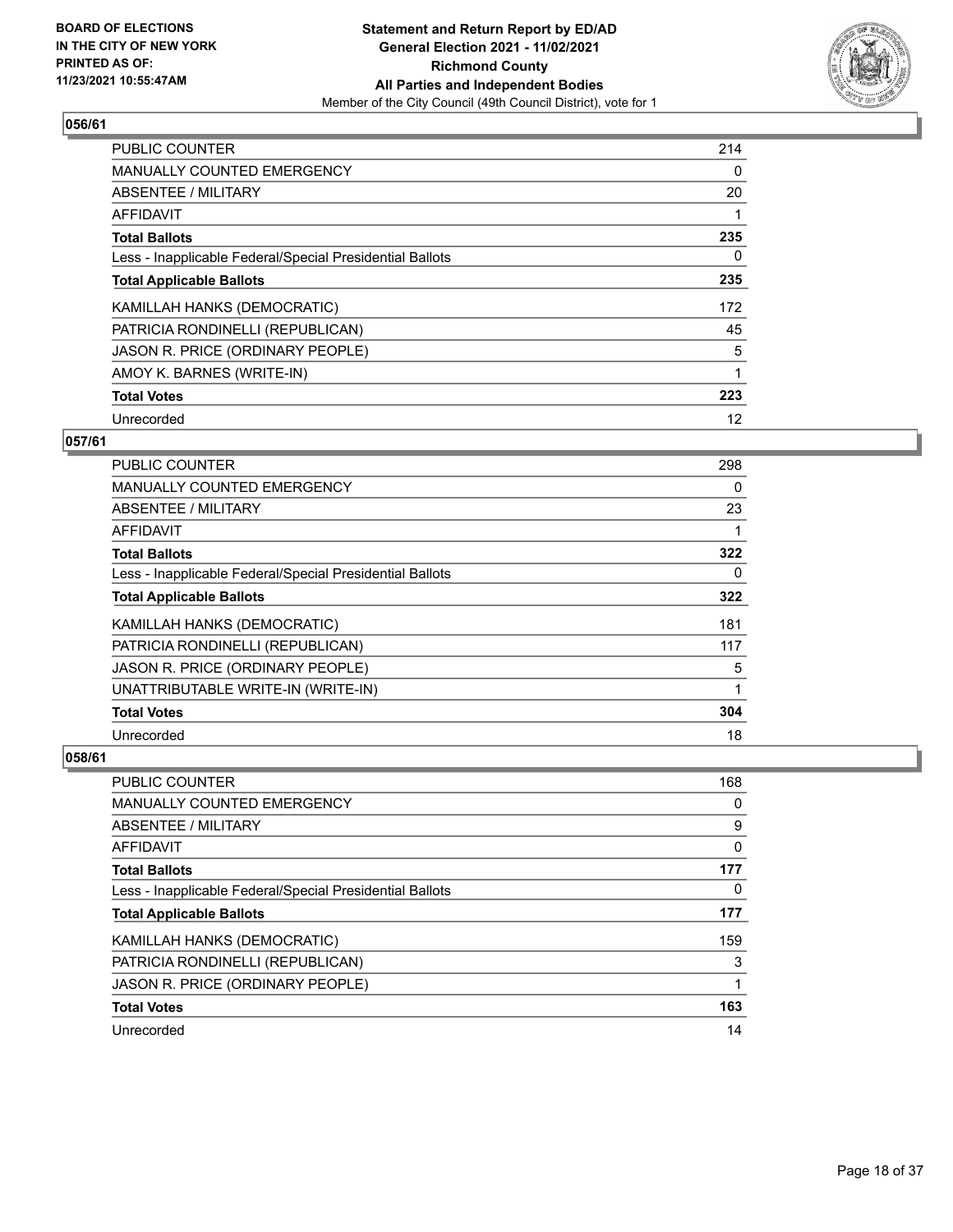

| <b>PUBLIC COUNTER</b>                                    | 214 |
|----------------------------------------------------------|-----|
| <b>MANUALLY COUNTED EMERGENCY</b>                        | 0   |
| ABSENTEE / MILITARY                                      | 20  |
| AFFIDAVIT                                                |     |
| <b>Total Ballots</b>                                     | 235 |
| Less - Inapplicable Federal/Special Presidential Ballots | 0   |
| <b>Total Applicable Ballots</b>                          | 235 |
| KAMILLAH HANKS (DEMOCRATIC)                              | 172 |
| PATRICIA RONDINELLI (REPUBLICAN)                         | 45  |
| JASON R. PRICE (ORDINARY PEOPLE)                         | 5   |
| AMOY K. BARNES (WRITE-IN)                                |     |
| <b>Total Votes</b>                                       | 223 |
| Unrecorded                                               | 12  |

# **057/61**

| PUBLIC COUNTER                                           | 298 |
|----------------------------------------------------------|-----|
| MANUALLY COUNTED EMERGENCY                               | 0   |
| ABSENTEE / MILITARY                                      | 23  |
| AFFIDAVIT                                                |     |
| <b>Total Ballots</b>                                     | 322 |
| Less - Inapplicable Federal/Special Presidential Ballots | 0   |
| <b>Total Applicable Ballots</b>                          | 322 |
| KAMILLAH HANKS (DEMOCRATIC)                              | 181 |
| PATRICIA RONDINELLI (REPUBLICAN)                         | 117 |
| JASON R. PRICE (ORDINARY PEOPLE)                         | 5   |
| UNATTRIBUTABLE WRITE-IN (WRITE-IN)                       | 1   |
| <b>Total Votes</b>                                       | 304 |
| Unrecorded                                               | 18  |

| <b>PUBLIC COUNTER</b>                                    | 168 |
|----------------------------------------------------------|-----|
| <b>MANUALLY COUNTED EMERGENCY</b>                        | 0   |
| ABSENTEE / MILITARY                                      | 9   |
| AFFIDAVIT                                                | 0   |
| <b>Total Ballots</b>                                     | 177 |
| Less - Inapplicable Federal/Special Presidential Ballots | 0   |
| <b>Total Applicable Ballots</b>                          | 177 |
| KAMILLAH HANKS (DEMOCRATIC)                              | 159 |
| PATRICIA RONDINELLI (REPUBLICAN)                         | 3   |
| JASON R. PRICE (ORDINARY PEOPLE)                         |     |
| <b>Total Votes</b>                                       | 163 |
| Unrecorded                                               | 14  |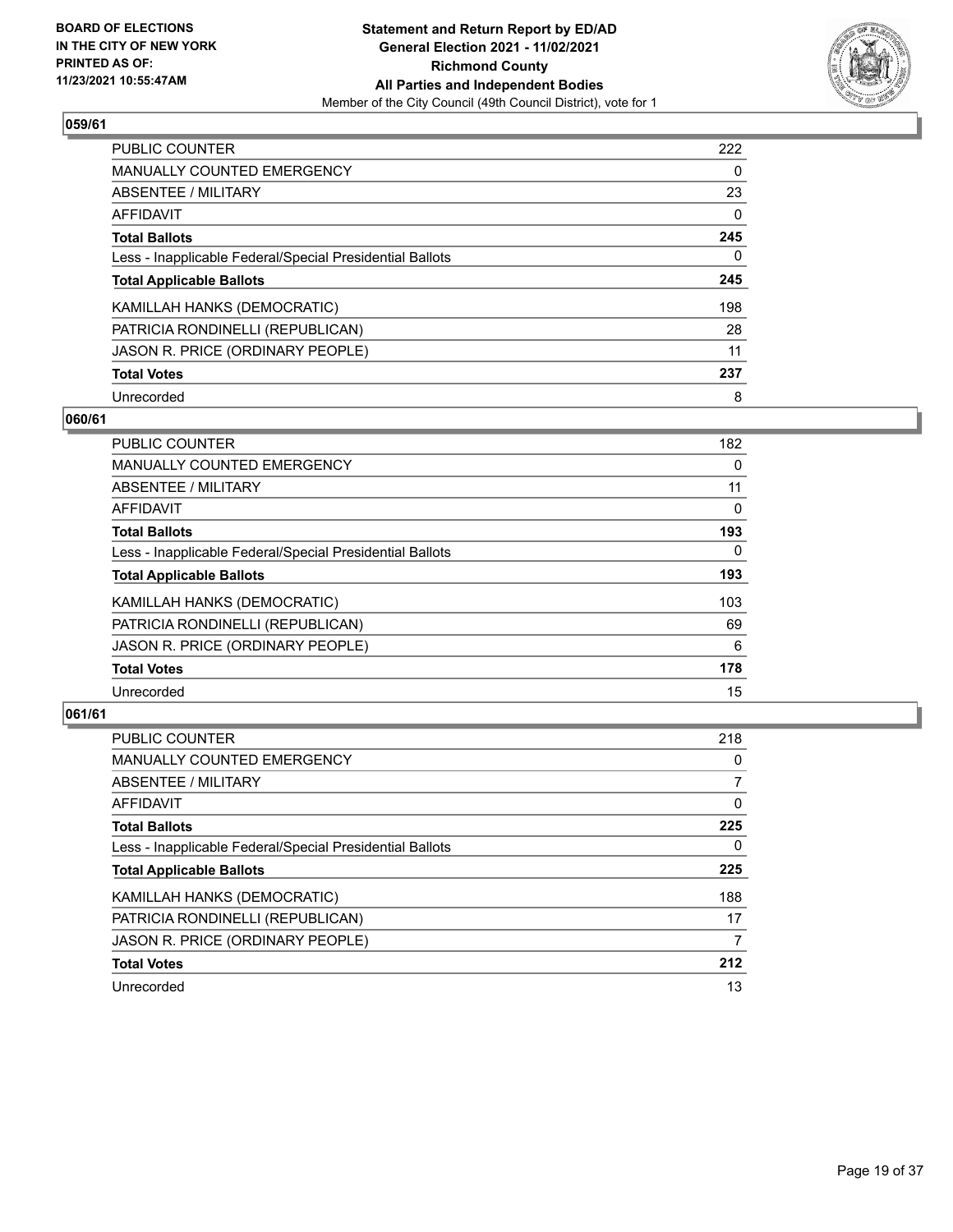

| PUBLIC COUNTER                                           | 222      |
|----------------------------------------------------------|----------|
| MANUALLY COUNTED EMERGENCY                               | $\Omega$ |
| ABSENTEE / MILITARY                                      | 23       |
| AFFIDAVIT                                                | $\Omega$ |
| <b>Total Ballots</b>                                     | 245      |
| Less - Inapplicable Federal/Special Presidential Ballots | 0        |
| <b>Total Applicable Ballots</b>                          | 245      |
| KAMILLAH HANKS (DEMOCRATIC)                              | 198      |
| PATRICIA RONDINELLI (REPUBLICAN)                         | 28       |
| JASON R. PRICE (ORDINARY PEOPLE)                         | 11       |
| <b>Total Votes</b>                                       | 237      |
| Unrecorded                                               | 8        |

#### **060/61**

| <b>PUBLIC COUNTER</b>                                    | 182      |
|----------------------------------------------------------|----------|
| MANUALLY COUNTED EMERGENCY                               | 0        |
| ABSENTEE / MILITARY                                      | 11       |
| <b>AFFIDAVIT</b>                                         | $\Omega$ |
| <b>Total Ballots</b>                                     | 193      |
| Less - Inapplicable Federal/Special Presidential Ballots | $\Omega$ |
| <b>Total Applicable Ballots</b>                          | 193      |
| KAMILLAH HANKS (DEMOCRATIC)                              | 103      |
| PATRICIA RONDINELLI (REPUBLICAN)                         | 69       |
| JASON R. PRICE (ORDINARY PEOPLE)                         | 6        |
| <b>Total Votes</b>                                       | 178      |
| Unrecorded                                               | 15       |

| <b>PUBLIC COUNTER</b>                                    | 218      |
|----------------------------------------------------------|----------|
| <b>MANUALLY COUNTED EMERGENCY</b>                        | $\Omega$ |
| ABSENTEE / MILITARY                                      |          |
| AFFIDAVIT                                                | 0        |
| <b>Total Ballots</b>                                     | 225      |
| Less - Inapplicable Federal/Special Presidential Ballots | 0        |
| <b>Total Applicable Ballots</b>                          | 225      |
| KAMILLAH HANKS (DEMOCRATIC)                              | 188      |
| PATRICIA RONDINELLI (REPUBLICAN)                         | 17       |
| JASON R. PRICE (ORDINARY PEOPLE)                         | 7        |
| <b>Total Votes</b>                                       | 212      |
| Unrecorded                                               | 13       |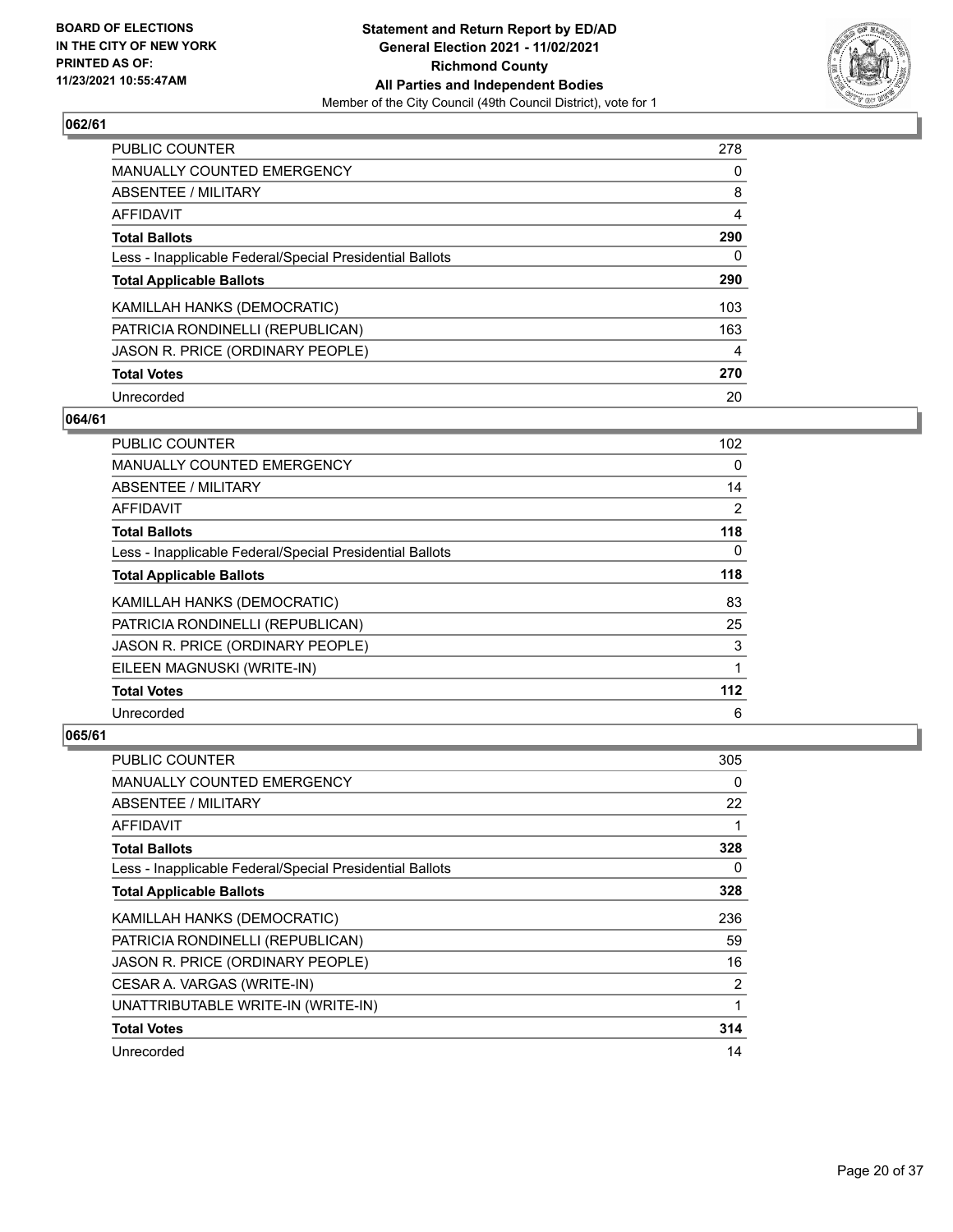

| PUBLIC COUNTER                                           | 278 |
|----------------------------------------------------------|-----|
| <b>MANUALLY COUNTED EMERGENCY</b>                        | 0   |
| ABSENTEE / MILITARY                                      | 8   |
| AFFIDAVIT                                                | 4   |
| <b>Total Ballots</b>                                     | 290 |
| Less - Inapplicable Federal/Special Presidential Ballots | 0   |
| <b>Total Applicable Ballots</b>                          | 290 |
| KAMILLAH HANKS (DEMOCRATIC)                              | 103 |
| PATRICIA RONDINELLI (REPUBLICAN)                         | 163 |
| JASON R. PRICE (ORDINARY PEOPLE)                         | 4   |
| <b>Total Votes</b>                                       | 270 |
| Unrecorded                                               | 20  |

# **064/61**

| PUBLIC COUNTER                                           | 102            |
|----------------------------------------------------------|----------------|
| <b>MANUALLY COUNTED EMERGENCY</b>                        | 0              |
| ABSENTEE / MILITARY                                      | 14             |
| AFFIDAVIT                                                | $\overline{2}$ |
| <b>Total Ballots</b>                                     | 118            |
| Less - Inapplicable Federal/Special Presidential Ballots | $\Omega$       |
| <b>Total Applicable Ballots</b>                          | 118            |
| KAMILLAH HANKS (DEMOCRATIC)                              | 83             |
| PATRICIA RONDINELLI (REPUBLICAN)                         | 25             |
| JASON R. PRICE (ORDINARY PEOPLE)                         | 3              |
| EILEEN MAGNUSKI (WRITE-IN)                               |                |
| <b>Total Votes</b>                                       | 112            |
| Unrecorded                                               | 6              |

| <b>PUBLIC COUNTER</b>                                    | 305 |
|----------------------------------------------------------|-----|
| MANUALLY COUNTED EMERGENCY                               | 0   |
| ABSENTEE / MILITARY                                      | 22  |
| AFFIDAVIT                                                | 1   |
| <b>Total Ballots</b>                                     | 328 |
| Less - Inapplicable Federal/Special Presidential Ballots | 0   |
| <b>Total Applicable Ballots</b>                          | 328 |
| KAMILLAH HANKS (DEMOCRATIC)                              | 236 |
| PATRICIA RONDINELLI (REPUBLICAN)                         | 59  |
| JASON R. PRICE (ORDINARY PEOPLE)                         | 16  |
| CESAR A. VARGAS (WRITE-IN)                               | 2   |
| UNATTRIBUTABLE WRITE-IN (WRITE-IN)                       | 1   |
| <b>Total Votes</b>                                       | 314 |
| Unrecorded                                               | 14  |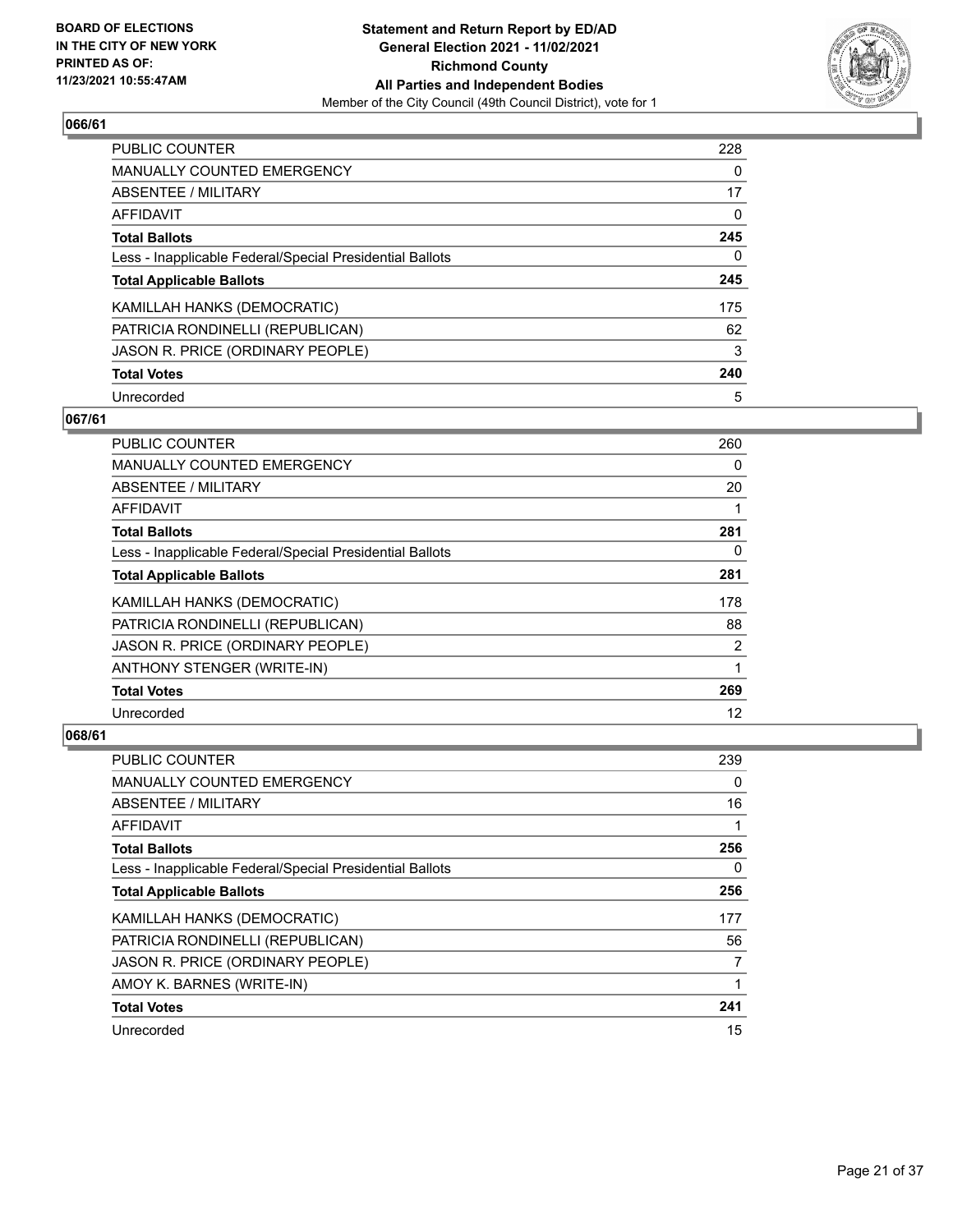

| PUBLIC COUNTER                                           | 228      |
|----------------------------------------------------------|----------|
| <b>MANUALLY COUNTED EMERGENCY</b>                        | 0        |
| ABSENTEE / MILITARY                                      | 17       |
| AFFIDAVIT                                                | $\Omega$ |
| <b>Total Ballots</b>                                     | 245      |
| Less - Inapplicable Federal/Special Presidential Ballots | 0        |
| <b>Total Applicable Ballots</b>                          | 245      |
| KAMILLAH HANKS (DEMOCRATIC)                              | 175      |
| PATRICIA RONDINELLI (REPUBLICAN)                         | 62       |
| JASON R. PRICE (ORDINARY PEOPLE)                         | 3        |
| <b>Total Votes</b>                                       | 240      |
| Unrecorded                                               | 5        |

## **067/61**

| PUBLIC COUNTER                                           | 260 |
|----------------------------------------------------------|-----|
| <b>MANUALLY COUNTED EMERGENCY</b>                        | 0   |
| ABSENTEE / MILITARY                                      | 20  |
| AFFIDAVIT                                                |     |
| <b>Total Ballots</b>                                     | 281 |
| Less - Inapplicable Federal/Special Presidential Ballots | 0   |
| <b>Total Applicable Ballots</b>                          | 281 |
| KAMILLAH HANKS (DEMOCRATIC)                              | 178 |
| PATRICIA RONDINELLI (REPUBLICAN)                         | 88  |
| JASON R. PRICE (ORDINARY PEOPLE)                         | 2   |
| ANTHONY STENGER (WRITE-IN)                               | 1   |
| <b>Total Votes</b>                                       | 269 |
| Unrecorded                                               | 12  |

| PUBLIC COUNTER                                           | 239 |
|----------------------------------------------------------|-----|
| MANUALLY COUNTED EMERGENCY                               | 0   |
| ABSENTEE / MILITARY                                      | 16  |
| AFFIDAVIT                                                |     |
| <b>Total Ballots</b>                                     | 256 |
| Less - Inapplicable Federal/Special Presidential Ballots | 0   |
| <b>Total Applicable Ballots</b>                          | 256 |
| KAMILLAH HANKS (DEMOCRATIC)                              | 177 |
| PATRICIA RONDINELLI (REPUBLICAN)                         | 56  |
| JASON R. PRICE (ORDINARY PEOPLE)                         | 7   |
| AMOY K. BARNES (WRITE-IN)                                | 1   |
| <b>Total Votes</b>                                       | 241 |
| Unrecorded                                               | 15  |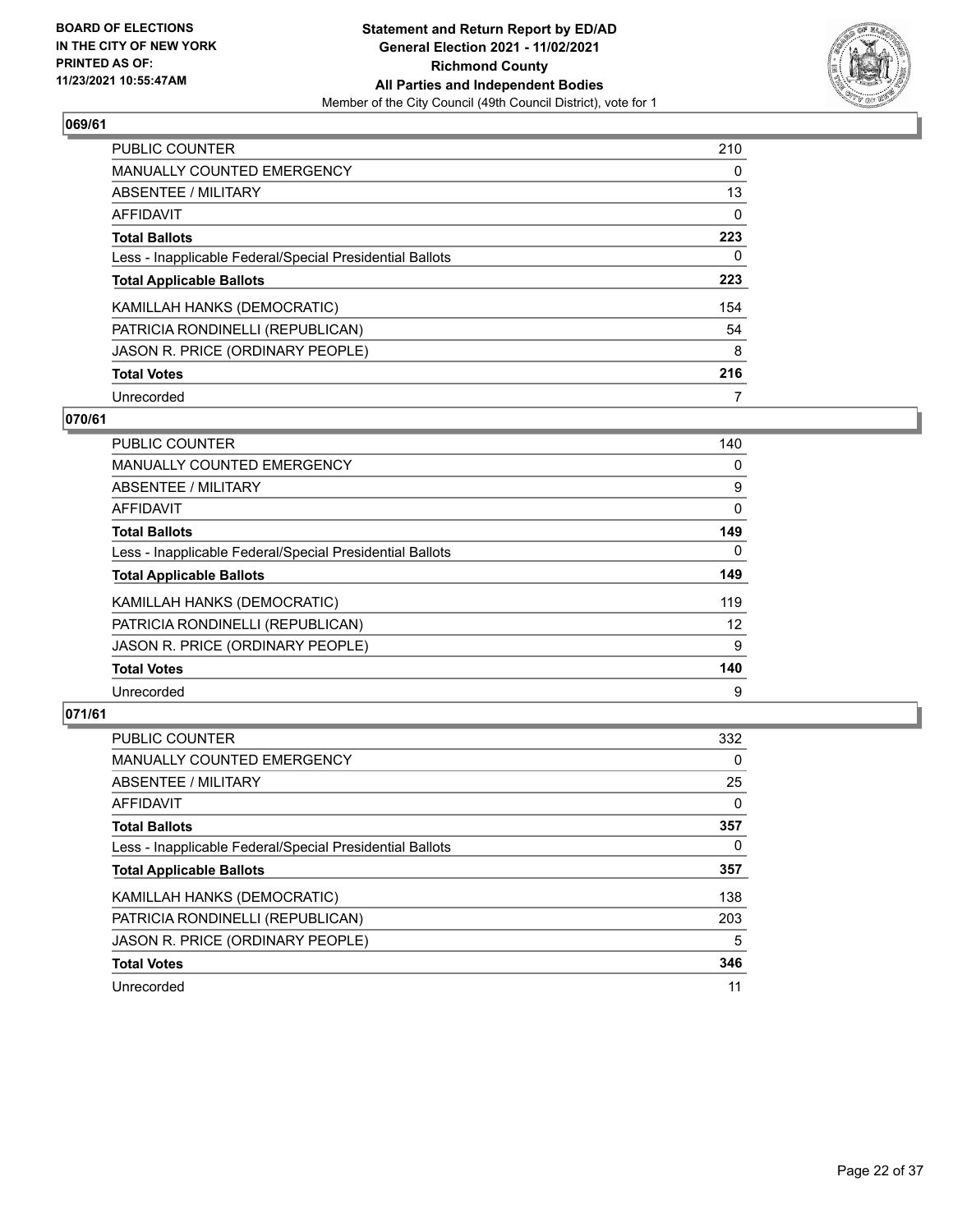

| <b>PUBLIC COUNTER</b>                                    | 210      |
|----------------------------------------------------------|----------|
| <b>MANUALLY COUNTED EMERGENCY</b>                        | $\Omega$ |
| ABSENTEE / MILITARY                                      | 13       |
| AFFIDAVIT                                                | 0        |
| <b>Total Ballots</b>                                     | 223      |
| Less - Inapplicable Federal/Special Presidential Ballots | 0        |
| <b>Total Applicable Ballots</b>                          | 223      |
| KAMILLAH HANKS (DEMOCRATIC)                              | 154      |
| PATRICIA RONDINELLI (REPUBLICAN)                         | 54       |
| JASON R. PRICE (ORDINARY PEOPLE)                         | 8        |
| <b>Total Votes</b>                                       | 216      |
| Unrecorded                                               |          |

#### **070/61**

| <b>PUBLIC COUNTER</b>                                    | 140      |
|----------------------------------------------------------|----------|
| <b>MANUALLY COUNTED EMERGENCY</b>                        | $\Omega$ |
| ABSENTEE / MILITARY                                      | 9        |
| <b>AFFIDAVIT</b>                                         | $\Omega$ |
| <b>Total Ballots</b>                                     | 149      |
| Less - Inapplicable Federal/Special Presidential Ballots | $\Omega$ |
| <b>Total Applicable Ballots</b>                          | 149      |
| KAMILLAH HANKS (DEMOCRATIC)                              | 119      |
| PATRICIA RONDINELLI (REPUBLICAN)                         | 12       |
| JASON R. PRICE (ORDINARY PEOPLE)                         | 9        |
| <b>Total Votes</b>                                       | 140      |
| Unrecorded                                               | 9        |

| <b>PUBLIC COUNTER</b>                                    | 332      |
|----------------------------------------------------------|----------|
| <b>MANUALLY COUNTED EMERGENCY</b>                        | $\Omega$ |
| ABSENTEE / MILITARY                                      | 25       |
| AFFIDAVIT                                                | $\Omega$ |
| <b>Total Ballots</b>                                     | 357      |
| Less - Inapplicable Federal/Special Presidential Ballots | 0        |
| <b>Total Applicable Ballots</b>                          | 357      |
| KAMILLAH HANKS (DEMOCRATIC)                              | 138      |
| PATRICIA RONDINELLI (REPUBLICAN)                         | 203      |
| JASON R. PRICE (ORDINARY PEOPLE)                         | 5        |
| <b>Total Votes</b>                                       | 346      |
| Unrecorded                                               | 11       |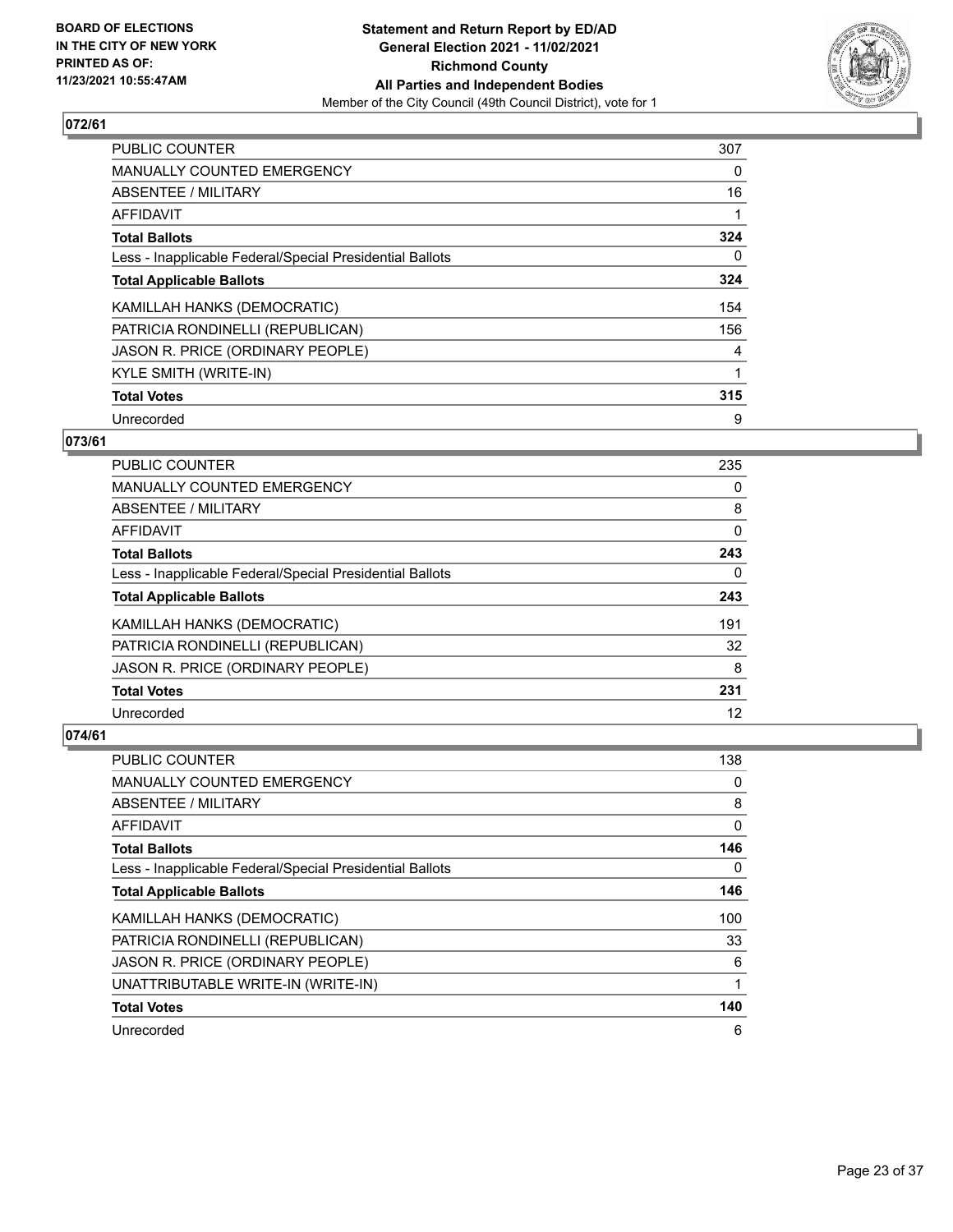

| <b>PUBLIC COUNTER</b>                                    | 307 |
|----------------------------------------------------------|-----|
| MANUALLY COUNTED EMERGENCY                               | 0   |
| ABSENTEE / MILITARY                                      | 16  |
| AFFIDAVIT                                                |     |
| <b>Total Ballots</b>                                     | 324 |
| Less - Inapplicable Federal/Special Presidential Ballots | 0   |
| <b>Total Applicable Ballots</b>                          | 324 |
| KAMILLAH HANKS (DEMOCRATIC)                              | 154 |
| PATRICIA RONDINELLI (REPUBLICAN)                         | 156 |
| JASON R. PRICE (ORDINARY PEOPLE)                         | 4   |
| KYLE SMITH (WRITE-IN)                                    |     |
| <b>Total Votes</b>                                       | 315 |
| Unrecorded                                               | 9   |

# **073/61**

| <b>PUBLIC COUNTER</b>                                    | 235      |
|----------------------------------------------------------|----------|
| <b>MANUALLY COUNTED EMERGENCY</b>                        | 0        |
| ABSENTEE / MILITARY                                      | 8        |
| AFFIDAVIT                                                | $\Omega$ |
| <b>Total Ballots</b>                                     | 243      |
| Less - Inapplicable Federal/Special Presidential Ballots | 0        |
| <b>Total Applicable Ballots</b>                          | 243      |
| KAMILLAH HANKS (DEMOCRATIC)                              | 191      |
| PATRICIA RONDINELLI (REPUBLICAN)                         | 32       |
| JASON R. PRICE (ORDINARY PEOPLE)                         | 8        |
| <b>Total Votes</b>                                       | 231      |
| Unrecorded                                               | 12       |

| <b>PUBLIC COUNTER</b>                                    | 138 |
|----------------------------------------------------------|-----|
| MANUALLY COUNTED EMERGENCY                               | 0   |
| ABSENTEE / MILITARY                                      | 8   |
| AFFIDAVIT                                                | 0   |
| <b>Total Ballots</b>                                     | 146 |
| Less - Inapplicable Federal/Special Presidential Ballots | 0   |
| <b>Total Applicable Ballots</b>                          | 146 |
| KAMILLAH HANKS (DEMOCRATIC)                              | 100 |
| PATRICIA RONDINELLI (REPUBLICAN)                         | 33  |
| JASON R. PRICE (ORDINARY PEOPLE)                         | 6   |
| UNATTRIBUTABLE WRITE-IN (WRITE-IN)                       | 1   |
| <b>Total Votes</b>                                       | 140 |
| Unrecorded                                               | 6   |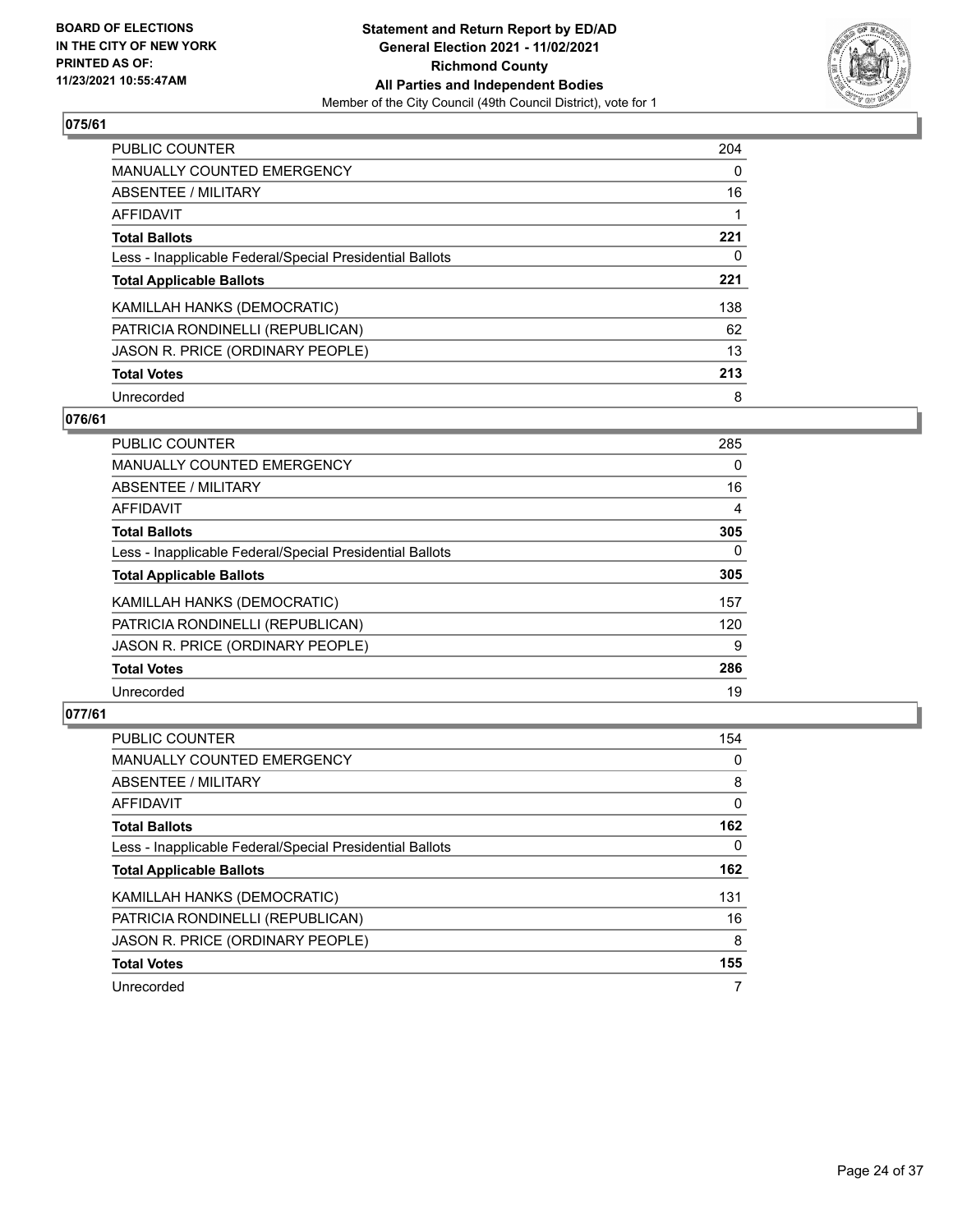

| PUBLIC COUNTER                                           | 204      |
|----------------------------------------------------------|----------|
| <b>MANUALLY COUNTED EMERGENCY</b>                        | $\Omega$ |
| ABSENTEE / MILITARY                                      | 16       |
| AFFIDAVIT                                                |          |
| <b>Total Ballots</b>                                     | 221      |
| Less - Inapplicable Federal/Special Presidential Ballots | 0        |
| <b>Total Applicable Ballots</b>                          | 221      |
| KAMILLAH HANKS (DEMOCRATIC)                              | 138      |
| PATRICIA RONDINELLI (REPUBLICAN)                         | 62       |
| JASON R. PRICE (ORDINARY PEOPLE)                         | 13       |
| <b>Total Votes</b>                                       | 213      |
| Unrecorded                                               | 8        |

## **076/61**

| <b>PUBLIC COUNTER</b>                                    | 285            |
|----------------------------------------------------------|----------------|
| MANUALLY COUNTED EMERGENCY                               | $\Omega$       |
| ABSENTEE / MILITARY                                      | 16             |
| AFFIDAVIT                                                | $\overline{4}$ |
| <b>Total Ballots</b>                                     | 305            |
| Less - Inapplicable Federal/Special Presidential Ballots | $\Omega$       |
| <b>Total Applicable Ballots</b>                          | 305            |
| KAMILLAH HANKS (DEMOCRATIC)                              | 157            |
| PATRICIA RONDINELLI (REPUBLICAN)                         | 120            |
| JASON R. PRICE (ORDINARY PEOPLE)                         | 9              |
| <b>Total Votes</b>                                       | 286            |
| Unrecorded                                               | 19             |

| <b>PUBLIC COUNTER</b>                                    | 154 |
|----------------------------------------------------------|-----|
| <b>MANUALLY COUNTED EMERGENCY</b>                        | 0   |
| ABSENTEE / MILITARY                                      | 8   |
| <b>AFFIDAVIT</b>                                         | 0   |
| <b>Total Ballots</b>                                     | 162 |
| Less - Inapplicable Federal/Special Presidential Ballots | 0   |
| <b>Total Applicable Ballots</b>                          | 162 |
| KAMILLAH HANKS (DEMOCRATIC)                              | 131 |
| PATRICIA RONDINELLI (REPUBLICAN)                         | 16  |
| JASON R. PRICE (ORDINARY PEOPLE)                         | 8   |
| <b>Total Votes</b>                                       | 155 |
| Unrecorded                                               |     |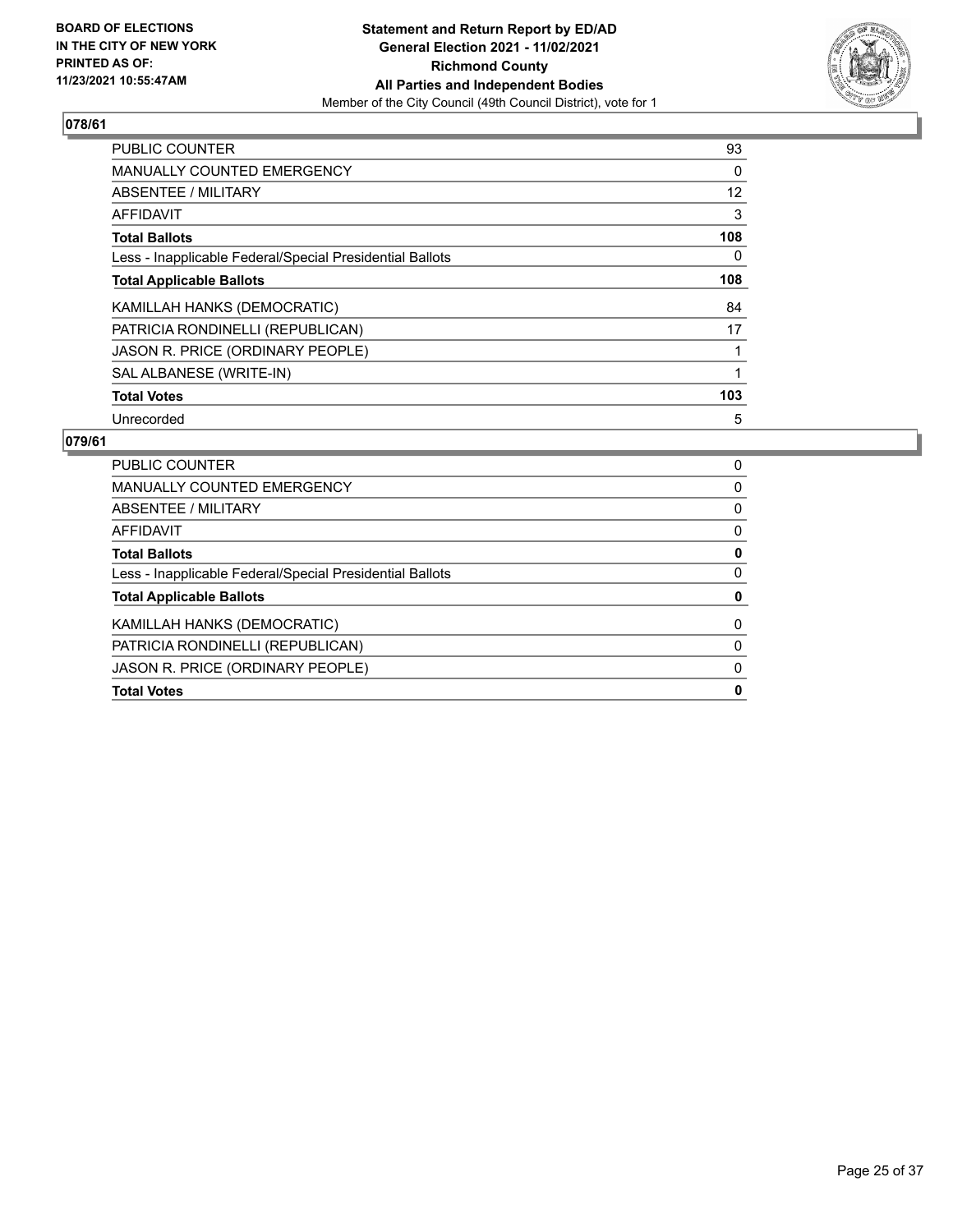

| PUBLIC COUNTER                                           | 93                |
|----------------------------------------------------------|-------------------|
| <b>MANUALLY COUNTED EMERGENCY</b>                        | 0                 |
| ABSENTEE / MILITARY                                      | $12 \overline{ }$ |
| AFFIDAVIT                                                | 3                 |
| <b>Total Ballots</b>                                     | 108               |
| Less - Inapplicable Federal/Special Presidential Ballots | 0                 |
| <b>Total Applicable Ballots</b>                          | 108               |
| KAMILLAH HANKS (DEMOCRATIC)                              | 84                |
| PATRICIA RONDINELLI (REPUBLICAN)                         | 17                |
| JASON R. PRICE (ORDINARY PEOPLE)                         |                   |
| SAL ALBANESE (WRITE-IN)                                  |                   |
| <b>Total Votes</b>                                       | 103               |
| Unrecorded                                               | 5                 |

| <b>Total Votes</b>                                       | 0        |
|----------------------------------------------------------|----------|
| JASON R. PRICE (ORDINARY PEOPLE)                         | 0        |
| PATRICIA RONDINELLI (REPUBLICAN)                         | $\Omega$ |
| KAMILLAH HANKS (DEMOCRATIC)                              | 0        |
| <b>Total Applicable Ballots</b>                          | 0        |
| Less - Inapplicable Federal/Special Presidential Ballots | 0        |
| <b>Total Ballots</b>                                     | 0        |
| AFFIDAVIT                                                | 0        |
| ABSENTEE / MILITARY                                      | 0        |
| MANUALLY COUNTED EMERGENCY                               | 0        |
| <b>PUBLIC COUNTER</b>                                    | 0        |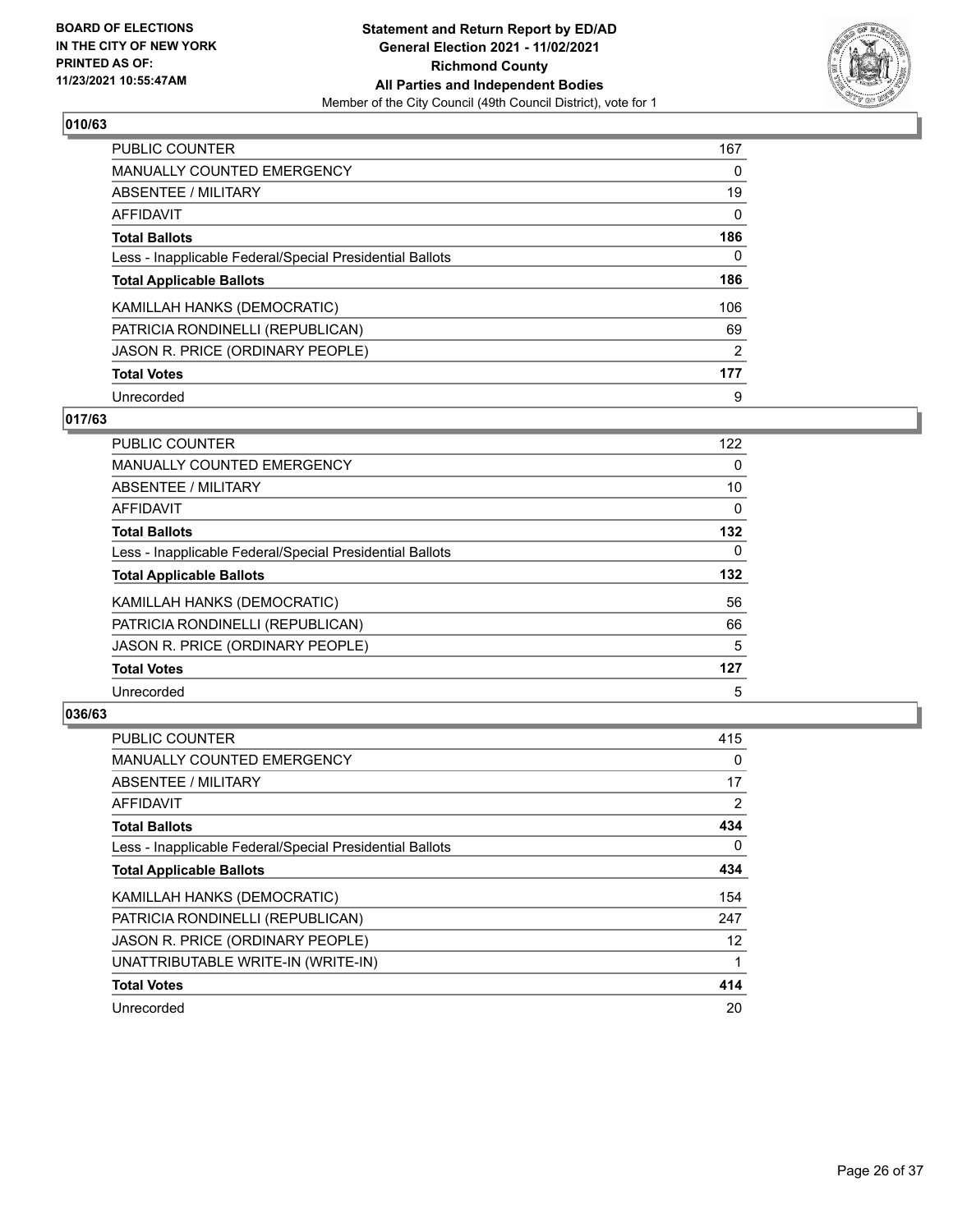

| PUBLIC COUNTER                                           | 167            |
|----------------------------------------------------------|----------------|
| <b>MANUALLY COUNTED EMERGENCY</b>                        | 0              |
| ABSENTEE / MILITARY                                      | 19             |
| AFFIDAVIT                                                | $\Omega$       |
| <b>Total Ballots</b>                                     | 186            |
| Less - Inapplicable Federal/Special Presidential Ballots | 0              |
| <b>Total Applicable Ballots</b>                          | 186            |
| KAMILLAH HANKS (DEMOCRATIC)                              | 106            |
| PATRICIA RONDINELLI (REPUBLICAN)                         | 69             |
| JASON R. PRICE (ORDINARY PEOPLE)                         | $\overline{2}$ |
| <b>Total Votes</b>                                       | 177            |
| Unrecorded                                               | 9              |

## **017/63**

| <b>PUBLIC COUNTER</b>                                    | 122      |
|----------------------------------------------------------|----------|
| MANUALLY COUNTED EMERGENCY                               | 0        |
| ABSENTEE / MILITARY                                      | 10       |
| <b>AFFIDAVIT</b>                                         | $\Omega$ |
| <b>Total Ballots</b>                                     | 132      |
| Less - Inapplicable Federal/Special Presidential Ballots | $\Omega$ |
| <b>Total Applicable Ballots</b>                          | 132      |
| KAMILLAH HANKS (DEMOCRATIC)                              | 56       |
| PATRICIA RONDINELLI (REPUBLICAN)                         | 66       |
| JASON R. PRICE (ORDINARY PEOPLE)                         | 5        |
| <b>Total Votes</b>                                       | 127      |
| Unrecorded                                               | 5        |

| <b>PUBLIC COUNTER</b>                                    | 415 |
|----------------------------------------------------------|-----|
| <b>MANUALLY COUNTED EMERGENCY</b>                        | 0   |
| ABSENTEE / MILITARY                                      | 17  |
| AFFIDAVIT                                                | 2   |
| <b>Total Ballots</b>                                     | 434 |
| Less - Inapplicable Federal/Special Presidential Ballots | 0   |
| <b>Total Applicable Ballots</b>                          | 434 |
| KAMILLAH HANKS (DEMOCRATIC)                              | 154 |
| PATRICIA RONDINELLI (REPUBLICAN)                         | 247 |
| JASON R. PRICE (ORDINARY PEOPLE)                         | 12  |
| UNATTRIBUTABLE WRITE-IN (WRITE-IN)                       | 1   |
| <b>Total Votes</b>                                       | 414 |
| Unrecorded                                               | 20  |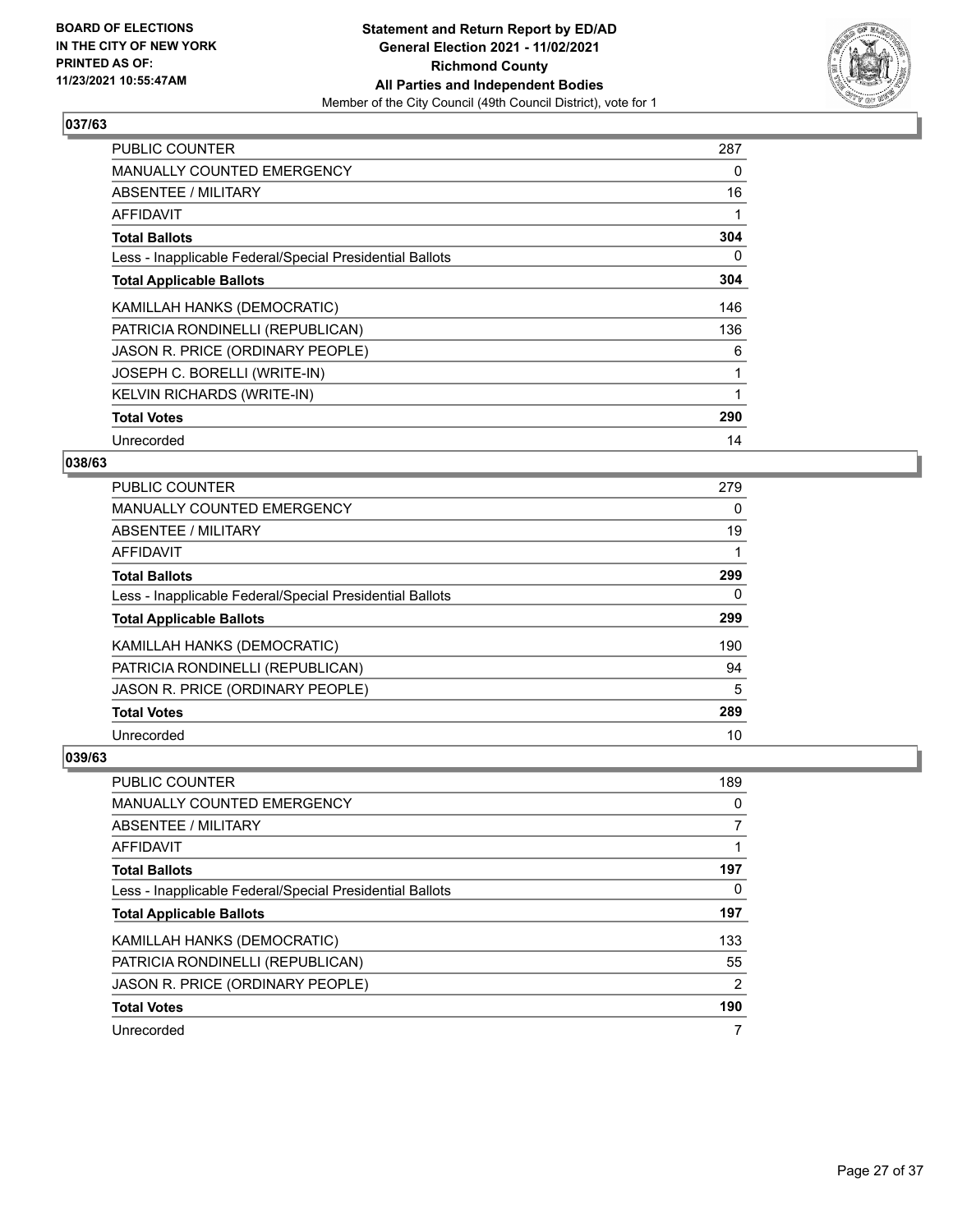

| <b>PUBLIC COUNTER</b>                                    | 287 |
|----------------------------------------------------------|-----|
| <b>MANUALLY COUNTED EMERGENCY</b>                        | 0   |
| ABSENTEE / MILITARY                                      | 16  |
| AFFIDAVIT                                                |     |
| <b>Total Ballots</b>                                     | 304 |
| Less - Inapplicable Federal/Special Presidential Ballots | 0   |
| <b>Total Applicable Ballots</b>                          | 304 |
| KAMILLAH HANKS (DEMOCRATIC)                              | 146 |
| PATRICIA RONDINELLI (REPUBLICAN)                         | 136 |
| JASON R. PRICE (ORDINARY PEOPLE)                         | 6   |
| JOSEPH C. BORELLI (WRITE-IN)                             | 1   |
| <b>KELVIN RICHARDS (WRITE-IN)</b>                        |     |
| <b>Total Votes</b>                                       | 290 |
| Unrecorded                                               | 14  |

# **038/63**

| <b>PUBLIC COUNTER</b>                                    | 279 |
|----------------------------------------------------------|-----|
| <b>MANUALLY COUNTED EMERGENCY</b>                        | 0   |
| ABSENTEE / MILITARY                                      | 19  |
| AFFIDAVIT                                                |     |
| <b>Total Ballots</b>                                     | 299 |
| Less - Inapplicable Federal/Special Presidential Ballots | 0   |
| <b>Total Applicable Ballots</b>                          | 299 |
| KAMILLAH HANKS (DEMOCRATIC)                              | 190 |
| PATRICIA RONDINELLI (REPUBLICAN)                         | 94  |
| JASON R. PRICE (ORDINARY PEOPLE)                         | 5   |
| <b>Total Votes</b>                                       | 289 |
| Unrecorded                                               | 10  |

| PUBLIC COUNTER                                           | 189 |
|----------------------------------------------------------|-----|
| MANUALLY COUNTED EMERGENCY                               | 0   |
| ABSENTEE / MILITARY                                      |     |
| AFFIDAVIT                                                |     |
| <b>Total Ballots</b>                                     | 197 |
| Less - Inapplicable Federal/Special Presidential Ballots | 0   |
| <b>Total Applicable Ballots</b>                          | 197 |
| KAMILLAH HANKS (DEMOCRATIC)                              | 133 |
| PATRICIA RONDINELLI (REPUBLICAN)                         | 55  |
| JASON R. PRICE (ORDINARY PEOPLE)                         | 2   |
| <b>Total Votes</b>                                       | 190 |
|                                                          |     |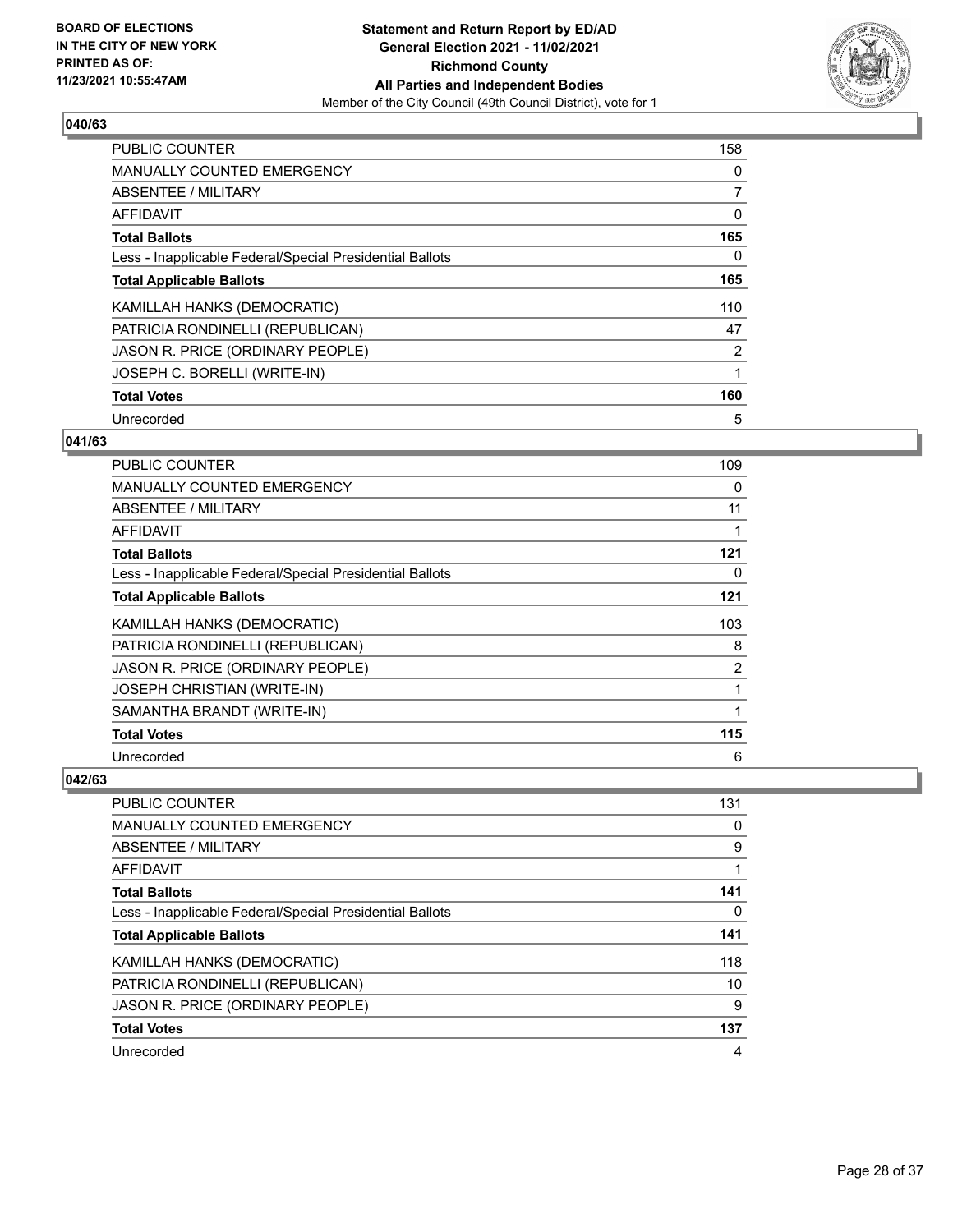

| PUBLIC COUNTER                                           | 158 |
|----------------------------------------------------------|-----|
| <b>MANUALLY COUNTED EMERGENCY</b>                        | 0   |
| ABSENTEE / MILITARY                                      | 7   |
| AFFIDAVIT                                                | 0   |
| <b>Total Ballots</b>                                     | 165 |
| Less - Inapplicable Federal/Special Presidential Ballots | 0   |
| <b>Total Applicable Ballots</b>                          | 165 |
| KAMILLAH HANKS (DEMOCRATIC)                              | 110 |
| PATRICIA RONDINELLI (REPUBLICAN)                         | 47  |
| JASON R. PRICE (ORDINARY PEOPLE)                         | 2   |
| JOSEPH C. BORELLI (WRITE-IN)                             |     |
| <b>Total Votes</b>                                       | 160 |
| Unrecorded                                               | 5   |

# **041/63**

| PUBLIC COUNTER                                           | 109 |
|----------------------------------------------------------|-----|
| <b>MANUALLY COUNTED EMERGENCY</b>                        | 0   |
| ABSENTEE / MILITARY                                      | 11  |
| AFFIDAVIT                                                | 1   |
| <b>Total Ballots</b>                                     | 121 |
| Less - Inapplicable Federal/Special Presidential Ballots | 0   |
| <b>Total Applicable Ballots</b>                          | 121 |
| KAMILLAH HANKS (DEMOCRATIC)                              | 103 |
| PATRICIA RONDINELLI (REPUBLICAN)                         | 8   |
| JASON R. PRICE (ORDINARY PEOPLE)                         | 2   |
| <b>JOSEPH CHRISTIAN (WRITE-IN)</b>                       | 1   |
| SAMANTHA BRANDT (WRITE-IN)                               | 1   |
| <b>Total Votes</b>                                       | 115 |
| Unrecorded                                               | 6   |

| <b>PUBLIC COUNTER</b>                                    | 131 |
|----------------------------------------------------------|-----|
| MANUALLY COUNTED EMERGENCY                               | 0   |
| ABSENTEE / MILITARY                                      | 9   |
| AFFIDAVIT                                                |     |
| <b>Total Ballots</b>                                     | 141 |
| Less - Inapplicable Federal/Special Presidential Ballots | 0   |
| <b>Total Applicable Ballots</b>                          | 141 |
| KAMILLAH HANKS (DEMOCRATIC)                              | 118 |
| PATRICIA RONDINELLI (REPUBLICAN)                         | 10  |
| JASON R. PRICE (ORDINARY PEOPLE)                         | 9   |
| <b>Total Votes</b>                                       | 137 |
| Unrecorded                                               | 4   |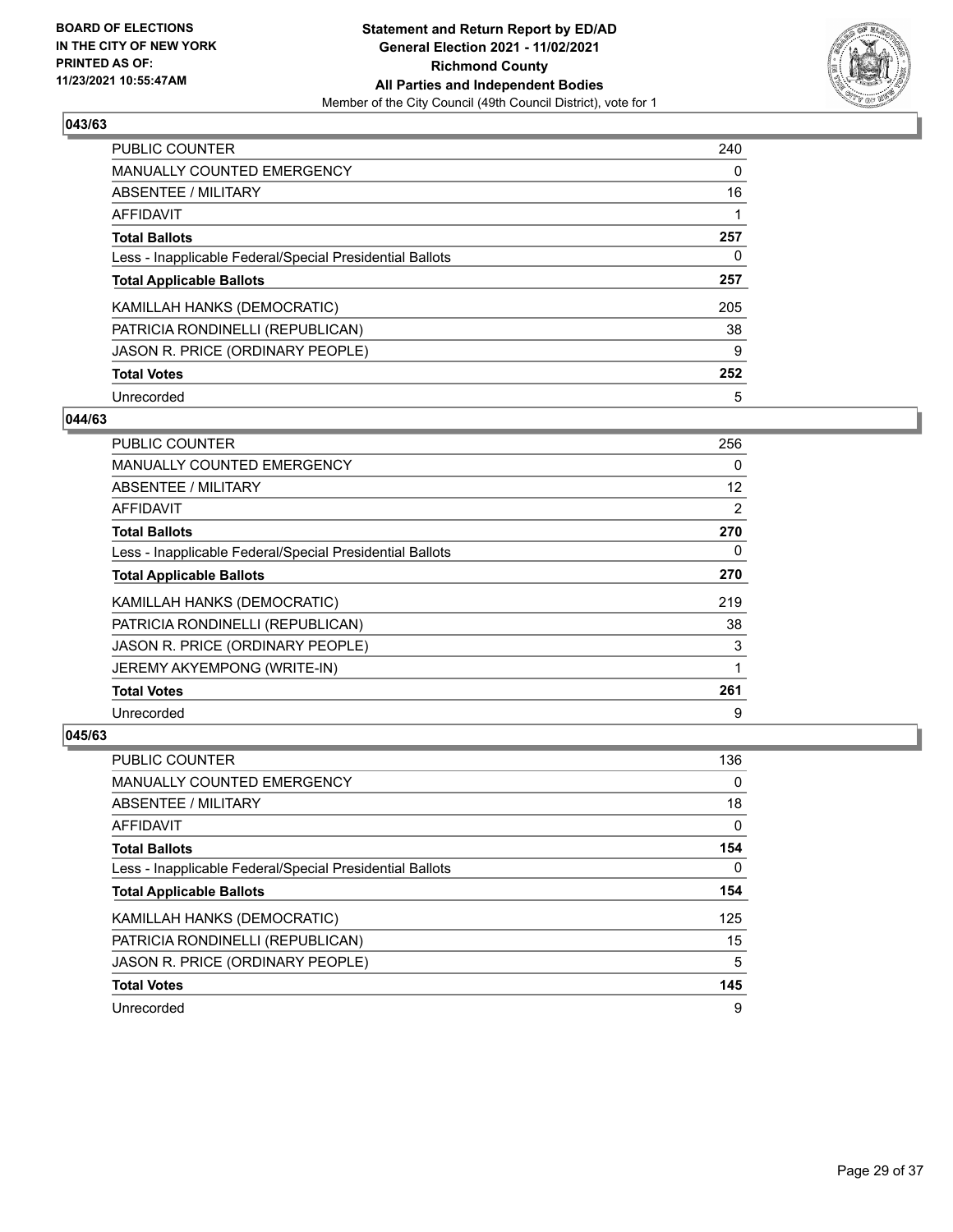

| <b>PUBLIC COUNTER</b>                                    | 240      |
|----------------------------------------------------------|----------|
| <b>MANUALLY COUNTED EMERGENCY</b>                        | $\Omega$ |
| ABSENTEE / MILITARY                                      | 16       |
| AFFIDAVIT                                                |          |
| <b>Total Ballots</b>                                     | 257      |
| Less - Inapplicable Federal/Special Presidential Ballots | 0        |
| <b>Total Applicable Ballots</b>                          | 257      |
| KAMILLAH HANKS (DEMOCRATIC)                              | 205      |
| PATRICIA RONDINELLI (REPUBLICAN)                         | 38       |
| JASON R. PRICE (ORDINARY PEOPLE)                         | 9        |
| <b>Total Votes</b>                                       | 252      |
| Unrecorded                                               | 5        |

#### **044/63**

| <b>PUBLIC COUNTER</b>                                    | 256      |
|----------------------------------------------------------|----------|
| MANUALLY COUNTED EMERGENCY                               | $\Omega$ |
| ABSENTEE / MILITARY                                      | 12       |
| AFFIDAVIT                                                | 2        |
| <b>Total Ballots</b>                                     | 270      |
| Less - Inapplicable Federal/Special Presidential Ballots | 0        |
| <b>Total Applicable Ballots</b>                          | 270      |
| KAMILLAH HANKS (DEMOCRATIC)                              | 219      |
| PATRICIA RONDINELLI (REPUBLICAN)                         | 38       |
| JASON R. PRICE (ORDINARY PEOPLE)                         | 3        |
| JEREMY AKYEMPONG (WRITE-IN)                              |          |
| <b>Total Votes</b>                                       | 261      |
| Unrecorded                                               | 9        |

| <b>PUBLIC COUNTER</b>                                    | 136      |
|----------------------------------------------------------|----------|
| <b>MANUALLY COUNTED EMERGENCY</b>                        | 0        |
| ABSENTEE / MILITARY                                      | 18       |
| AFFIDAVIT                                                | 0        |
| <b>Total Ballots</b>                                     | 154      |
| Less - Inapplicable Federal/Special Presidential Ballots | $\Omega$ |
| <b>Total Applicable Ballots</b>                          | 154      |
| KAMILLAH HANKS (DEMOCRATIC)                              | 125      |
| PATRICIA RONDINELLI (REPUBLICAN)                         | 15       |
| JASON R. PRICE (ORDINARY PEOPLE)                         | 5        |
| <b>Total Votes</b>                                       | 145      |
| Unrecorded                                               | 9        |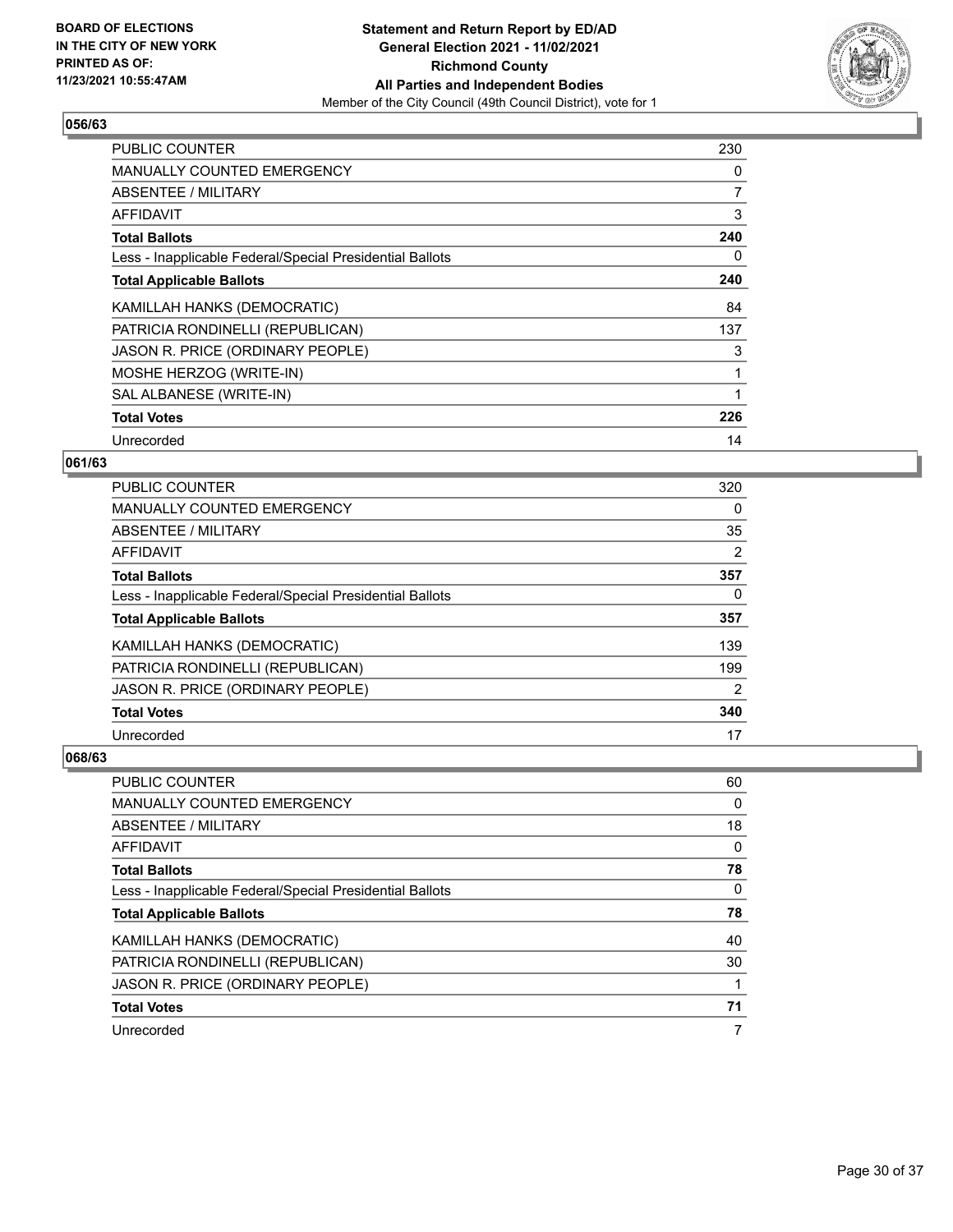

| <b>PUBLIC COUNTER</b>                                    | 230 |
|----------------------------------------------------------|-----|
| <b>MANUALLY COUNTED EMERGENCY</b>                        | 0   |
| <b>ABSENTEE / MILITARY</b>                               | 7   |
| <b>AFFIDAVIT</b>                                         | 3   |
| <b>Total Ballots</b>                                     | 240 |
| Less - Inapplicable Federal/Special Presidential Ballots | 0   |
| <b>Total Applicable Ballots</b>                          | 240 |
| KAMILLAH HANKS (DEMOCRATIC)                              | 84  |
| PATRICIA RONDINELLI (REPUBLICAN)                         | 137 |
| JASON R. PRICE (ORDINARY PEOPLE)                         | 3   |
| MOSHE HERZOG (WRITE-IN)                                  | 1   |
| SAL ALBANESE (WRITE-IN)                                  |     |
| <b>Total Votes</b>                                       | 226 |
| Unrecorded                                               | 14  |

# **061/63**

| <b>PUBLIC COUNTER</b>                                    | 320            |
|----------------------------------------------------------|----------------|
| <b>MANUALLY COUNTED EMERGENCY</b>                        | 0              |
| ABSENTEE / MILITARY                                      | 35             |
| AFFIDAVIT                                                | $\overline{2}$ |
| <b>Total Ballots</b>                                     | 357            |
| Less - Inapplicable Federal/Special Presidential Ballots | 0              |
| <b>Total Applicable Ballots</b>                          | 357            |
| KAMILLAH HANKS (DEMOCRATIC)                              | 139            |
| PATRICIA RONDINELLI (REPUBLICAN)                         | 199            |
| JASON R. PRICE (ORDINARY PEOPLE)                         | 2              |
| <b>Total Votes</b>                                       | 340            |
| Unrecorded                                               | 17             |

| <b>PUBLIC COUNTER</b>                                    | 60 |
|----------------------------------------------------------|----|
| <b>MANUALLY COUNTED EMERGENCY</b>                        | 0  |
| ABSENTEE / MILITARY                                      | 18 |
| AFFIDAVIT                                                | 0  |
| <b>Total Ballots</b>                                     | 78 |
| Less - Inapplicable Federal/Special Presidential Ballots | 0  |
| <b>Total Applicable Ballots</b>                          | 78 |
| KAMILLAH HANKS (DEMOCRATIC)                              | 40 |
| PATRICIA RONDINELLI (REPUBLICAN)                         | 30 |
| JASON R. PRICE (ORDINARY PEOPLE)                         |    |
| <b>Total Votes</b>                                       | 71 |
| Unrecorded                                               | 7  |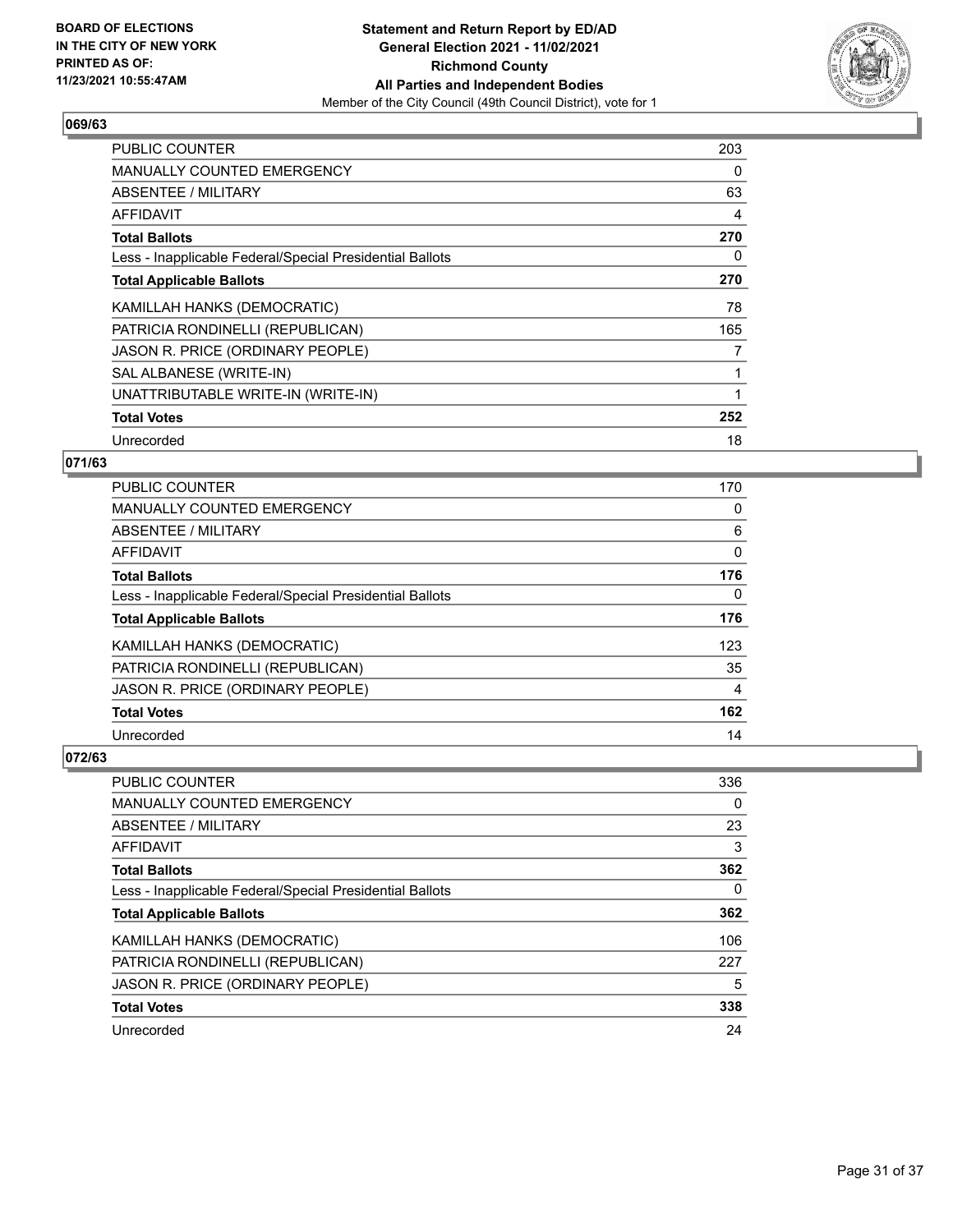

| <b>PUBLIC COUNTER</b>                                    | 203 |
|----------------------------------------------------------|-----|
| <b>MANUALLY COUNTED EMERGENCY</b>                        | 0   |
| ABSENTEE / MILITARY                                      | 63  |
| AFFIDAVIT                                                | 4   |
| <b>Total Ballots</b>                                     | 270 |
| Less - Inapplicable Federal/Special Presidential Ballots | 0   |
| <b>Total Applicable Ballots</b>                          | 270 |
| KAMILLAH HANKS (DEMOCRATIC)                              | 78  |
| PATRICIA RONDINELLI (REPUBLICAN)                         | 165 |
| JASON R. PRICE (ORDINARY PEOPLE)                         | 7   |
| SAL ALBANESE (WRITE-IN)                                  |     |
| UNATTRIBUTABLE WRITE-IN (WRITE-IN)                       |     |
| <b>Total Votes</b>                                       | 252 |
| Unrecorded                                               | 18  |

# **071/63**

| PUBLIC COUNTER                                           | 170      |
|----------------------------------------------------------|----------|
| MANUALLY COUNTED EMERGENCY                               | $\Omega$ |
| ABSENTEE / MILITARY                                      | 6        |
| AFFIDAVIT                                                | 0        |
| <b>Total Ballots</b>                                     | 176      |
| Less - Inapplicable Federal/Special Presidential Ballots | $\Omega$ |
| <b>Total Applicable Ballots</b>                          | 176      |
| KAMILLAH HANKS (DEMOCRATIC)                              | 123      |
| PATRICIA RONDINELLI (REPUBLICAN)                         | 35       |
| JASON R. PRICE (ORDINARY PEOPLE)                         | 4        |
| <b>Total Votes</b>                                       | 162      |
| Unrecorded                                               | 14       |

| <b>PUBLIC COUNTER</b>                                    | 336 |
|----------------------------------------------------------|-----|
| <b>MANUALLY COUNTED EMERGENCY</b>                        | 0   |
| ABSENTEE / MILITARY                                      | 23  |
| AFFIDAVIT                                                | 3   |
| <b>Total Ballots</b>                                     | 362 |
| Less - Inapplicable Federal/Special Presidential Ballots | 0   |
| <b>Total Applicable Ballots</b>                          | 362 |
| KAMILLAH HANKS (DEMOCRATIC)                              | 106 |
| PATRICIA RONDINELLI (REPUBLICAN)                         | 227 |
| JASON R. PRICE (ORDINARY PEOPLE)                         | 5   |
| <b>Total Votes</b>                                       | 338 |
| Unrecorded                                               | 24  |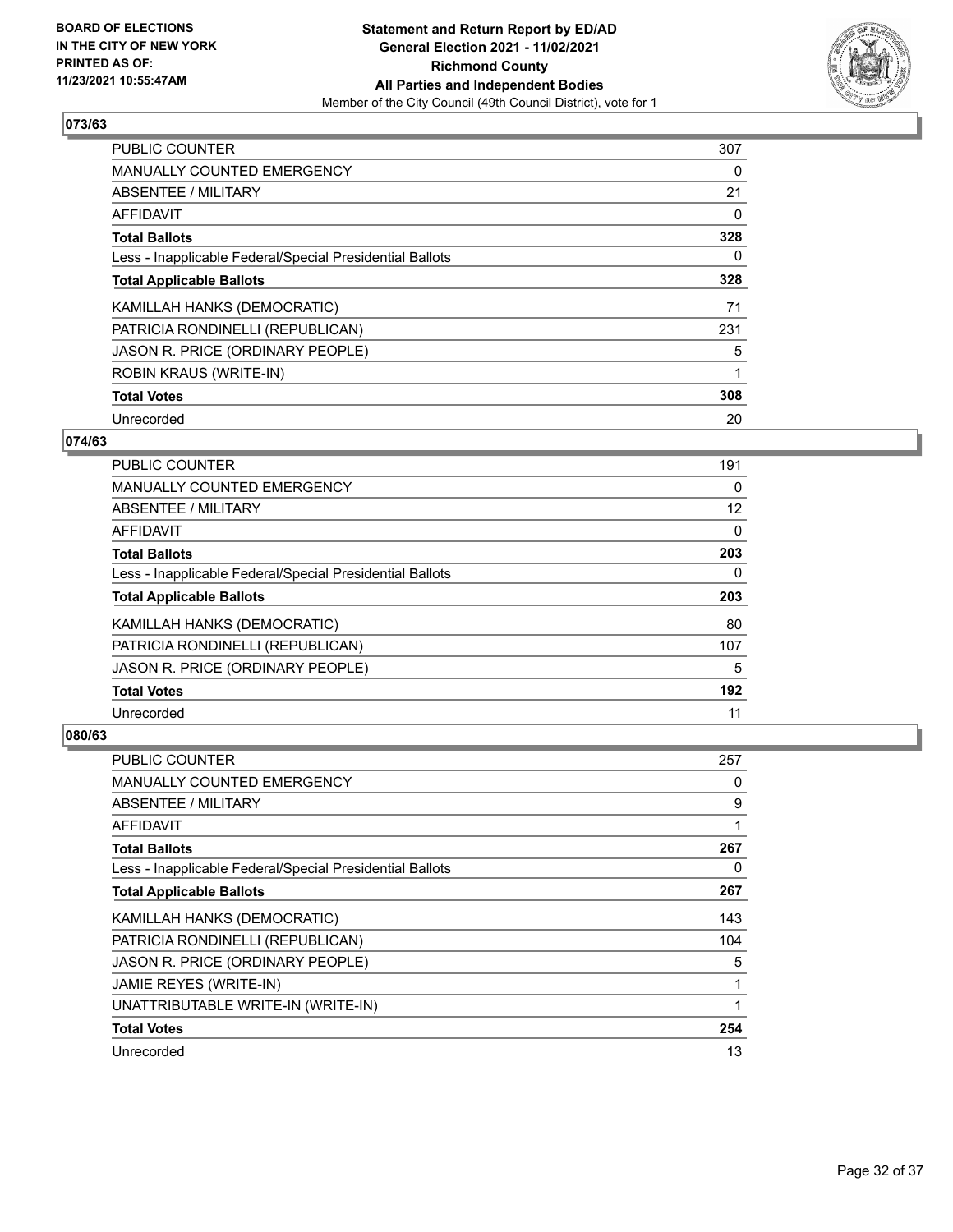

| <b>PUBLIC COUNTER</b>                                    | 307 |
|----------------------------------------------------------|-----|
| <b>MANUALLY COUNTED EMERGENCY</b>                        | 0   |
| ABSENTEE / MILITARY                                      | 21  |
| AFFIDAVIT                                                | 0   |
| <b>Total Ballots</b>                                     | 328 |
| Less - Inapplicable Federal/Special Presidential Ballots | 0   |
| <b>Total Applicable Ballots</b>                          | 328 |
| KAMILLAH HANKS (DEMOCRATIC)                              | 71  |
| PATRICIA RONDINELLI (REPUBLICAN)                         | 231 |
| JASON R. PRICE (ORDINARY PEOPLE)                         | 5   |
| <b>ROBIN KRAUS (WRITE-IN)</b>                            |     |
| <b>Total Votes</b>                                       | 308 |
| Unrecorded                                               | 20  |

# **074/63**

| <b>PUBLIC COUNTER</b>                                    | 191 |
|----------------------------------------------------------|-----|
| <b>MANUALLY COUNTED EMERGENCY</b>                        | 0   |
| ABSENTEE / MILITARY                                      | 12  |
| AFFIDAVIT                                                | 0   |
| <b>Total Ballots</b>                                     | 203 |
| Less - Inapplicable Federal/Special Presidential Ballots | 0   |
| <b>Total Applicable Ballots</b>                          | 203 |
| KAMILLAH HANKS (DEMOCRATIC)                              | 80  |
| PATRICIA RONDINELLI (REPUBLICAN)                         | 107 |
| JASON R. PRICE (ORDINARY PEOPLE)                         | 5   |
| <b>Total Votes</b>                                       | 192 |
| Unrecorded                                               | 11  |

| PUBLIC COUNTER                                           | 257 |
|----------------------------------------------------------|-----|
| MANUALLY COUNTED EMERGENCY                               | 0   |
| ABSENTEE / MILITARY                                      | 9   |
| AFFIDAVIT                                                | 1   |
| <b>Total Ballots</b>                                     | 267 |
| Less - Inapplicable Federal/Special Presidential Ballots | 0   |
| <b>Total Applicable Ballots</b>                          | 267 |
| KAMILLAH HANKS (DEMOCRATIC)                              | 143 |
| PATRICIA RONDINELLI (REPUBLICAN)                         | 104 |
| JASON R. PRICE (ORDINARY PEOPLE)                         | 5   |
| JAMIE REYES (WRITE-IN)                                   | 1   |
| UNATTRIBUTABLE WRITE-IN (WRITE-IN)                       |     |
| <b>Total Votes</b>                                       | 254 |
| Unrecorded                                               | 13  |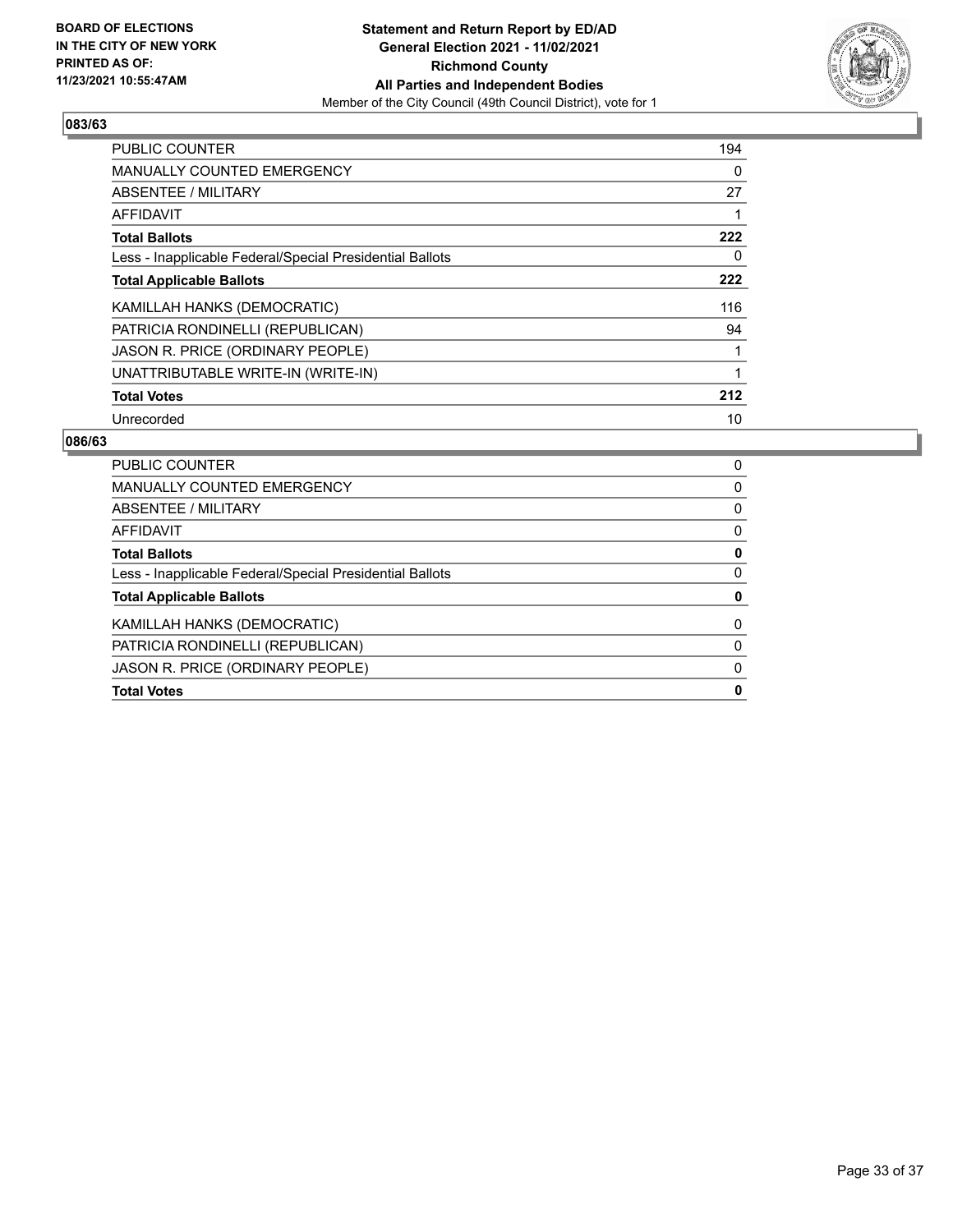

| PUBLIC COUNTER                                           | 194 |
|----------------------------------------------------------|-----|
| <b>MANUALLY COUNTED EMERGENCY</b>                        | 0   |
| ABSENTEE / MILITARY                                      | 27  |
| <b>AFFIDAVIT</b>                                         |     |
| <b>Total Ballots</b>                                     | 222 |
| Less - Inapplicable Federal/Special Presidential Ballots | 0   |
| <b>Total Applicable Ballots</b>                          | 222 |
| KAMILLAH HANKS (DEMOCRATIC)                              | 116 |
| PATRICIA RONDINELLI (REPUBLICAN)                         | 94  |
| JASON R. PRICE (ORDINARY PEOPLE)                         |     |
| UNATTRIBUTABLE WRITE-IN (WRITE-IN)                       |     |
| <b>Total Votes</b>                                       | 212 |
| Unrecorded                                               | 10  |

| <b>PUBLIC COUNTER</b>                                    | 0 |
|----------------------------------------------------------|---|
| <b>MANUALLY COUNTED EMERGENCY</b>                        | 0 |
| ABSENTEE / MILITARY                                      | 0 |
| AFFIDAVIT                                                | 0 |
| <b>Total Ballots</b>                                     | 0 |
| Less - Inapplicable Federal/Special Presidential Ballots | 0 |
| <b>Total Applicable Ballots</b>                          | 0 |
| KAMILLAH HANKS (DEMOCRATIC)                              | 0 |
| PATRICIA RONDINELLI (REPUBLICAN)                         | 0 |
| JASON R. PRICE (ORDINARY PEOPLE)                         | 0 |
| <b>Total Votes</b>                                       | 0 |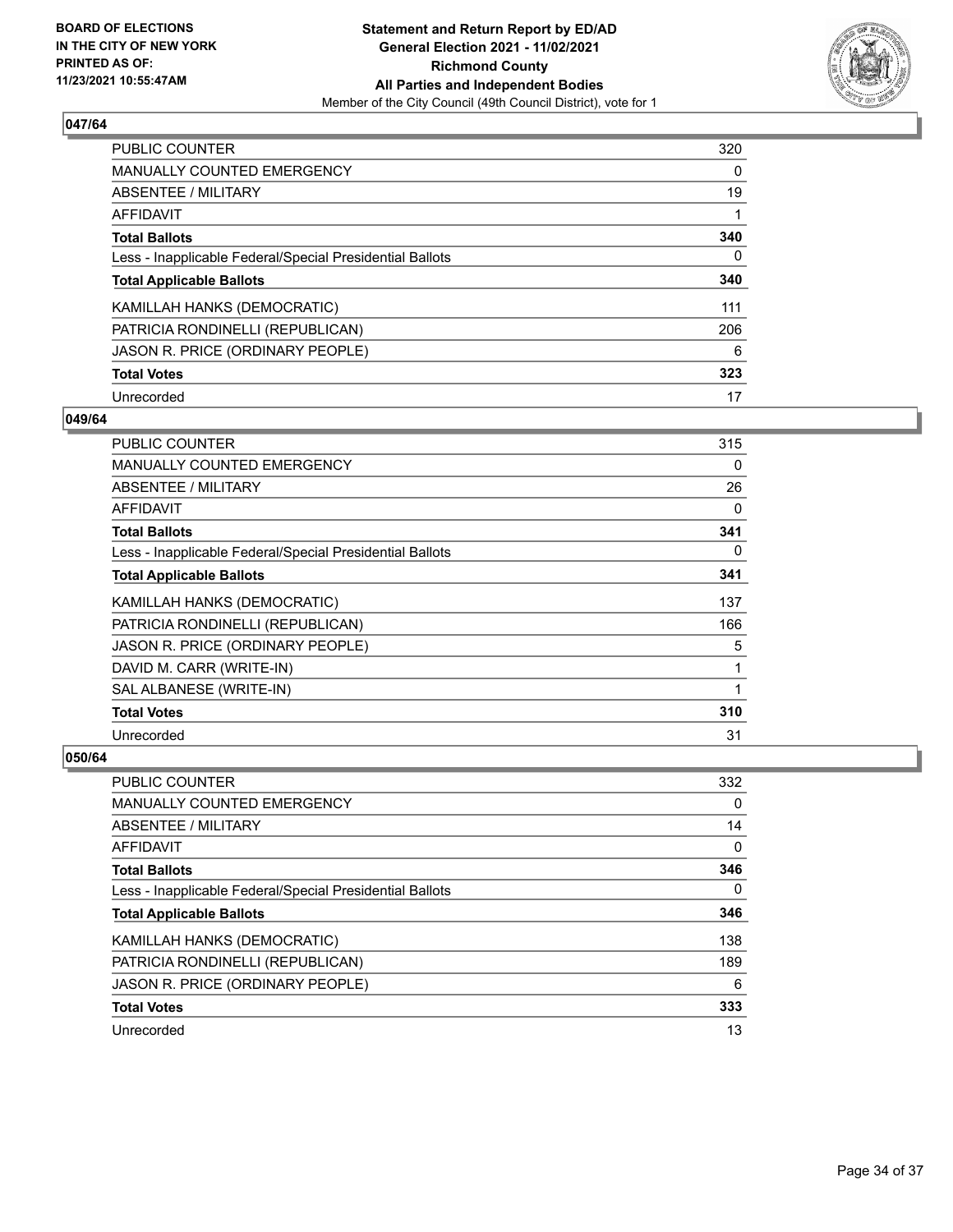

| PUBLIC COUNTER                                           | 320 |
|----------------------------------------------------------|-----|
| <b>MANUALLY COUNTED EMERGENCY</b>                        | 0   |
| ABSENTEE / MILITARY                                      | 19  |
| AFFIDAVIT                                                |     |
| <b>Total Ballots</b>                                     | 340 |
| Less - Inapplicable Federal/Special Presidential Ballots | 0   |
| <b>Total Applicable Ballots</b>                          | 340 |
| KAMILLAH HANKS (DEMOCRATIC)                              | 111 |
| PATRICIA RONDINELLI (REPUBLICAN)                         | 206 |
| JASON R. PRICE (ORDINARY PEOPLE)                         | 6   |
| <b>Total Votes</b>                                       | 323 |
| Unrecorded                                               | 17  |

#### **049/64**

| PUBLIC COUNTER                                           | 315 |
|----------------------------------------------------------|-----|
| <b>MANUALLY COUNTED EMERGENCY</b>                        | 0   |
| ABSENTEE / MILITARY                                      | 26  |
| AFFIDAVIT                                                | 0   |
| <b>Total Ballots</b>                                     | 341 |
| Less - Inapplicable Federal/Special Presidential Ballots | 0   |
| <b>Total Applicable Ballots</b>                          | 341 |
| KAMILLAH HANKS (DEMOCRATIC)                              | 137 |
| PATRICIA RONDINELLI (REPUBLICAN)                         | 166 |
| JASON R. PRICE (ORDINARY PEOPLE)                         | 5   |
| DAVID M. CARR (WRITE-IN)                                 | 1   |
| SAL ALBANESE (WRITE-IN)                                  | 1   |
| <b>Total Votes</b>                                       | 310 |
| Unrecorded                                               | 31  |

| PUBLIC COUNTER                                           | 332 |
|----------------------------------------------------------|-----|
| <b>MANUALLY COUNTED EMERGENCY</b>                        | 0   |
| ABSENTEE / MILITARY                                      | 14  |
| AFFIDAVIT                                                | 0   |
| <b>Total Ballots</b>                                     | 346 |
| Less - Inapplicable Federal/Special Presidential Ballots | 0   |
| <b>Total Applicable Ballots</b>                          | 346 |
|                                                          |     |
| KAMILLAH HANKS (DEMOCRATIC)                              | 138 |
| PATRICIA RONDINELLI (REPUBLICAN)                         | 189 |
| JASON R. PRICE (ORDINARY PEOPLE)                         | 6   |
| <b>Total Votes</b>                                       | 333 |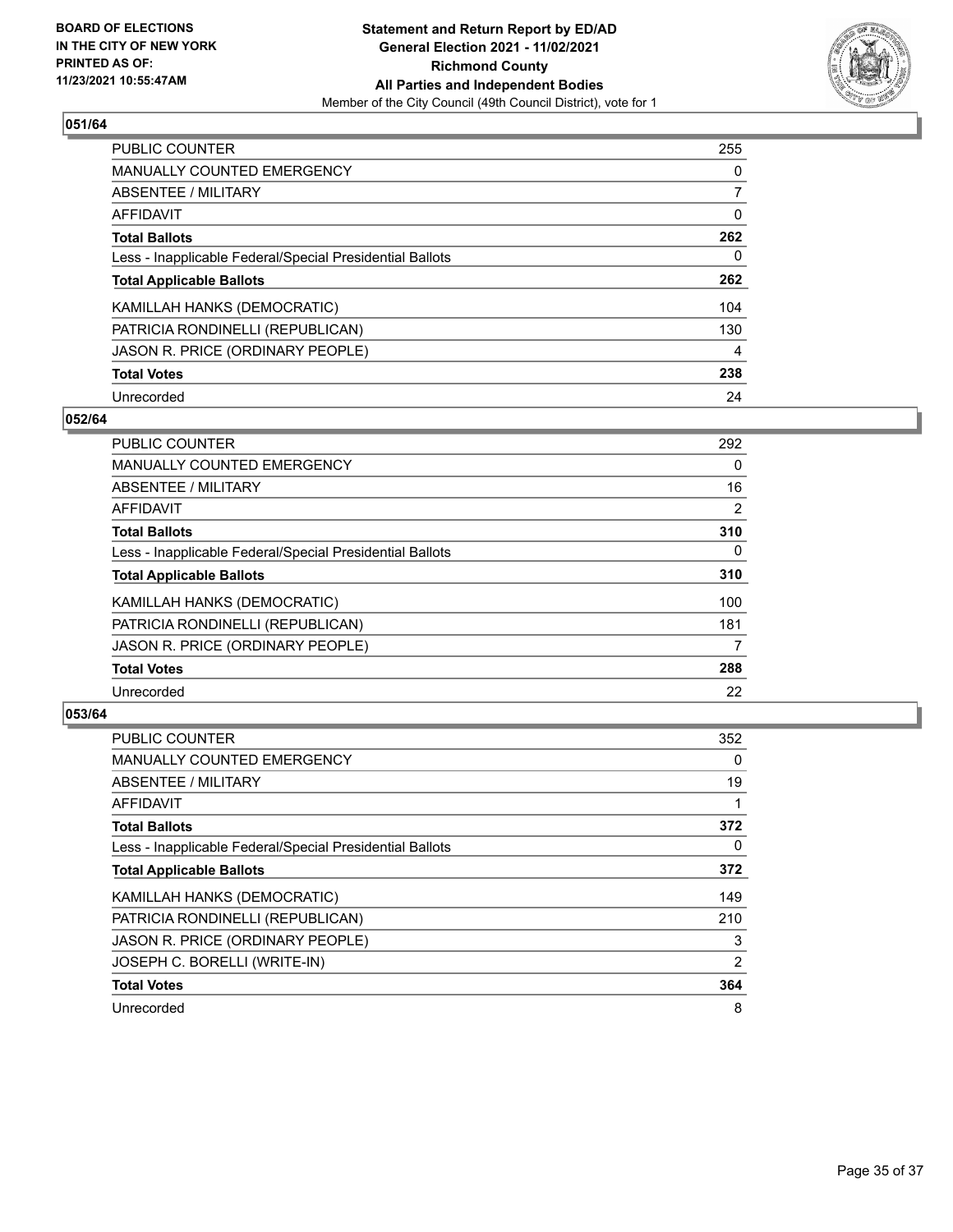

| PUBLIC COUNTER                                           | 255      |
|----------------------------------------------------------|----------|
| <b>MANUALLY COUNTED EMERGENCY</b>                        | $\Omega$ |
| ABSENTEE / MILITARY                                      |          |
| AFFIDAVIT                                                | 0        |
| <b>Total Ballots</b>                                     | 262      |
| Less - Inapplicable Federal/Special Presidential Ballots | 0        |
| <b>Total Applicable Ballots</b>                          | 262      |
| KAMILLAH HANKS (DEMOCRATIC)                              | 104      |
| PATRICIA RONDINELLI (REPUBLICAN)                         | 130      |
| JASON R. PRICE (ORDINARY PEOPLE)                         | 4        |
| <b>Total Votes</b>                                       | 238      |
| Unrecorded                                               | 24       |

#### **052/64**

| <b>PUBLIC COUNTER</b>                                    | 292      |
|----------------------------------------------------------|----------|
| <b>MANUALLY COUNTED EMERGENCY</b>                        | $\Omega$ |
| ABSENTEE / MILITARY                                      | 16       |
| <b>AFFIDAVIT</b>                                         | 2        |
| <b>Total Ballots</b>                                     | 310      |
| Less - Inapplicable Federal/Special Presidential Ballots | $\Omega$ |
| <b>Total Applicable Ballots</b>                          | 310      |
| KAMILLAH HANKS (DEMOCRATIC)                              | 100      |
| PATRICIA RONDINELLI (REPUBLICAN)                         | 181      |
| JASON R. PRICE (ORDINARY PEOPLE)                         | 7        |
| <b>Total Votes</b>                                       | 288      |
| Unrecorded                                               | 22       |

| <b>PUBLIC COUNTER</b>                                    | 352 |
|----------------------------------------------------------|-----|
| MANUALLY COUNTED EMERGENCY                               | 0   |
| ABSENTEE / MILITARY                                      | 19  |
| AFFIDAVIT                                                | 1   |
| <b>Total Ballots</b>                                     | 372 |
| Less - Inapplicable Federal/Special Presidential Ballots | 0   |
| <b>Total Applicable Ballots</b>                          | 372 |
| KAMILLAH HANKS (DEMOCRATIC)                              | 149 |
| PATRICIA RONDINELLI (REPUBLICAN)                         | 210 |
| JASON R. PRICE (ORDINARY PEOPLE)                         | 3   |
| JOSEPH C. BORELLI (WRITE-IN)                             | 2   |
| <b>Total Votes</b>                                       | 364 |
| Unrecorded                                               | 8   |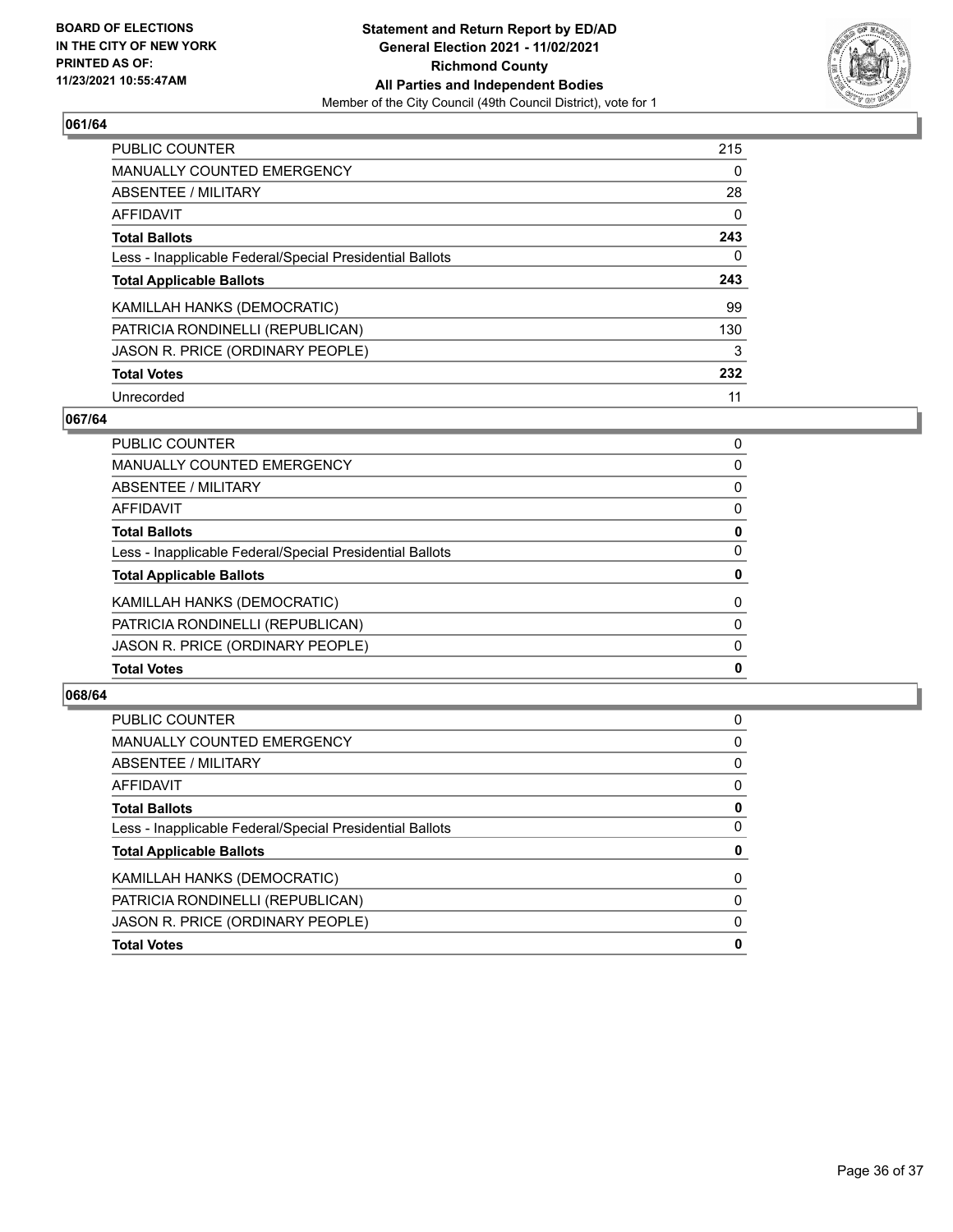

| <b>PUBLIC COUNTER</b>                                    | 215      |
|----------------------------------------------------------|----------|
| <b>MANUALLY COUNTED EMERGENCY</b>                        | $\Omega$ |
| ABSENTEE / MILITARY                                      | 28       |
| AFFIDAVIT                                                | $\Omega$ |
| <b>Total Ballots</b>                                     | 243      |
| Less - Inapplicable Federal/Special Presidential Ballots | 0        |
| <b>Total Applicable Ballots</b>                          | 243      |
| KAMILLAH HANKS (DEMOCRATIC)                              | 99       |
| PATRICIA RONDINELLI (REPUBLICAN)                         | 130      |
| JASON R. PRICE (ORDINARY PEOPLE)                         | 3        |
| <b>Total Votes</b>                                       | 232      |
| Unrecorded                                               | 11       |

#### **067/64**

| JASON R. PRICE (ORDINARY PEOPLE)                         | $\Omega$ |
|----------------------------------------------------------|----------|
| PATRICIA RONDINELLI (REPUBLICAN)                         | $\Omega$ |
| KAMILLAH HANKS (DEMOCRATIC)                              | $\Omega$ |
| <b>Total Applicable Ballots</b>                          | 0        |
| Less - Inapplicable Federal/Special Presidential Ballots | $\Omega$ |
| <b>Total Ballots</b>                                     | 0        |
| AFFIDAVIT                                                | 0        |
| <b>ABSENTEE / MILITARY</b>                               | $\Omega$ |
| <b>MANUALLY COUNTED EMERGENCY</b>                        | $\Omega$ |
| PUBLIC COUNTER                                           | 0        |

| <b>PUBLIC COUNTER</b>                                    | 0        |
|----------------------------------------------------------|----------|
| <b>MANUALLY COUNTED EMERGENCY</b>                        | 0        |
| ABSENTEE / MILITARY                                      | 0        |
| AFFIDAVIT                                                | 0        |
| <b>Total Ballots</b>                                     | 0        |
| Less - Inapplicable Federal/Special Presidential Ballots | 0        |
| <b>Total Applicable Ballots</b>                          | 0        |
| KAMILLAH HANKS (DEMOCRATIC)                              | $\Omega$ |
| PATRICIA RONDINELLI (REPUBLICAN)                         | $\Omega$ |
| JASON R. PRICE (ORDINARY PEOPLE)                         | $\Omega$ |
| <b>Total Votes</b>                                       | 0        |
|                                                          |          |